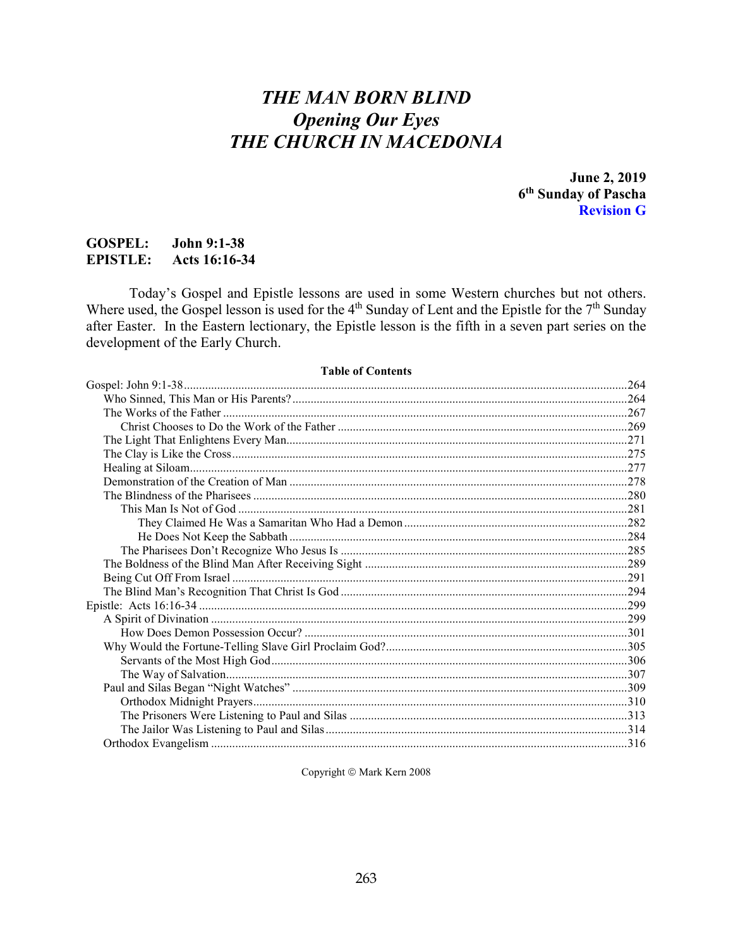# **THE MAN BORN BLIND Opening Our Eyes** THE CHURCH IN MACEDONIA

June 2, 2019 6<sup>th</sup> Sunday of Pascha **Revision G** 

#### **GOSPEL: John 9:1-38 EPISTLE:** Acts 16:16-34

Today's Gospel and Epistle lessons are used in some Western churches but not others. Where used, the Gospel lesson is used for the  $4<sup>th</sup>$  Sunday of Lent and the Epistle for the  $7<sup>th</sup>$  Sunday after Easter. In the Eastern lectionary, the Epistle lesson is the fifth in a seven part series on the development of the Early Church.

#### **Table of Contents**

| <b>LADIC VI COMMUNIS</b> |  |
|--------------------------|--|
|                          |  |
|                          |  |
|                          |  |
|                          |  |
|                          |  |
|                          |  |
|                          |  |
|                          |  |
|                          |  |
|                          |  |
|                          |  |
|                          |  |
|                          |  |
|                          |  |
|                          |  |
|                          |  |
|                          |  |
|                          |  |
|                          |  |
|                          |  |
|                          |  |
|                          |  |
|                          |  |
|                          |  |
|                          |  |
|                          |  |
|                          |  |

Copyright © Mark Kern 2008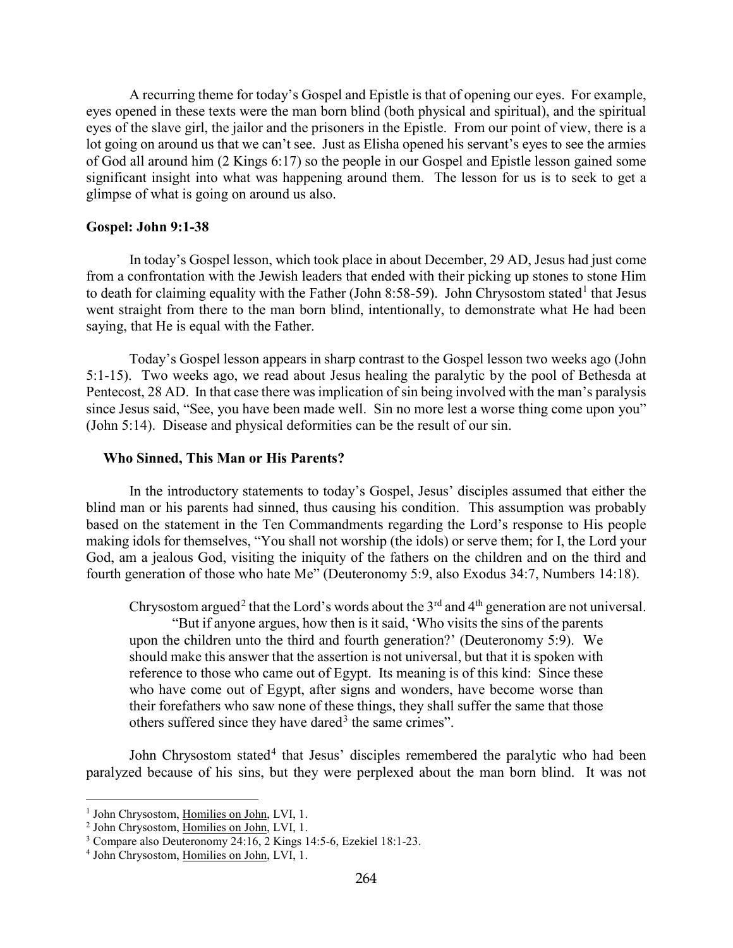A recurring theme for today's Gospel and Epistle is that of opening our eyes. For example, eyes opened in these texts were the man born blind (both physical and spiritual), and the spiritual eyes of the slave girl, the jailor and the prisoners in the Epistle. From our point of view, there is a lot going on around us that we can't see. Just as Elisha opened his servant's eyes to see the armies of God all around him (2 Kings 6:17) so the people in our Gospel and Epistle lesson gained some significant insight into what was happening around them. The lesson for us is to seek to get a glimpse of what is going on around us also.

#### <span id="page-1-0"></span>**Gospel: John 9:1-38**

In today's Gospel lesson, which took place in about December, 29 AD, Jesus had just come from a confrontation with the Jewish leaders that ended with their picking up stones to stone Him to death for claiming equality with the Father (John 8:58-59). John Chrysostom stated<sup>[1](#page-1-2)</sup> that Jesus went straight from there to the man born blind, intentionally, to demonstrate what He had been saying, that He is equal with the Father.

Today's Gospel lesson appears in sharp contrast to the Gospel lesson two weeks ago (John 5:1-15). Two weeks ago, we read about Jesus healing the paralytic by the pool of Bethesda at Pentecost, 28 AD. In that case there was implication of sin being involved with the man's paralysis since Jesus said, "See, you have been made well. Sin no more lest a worse thing come upon you" (John 5:14). Disease and physical deformities can be the result of our sin.

#### <span id="page-1-1"></span>**Who Sinned, This Man or His Parents?**

In the introductory statements to today's Gospel, Jesus' disciples assumed that either the blind man or his parents had sinned, thus causing his condition. This assumption was probably based on the statement in the Ten Commandments regarding the Lord's response to His people making idols for themselves, "You shall not worship (the idols) or serve them; for I, the Lord your God, am a jealous God, visiting the iniquity of the fathers on the children and on the third and fourth generation of those who hate Me" (Deuteronomy 5:9, also Exodus 34:7, Numbers 14:18).

Chrysostom argued<sup>[2](#page-1-3)</sup> that the Lord's words about the 3<sup>rd</sup> and 4<sup>th</sup> generation are not universal.

"But if anyone argues, how then is it said, 'Who visits the sins of the parents upon the children unto the third and fourth generation?' (Deuteronomy 5:9). We should make this answer that the assertion is not universal, but that it is spoken with reference to those who came out of Egypt. Its meaning is of this kind: Since these who have come out of Egypt, after signs and wonders, have become worse than their forefathers who saw none of these things, they shall suffer the same that those others suffered since they have dared<sup>[3](#page-1-4)</sup> the same crimes".

John Chrysostom stated<sup>[4](#page-1-5)</sup> that Jesus' disciples remembered the paralytic who had been paralyzed because of his sins, but they were perplexed about the man born blind. It was not

<span id="page-1-2"></span><sup>&</sup>lt;sup>1</sup> John Chrysostom, Homilies on John, LVI, 1.

<span id="page-1-3"></span><sup>2</sup> John Chrysostom, Homilies on John, LVI, 1.

<span id="page-1-4"></span><sup>3</sup> Compare also Deuteronomy 24:16, 2 Kings 14:5-6, Ezekiel 18:1-23.

<span id="page-1-5"></span><sup>4</sup> John Chrysostom, Homilies on John, LVI, 1.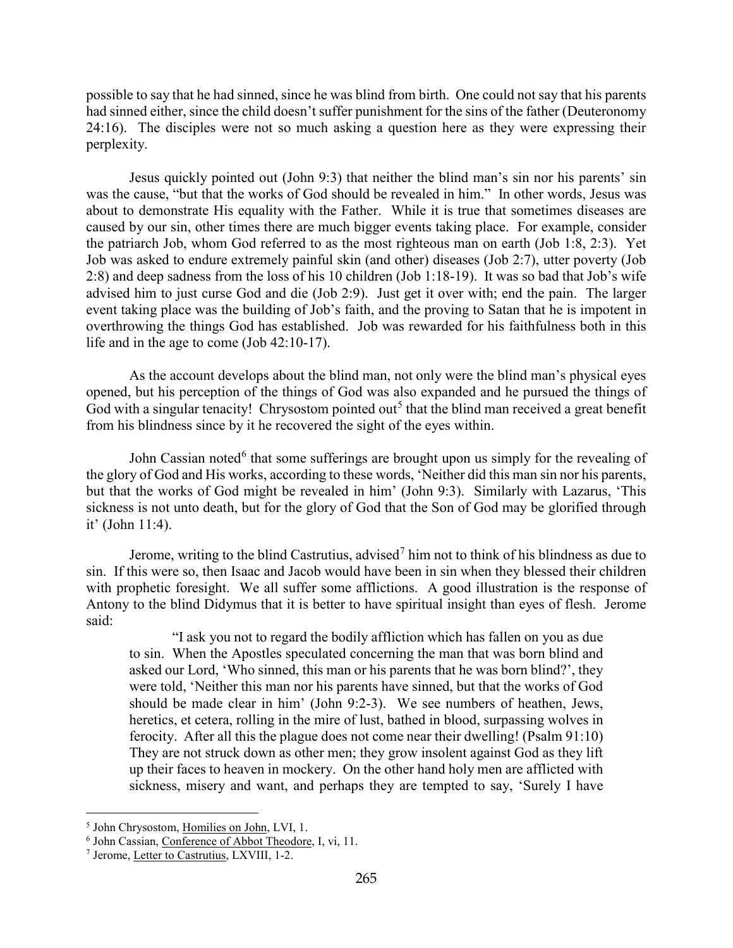possible to say that he had sinned, since he was blind from birth. One could not say that his parents had sinned either, since the child doesn't suffer punishment for the sins of the father (Deuteronomy 24:16). The disciples were not so much asking a question here as they were expressing their perplexity.

Jesus quickly pointed out (John 9:3) that neither the blind man's sin nor his parents' sin was the cause, "but that the works of God should be revealed in him." In other words, Jesus was about to demonstrate His equality with the Father. While it is true that sometimes diseases are caused by our sin, other times there are much bigger events taking place. For example, consider the patriarch Job, whom God referred to as the most righteous man on earth (Job 1:8, 2:3). Yet Job was asked to endure extremely painful skin (and other) diseases (Job 2:7), utter poverty (Job 2:8) and deep sadness from the loss of his 10 children (Job 1:18-19). It was so bad that Job's wife advised him to just curse God and die (Job 2:9). Just get it over with; end the pain. The larger event taking place was the building of Job's faith, and the proving to Satan that he is impotent in overthrowing the things God has established. Job was rewarded for his faithfulness both in this life and in the age to come (Job 42:10-17).

As the account develops about the blind man, not only were the blind man's physical eyes opened, but his perception of the things of God was also expanded and he pursued the things of God with a singular tenacity! Chrysostom pointed out<sup>[5](#page-2-0)</sup> that the blind man received a great benefit from his blindness since by it he recovered the sight of the eyes within.

John Cassian noted<sup>[6](#page-2-1)</sup> that some sufferings are brought upon us simply for the revealing of the glory of God and His works, according to these words, 'Neither did this man sin nor his parents, but that the works of God might be revealed in him' (John 9:3). Similarly with Lazarus, 'This sickness is not unto death, but for the glory of God that the Son of God may be glorified through it' (John 11:4).

Jerome, writing to the blind Castrutius, advised<sup>[7](#page-2-2)</sup> him not to think of his blindness as due to sin. If this were so, then Isaac and Jacob would have been in sin when they blessed their children with prophetic foresight. We all suffer some afflictions. A good illustration is the response of Antony to the blind Didymus that it is better to have spiritual insight than eyes of flesh. Jerome said:

"I ask you not to regard the bodily affliction which has fallen on you as due to sin. When the Apostles speculated concerning the man that was born blind and asked our Lord, 'Who sinned, this man or his parents that he was born blind?', they were told, 'Neither this man nor his parents have sinned, but that the works of God should be made clear in him' (John 9:2-3). We see numbers of heathen, Jews, heretics, et cetera, rolling in the mire of lust, bathed in blood, surpassing wolves in ferocity. After all this the plague does not come near their dwelling! (Psalm 91:10) They are not struck down as other men; they grow insolent against God as they lift up their faces to heaven in mockery. On the other hand holy men are afflicted with sickness, misery and want, and perhaps they are tempted to say, 'Surely I have

<span id="page-2-0"></span><sup>5</sup> John Chrysostom, Homilies on John, LVI, 1.

<span id="page-2-1"></span><sup>&</sup>lt;sup>6</sup> John Cassian, Conference of Abbot Theodore, I, vi, 11.

<span id="page-2-2"></span><sup>7</sup> Jerome, Letter to Castrutius, LXVIII, 1-2.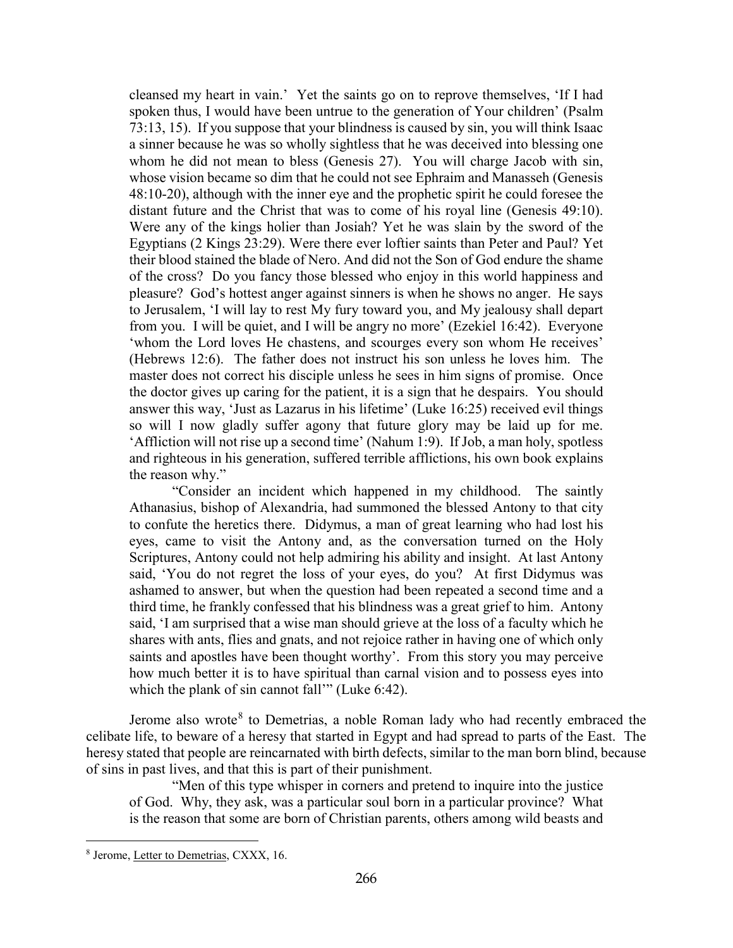cleansed my heart in vain.' Yet the saints go on to reprove themselves, 'If I had spoken thus, I would have been untrue to the generation of Your children' (Psalm 73:13, 15). If you suppose that your blindness is caused by sin, you will think Isaac a sinner because he was so wholly sightless that he was deceived into blessing one whom he did not mean to bless (Genesis 27). You will charge Jacob with sin, whose vision became so dim that he could not see Ephraim and Manasseh (Genesis 48:10-20), although with the inner eye and the prophetic spirit he could foresee the distant future and the Christ that was to come of his royal line (Genesis 49:10). Were any of the kings holier than Josiah? Yet he was slain by the sword of the Egyptians (2 Kings 23:29). Were there ever loftier saints than Peter and Paul? Yet their blood stained the blade of Nero. And did not the Son of God endure the shame of the cross? Do you fancy those blessed who enjoy in this world happiness and pleasure? God's hottest anger against sinners is when he shows no anger. He says to Jerusalem, 'I will lay to rest My fury toward you, and My jealousy shall depart from you. I will be quiet, and I will be angry no more' (Ezekiel 16:42). Everyone 'whom the Lord loves He chastens, and scourges every son whom He receives' (Hebrews 12:6). The father does not instruct his son unless he loves him. The master does not correct his disciple unless he sees in him signs of promise. Once the doctor gives up caring for the patient, it is a sign that he despairs. You should answer this way, 'Just as Lazarus in his lifetime' (Luke 16:25) received evil things so will I now gladly suffer agony that future glory may be laid up for me. 'Affliction will not rise up a second time' (Nahum 1:9). If Job, a man holy, spotless and righteous in his generation, suffered terrible afflictions, his own book explains the reason why."

"Consider an incident which happened in my childhood. The saintly Athanasius, bishop of Alexandria, had summoned the blessed Antony to that city to confute the heretics there. Didymus, a man of great learning who had lost his eyes, came to visit the Antony and, as the conversation turned on the Holy Scriptures, Antony could not help admiring his ability and insight. At last Antony said, 'You do not regret the loss of your eyes, do you? At first Didymus was ashamed to answer, but when the question had been repeated a second time and a third time, he frankly confessed that his blindness was a great grief to him. Antony said, 'I am surprised that a wise man should grieve at the loss of a faculty which he shares with ants, flies and gnats, and not rejoice rather in having one of which only saints and apostles have been thought worthy'. From this story you may perceive how much better it is to have spiritual than carnal vision and to possess eyes into which the plank of sin cannot fall'" (Luke 6:42).

Jerome also wrote<sup>[8](#page-3-0)</sup> to Demetrias, a noble Roman lady who had recently embraced the celibate life, to beware of a heresy that started in Egypt and had spread to parts of the East. The heresy stated that people are reincarnated with birth defects, similar to the man born blind, because of sins in past lives, and that this is part of their punishment.

"Men of this type whisper in corners and pretend to inquire into the justice of God. Why, they ask, was a particular soul born in a particular province? What is the reason that some are born of Christian parents, others among wild beasts and

<span id="page-3-0"></span><sup>8</sup> Jerome, Letter to Demetrias, CXXX, 16.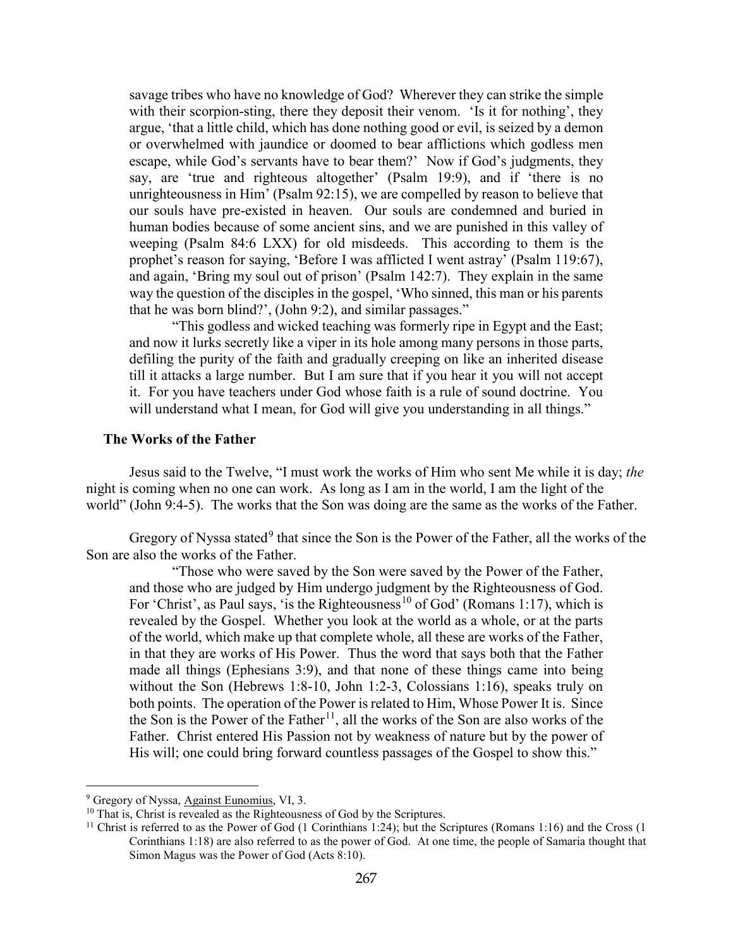savage tribes who have no knowledge of God? Wherever they can strike the simple with their scorpion-sting, there they deposit their venom. 'Is it for nothing', they argue, 'that a little child, which has done nothing good or evil, is seized by a demon or overwhelmed with jaundice or doomed to bear afflictions which godless men escape, while God's servants have to bear them?' Now if God's judgments, they say, are 'true and righteous altogether' (Psalm 19:9), and if 'there is no unrighteousness in Him' (Psalm 92:15), we are compelled by reason to believe that our souls have pre-existed in heaven. Our souls are condemned and buried in human bodies because of some ancient sins, and we are punished in this valley of weeping (Psalm 84:6 LXX) for old misdeeds. This according to them is the prophet's reason for saying, 'Before I was afflicted I went astray' (Psalm 119:67), and again, 'Bring my soul out of prison' (Psalm 142:7). They explain in the same way the question of the disciples in the gospel, 'Who sinned, this man or his parents that he was born blind?', (John 9:2), and similar passages."

"This godless and wicked teaching was formerly ripe in Egypt and the East; and now it lurks secretly like a viper in its hole among many persons in those parts, defiling the purity of the faith and gradually creeping on like an inherited disease till it attacks a large number. But I am sure that if you hear it you will not accept it. For you have teachers under God whose faith is a rule of sound doctrine. You will understand what I mean, for God will give you understanding in all things."

#### <span id="page-4-0"></span>**The Works of the Father**

Jesus said to the Twelve, "I must work the works of Him who sent Me while it is day; *the*  night is coming when no one can work. As long as I am in the world, I am the light of the world" (John 9:4-5). The works that the Son was doing are the same as the works of the Father.

Gregory of Nyssa stated<sup>[9](#page-4-1)</sup> that since the Son is the Power of the Father, all the works of the Son are also the works of the Father.

"Those who were saved by the Son were saved by the Power of the Father, and those who are judged by Him undergo judgment by the Righteousness of God. For 'Christ', as Paul says, 'is the Righteousness<sup>[10](#page-4-2)</sup> of God' (Romans 1:17), which is revealed by the Gospel. Whether you look at the world as a whole, or at the parts of the world, which make up that complete whole, all these are works of the Father, in that they are works of His Power. Thus the word that says both that the Father made all things (Ephesians 3:9), and that none of these things came into being without the Son (Hebrews 1:8-10, John 1:2-3, Colossians 1:16), speaks truly on both points. The operation of the Power is related to Him, Whose Power It is. Since the Son is the Power of the Father<sup>[11](#page-4-3)</sup>, all the works of the Son are also works of the Father. Christ entered His Passion not by weakness of nature but by the power of His will; one could bring forward countless passages of the Gospel to show this."

<span id="page-4-2"></span><span id="page-4-1"></span> $9$  Gregory of Nyssa, Against Eunomius, VI, 3.<br><sup>10</sup> That is, Christ is revealed as the Righteousness of God by the Scriptures.

<span id="page-4-3"></span><sup>&</sup>lt;sup>11</sup> Christ is referred to as the Power of God (1 Corinthians 1:24); but the Scriptures (Romans 1:16) and the Cross (1 Corinthians 1:18) are also referred to as the power of God. At one time, the people of Samaria thought that Simon Magus was the Power of God (Acts 8:10).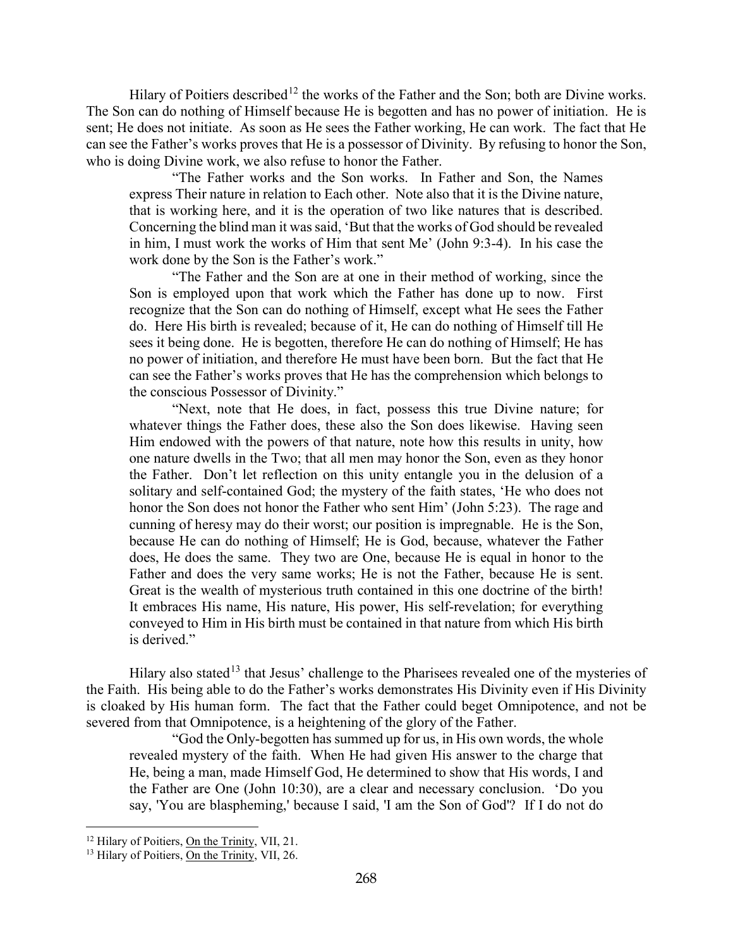Hilary of Poitiers described<sup>[12](#page-5-0)</sup> the works of the Father and the Son; both are Divine works. The Son can do nothing of Himself because He is begotten and has no power of initiation. He is sent; He does not initiate. As soon as He sees the Father working, He can work. The fact that He can see the Father's works proves that He is a possessor of Divinity. By refusing to honor the Son, who is doing Divine work, we also refuse to honor the Father.

"The Father works and the Son works. In Father and Son, the Names express Their nature in relation to Each other. Note also that it is the Divine nature, that is working here, and it is the operation of two like natures that is described. Concerning the blind man it was said, 'But that the works of God should be revealed in him, I must work the works of Him that sent Me' (John 9:3-4). In his case the work done by the Son is the Father's work."

"The Father and the Son are at one in their method of working, since the Son is employed upon that work which the Father has done up to now. First recognize that the Son can do nothing of Himself, except what He sees the Father do. Here His birth is revealed; because of it, He can do nothing of Himself till He sees it being done. He is begotten, therefore He can do nothing of Himself; He has no power of initiation, and therefore He must have been born. But the fact that He can see the Father's works proves that He has the comprehension which belongs to the conscious Possessor of Divinity."

"Next, note that He does, in fact, possess this true Divine nature; for whatever things the Father does, these also the Son does likewise. Having seen Him endowed with the powers of that nature, note how this results in unity, how one nature dwells in the Two; that all men may honor the Son, even as they honor the Father. Don't let reflection on this unity entangle you in the delusion of a solitary and self-contained God; the mystery of the faith states, 'He who does not honor the Son does not honor the Father who sent Him' (John 5:23). The rage and cunning of heresy may do their worst; our position is impregnable. He is the Son, because He can do nothing of Himself; He is God, because, whatever the Father does, He does the same. They two are One, because He is equal in honor to the Father and does the very same works; He is not the Father, because He is sent. Great is the wealth of mysterious truth contained in this one doctrine of the birth! It embraces His name, His nature, His power, His self-revelation; for everything conveyed to Him in His birth must be contained in that nature from which His birth is derived."

Hilary also stated<sup>[13](#page-5-1)</sup> that Jesus' challenge to the Pharisees revealed one of the mysteries of the Faith. His being able to do the Father's works demonstrates His Divinity even if His Divinity is cloaked by His human form. The fact that the Father could beget Omnipotence, and not be severed from that Omnipotence, is a heightening of the glory of the Father.

"God the Only-begotten has summed up for us, in His own words, the whole revealed mystery of the faith. When He had given His answer to the charge that He, being a man, made Himself God, He determined to show that His words, I and the Father are One (John 10:30), are a clear and necessary conclusion. 'Do you say, 'You are blaspheming,' because I said, 'I am the Son of God'? If I do not do

<span id="page-5-0"></span><sup>&</sup>lt;sup>12</sup> Hilary of Poitiers, On the Trinity, VII, 21.

<span id="page-5-1"></span><sup>&</sup>lt;sup>13</sup> Hilary of Poitiers, On the Trinity, VII, 26.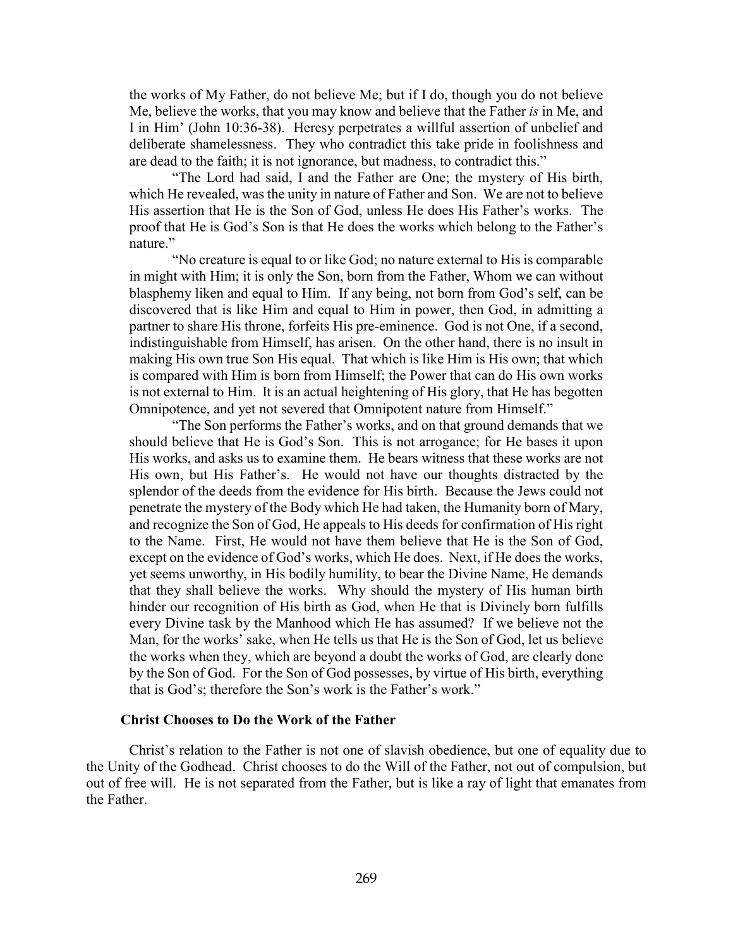the works of My Father, do not believe Me; but if I do, though you do not believe Me, believe the works, that you may know and believe that the Father *is* in Me, and I in Him' (John 10:36-38). Heresy perpetrates a willful assertion of unbelief and deliberate shamelessness. They who contradict this take pride in foolishness and are dead to the faith; it is not ignorance, but madness, to contradict this."

"The Lord had said, I and the Father are One; the mystery of His birth, which He revealed, was the unity in nature of Father and Son. We are not to believe His assertion that He is the Son of God, unless He does His Father's works. The proof that He is God's Son is that He does the works which belong to the Father's nature."

"No creature is equal to or like God; no nature external to His is comparable in might with Him; it is only the Son, born from the Father, Whom we can without blasphemy liken and equal to Him. If any being, not born from God's self, can be discovered that is like Him and equal to Him in power, then God, in admitting a partner to share His throne, forfeits His pre-eminence. God is not One, if a second, indistinguishable from Himself, has arisen. On the other hand, there is no insult in making His own true Son His equal. That which is like Him is His own; that which is compared with Him is born from Himself; the Power that can do His own works is not external to Him. It is an actual heightening of His glory, that He has begotten Omnipotence, and yet not severed that Omnipotent nature from Himself."

"The Son performs the Father's works, and on that ground demands that we should believe that He is God's Son. This is not arrogance; for He bases it upon His works, and asks us to examine them. He bears witness that these works are not His own, but His Father's. He would not have our thoughts distracted by the splendor of the deeds from the evidence for His birth. Because the Jews could not penetrate the mystery of the Body which He had taken, the Humanity born of Mary, and recognize the Son of God, He appeals to His deeds for confirmation of His right to the Name. First, He would not have them believe that He is the Son of God, except on the evidence of God's works, which He does. Next, if He does the works, yet seems unworthy, in His bodily humility, to bear the Divine Name, He demands that they shall believe the works. Why should the mystery of His human birth hinder our recognition of His birth as God, when He that is Divinely born fulfills every Divine task by the Manhood which He has assumed? If we believe not the Man, for the works' sake, when He tells us that He is the Son of God, let us believe the works when they, which are beyond a doubt the works of God, are clearly done by the Son of God. For the Son of God possesses, by virtue of His birth, everything that is God's; therefore the Son's work is the Father's work."

#### **Christ Chooses to Do the Work of the Father**

<span id="page-6-0"></span>Christ's relation to the Father is not one of slavish obedience, but one of equality due to the Unity of the Godhead. Christ chooses to do the Will of the Father, not out of compulsion, but out of free will. He is not separated from the Father, but is like a ray of light that emanates from the Father.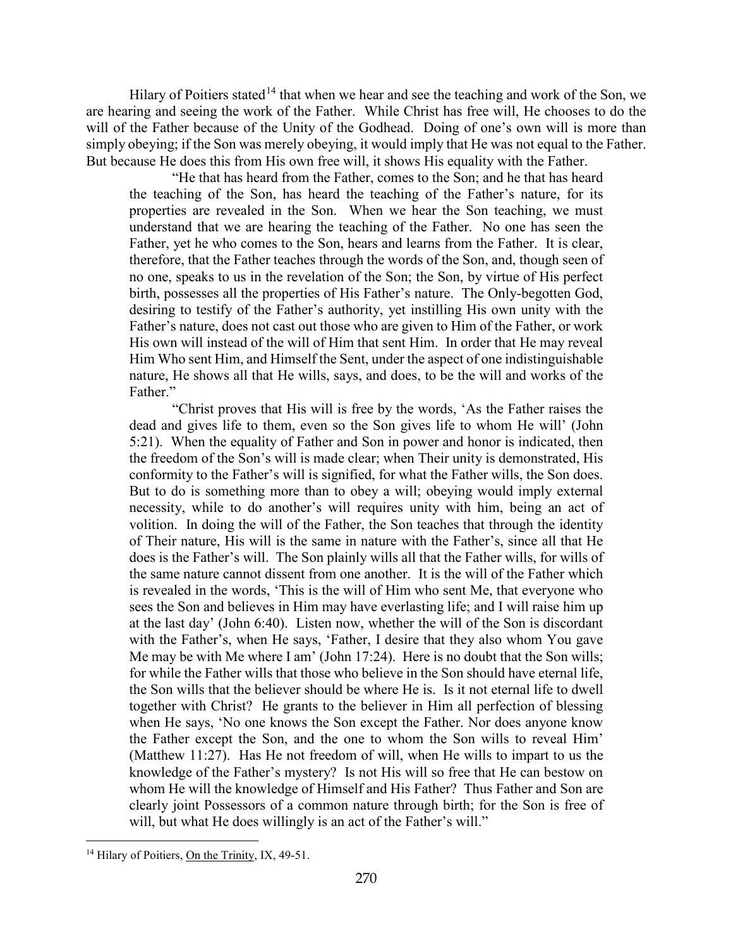Hilary of Poitiers stated<sup>[14](#page-7-0)</sup> that when we hear and see the teaching and work of the Son, we are hearing and seeing the work of the Father. While Christ has free will, He chooses to do the will of the Father because of the Unity of the Godhead. Doing of one's own will is more than simply obeying; if the Son was merely obeying, it would imply that He was not equal to the Father. But because He does this from His own free will, it shows His equality with the Father.

"He that has heard from the Father, comes to the Son; and he that has heard the teaching of the Son, has heard the teaching of the Father's nature, for its properties are revealed in the Son. When we hear the Son teaching, we must understand that we are hearing the teaching of the Father. No one has seen the Father, yet he who comes to the Son, hears and learns from the Father. It is clear, therefore, that the Father teaches through the words of the Son, and, though seen of no one, speaks to us in the revelation of the Son; the Son, by virtue of His perfect birth, possesses all the properties of His Father's nature. The Only-begotten God, desiring to testify of the Father's authority, yet instilling His own unity with the Father's nature, does not cast out those who are given to Him of the Father, or work His own will instead of the will of Him that sent Him. In order that He may reveal Him Who sent Him, and Himself the Sent, under the aspect of one indistinguishable nature, He shows all that He wills, says, and does, to be the will and works of the Father."

"Christ proves that His will is free by the words, 'As the Father raises the dead and gives life to them, even so the Son gives life to whom He will' (John 5:21). When the equality of Father and Son in power and honor is indicated, then the freedom of the Son's will is made clear; when Their unity is demonstrated, His conformity to the Father's will is signified, for what the Father wills, the Son does. But to do is something more than to obey a will; obeying would imply external necessity, while to do another's will requires unity with him, being an act of volition. In doing the will of the Father, the Son teaches that through the identity of Their nature, His will is the same in nature with the Father's, since all that He does is the Father's will. The Son plainly wills all that the Father wills, for wills of the same nature cannot dissent from one another. It is the will of the Father which is revealed in the words, 'This is the will of Him who sent Me, that everyone who sees the Son and believes in Him may have everlasting life; and I will raise him up at the last day' (John 6:40). Listen now, whether the will of the Son is discordant with the Father's, when He says, 'Father, I desire that they also whom You gave Me may be with Me where I am' (John 17:24). Here is no doubt that the Son wills; for while the Father wills that those who believe in the Son should have eternal life, the Son wills that the believer should be where He is. Is it not eternal life to dwell together with Christ? He grants to the believer in Him all perfection of blessing when He says, 'No one knows the Son except the Father. Nor does anyone know the Father except the Son, and the one to whom the Son wills to reveal Him' (Matthew 11:27). Has He not freedom of will, when He wills to impart to us the knowledge of the Father's mystery? Is not His will so free that He can bestow on whom He will the knowledge of Himself and His Father? Thus Father and Son are clearly joint Possessors of a common nature through birth; for the Son is free of will, but what He does willingly is an act of the Father's will."

<span id="page-7-0"></span><sup>&</sup>lt;sup>14</sup> Hilary of Poitiers, On the Trinity, IX, 49-51.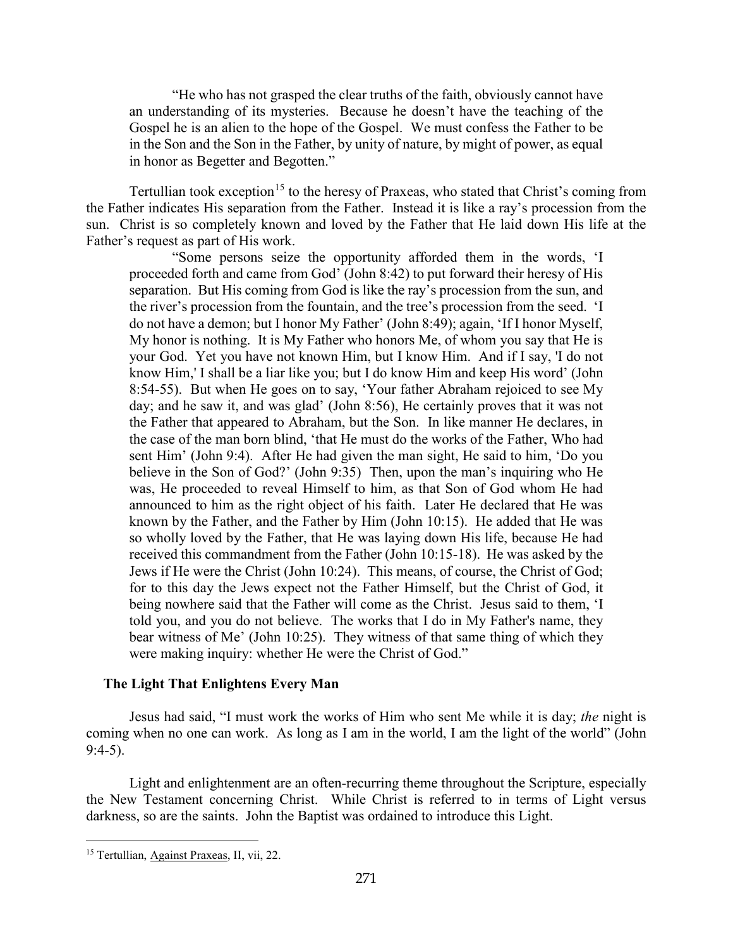"He who has not grasped the clear truths of the faith, obviously cannot have an understanding of its mysteries. Because he doesn't have the teaching of the Gospel he is an alien to the hope of the Gospel. We must confess the Father to be in the Son and the Son in the Father, by unity of nature, by might of power, as equal in honor as Begetter and Begotten."

Tertullian took exception<sup>[15](#page-8-1)</sup> to the heresy of Praxeas, who stated that Christ's coming from the Father indicates His separation from the Father. Instead it is like a ray's procession from the sun. Christ is so completely known and loved by the Father that He laid down His life at the Father's request as part of His work.

"Some persons seize the opportunity afforded them in the words, 'I proceeded forth and came from God' (John 8:42) to put forward their heresy of His separation. But His coming from God is like the ray's procession from the sun, and the river's procession from the fountain, and the tree's procession from the seed. 'I do not have a demon; but I honor My Father' (John 8:49); again, 'If I honor Myself, My honor is nothing. It is My Father who honors Me, of whom you say that He is your God. Yet you have not known Him, but I know Him. And if I say, 'I do not know Him,' I shall be a liar like you; but I do know Him and keep His word' (John 8:54-55). But when He goes on to say, 'Your father Abraham rejoiced to see My day; and he saw it, and was glad' (John 8:56), He certainly proves that it was not the Father that appeared to Abraham, but the Son. In like manner He declares, in the case of the man born blind, 'that He must do the works of the Father, Who had sent Him' (John 9:4). After He had given the man sight, He said to him, 'Do you believe in the Son of God?' (John 9:35) Then, upon the man's inquiring who He was, He proceeded to reveal Himself to him, as that Son of God whom He had announced to him as the right object of his faith. Later He declared that He was known by the Father, and the Father by Him (John 10:15). He added that He was so wholly loved by the Father, that He was laying down His life, because He had received this commandment from the Father (John 10:15-18). He was asked by the Jews if He were the Christ (John 10:24). This means, of course, the Christ of God; for to this day the Jews expect not the Father Himself, but the Christ of God, it being nowhere said that the Father will come as the Christ. Jesus said to them, 'I told you, and you do not believe. The works that I do in My Father's name, they bear witness of Me' (John 10:25). They witness of that same thing of which they were making inquiry: whether He were the Christ of God."

### <span id="page-8-0"></span>**The Light That Enlightens Every Man**

Jesus had said, "I must work the works of Him who sent Me while it is day; *the* night is coming when no one can work. As long as I am in the world, I am the light of the world" (John 9:4-5).

Light and enlightenment are an often-recurring theme throughout the Scripture, especially the New Testament concerning Christ. While Christ is referred to in terms of Light versus darkness, so are the saints. John the Baptist was ordained to introduce this Light.

<span id="page-8-1"></span><sup>15</sup> Tertullian, Against Praxeas, II, vii, 22.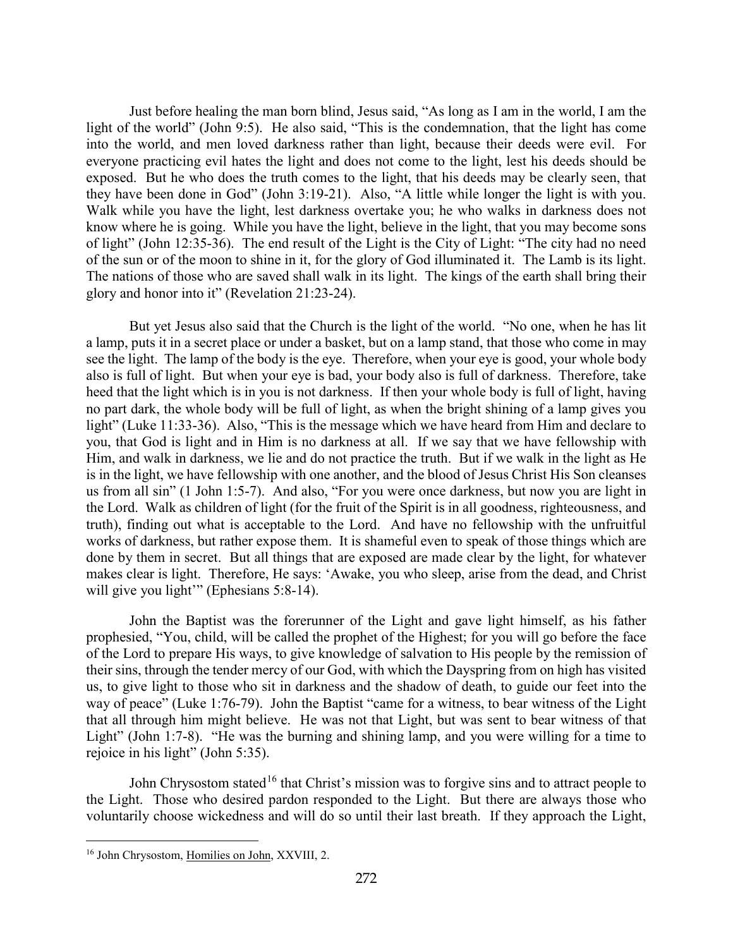Just before healing the man born blind, Jesus said, "As long as I am in the world, I am the light of the world" (John 9:5). He also said, "This is the condemnation, that the light has come into the world, and men loved darkness rather than light, because their deeds were evil. For everyone practicing evil hates the light and does not come to the light, lest his deeds should be exposed. But he who does the truth comes to the light, that his deeds may be clearly seen, that they have been done in God" (John 3:19-21). Also, "A little while longer the light is with you. Walk while you have the light, lest darkness overtake you; he who walks in darkness does not know where he is going. While you have the light, believe in the light, that you may become sons of light" (John 12:35-36). The end result of the Light is the City of Light: "The city had no need of the sun or of the moon to shine in it, for the glory of God illuminated it. The Lamb is its light. The nations of those who are saved shall walk in its light. The kings of the earth shall bring their glory and honor into it" (Revelation 21:23-24).

But yet Jesus also said that the Church is the light of the world. "No one, when he has lit a lamp, puts it in a secret place or under a basket, but on a lamp stand, that those who come in may see the light. The lamp of the body is the eye. Therefore, when your eye is good, your whole body also is full of light. But when your eye is bad, your body also is full of darkness. Therefore, take heed that the light which is in you is not darkness. If then your whole body is full of light, having no part dark, the whole body will be full of light, as when the bright shining of a lamp gives you light" (Luke 11:33-36). Also, "This is the message which we have heard from Him and declare to you, that God is light and in Him is no darkness at all. If we say that we have fellowship with Him, and walk in darkness, we lie and do not practice the truth. But if we walk in the light as He is in the light, we have fellowship with one another, and the blood of Jesus Christ His Son cleanses us from all sin" (1 John 1:5-7). And also, "For you were once darkness, but now you are light in the Lord. Walk as children of light (for the fruit of the Spirit is in all goodness, righteousness, and truth), finding out what is acceptable to the Lord. And have no fellowship with the unfruitful works of darkness, but rather expose them. It is shameful even to speak of those things which are done by them in secret. But all things that are exposed are made clear by the light, for whatever makes clear is light. Therefore, He says: 'Awake, you who sleep, arise from the dead, and Christ will give you light" (Ephesians 5:8-14).

John the Baptist was the forerunner of the Light and gave light himself, as his father prophesied, "You, child, will be called the prophet of the Highest; for you will go before the face of the Lord to prepare His ways, to give knowledge of salvation to His people by the remission of their sins, through the tender mercy of our God, with which the Dayspring from on high has visited us, to give light to those who sit in darkness and the shadow of death, to guide our feet into the way of peace" (Luke 1:76-79). John the Baptist "came for a witness, to bear witness of the Light that all through him might believe. He was not that Light, but was sent to bear witness of that Light" (John 1:7-8). "He was the burning and shining lamp, and you were willing for a time to rejoice in his light" (John 5:35).

John Chrysostom stated<sup>[16](#page-9-0)</sup> that Christ's mission was to forgive sins and to attract people to the Light. Those who desired pardon responded to the Light. But there are always those who voluntarily choose wickedness and will do so until their last breath. If they approach the Light,

<span id="page-9-0"></span><sup>&</sup>lt;sup>16</sup> John Chrysostom, Homilies on John, XXVIII, 2.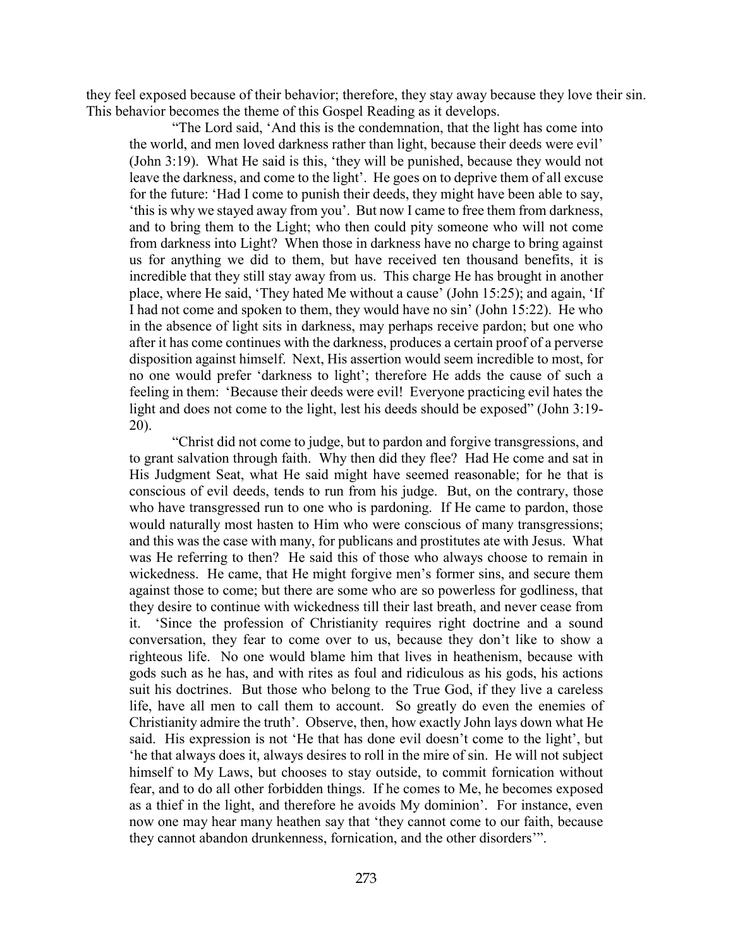they feel exposed because of their behavior; therefore, they stay away because they love their sin. This behavior becomes the theme of this Gospel Reading as it develops.

"The Lord said, 'And this is the condemnation, that the light has come into the world, and men loved darkness rather than light, because their deeds were evil' (John 3:19). What He said is this, 'they will be punished, because they would not leave the darkness, and come to the light'. He goes on to deprive them of all excuse for the future: 'Had I come to punish their deeds, they might have been able to say, 'this is why we stayed away from you'. But now I came to free them from darkness, and to bring them to the Light; who then could pity someone who will not come from darkness into Light? When those in darkness have no charge to bring against us for anything we did to them, but have received ten thousand benefits, it is incredible that they still stay away from us. This charge He has brought in another place, where He said, 'They hated Me without a cause' (John 15:25); and again, 'If I had not come and spoken to them, they would have no sin' (John 15:22). He who in the absence of light sits in darkness, may perhaps receive pardon; but one who after it has come continues with the darkness, produces a certain proof of a perverse disposition against himself. Next, His assertion would seem incredible to most, for no one would prefer 'darkness to light'; therefore He adds the cause of such a feeling in them: 'Because their deeds were evil! Everyone practicing evil hates the light and does not come to the light, lest his deeds should be exposed" (John 3:19- 20).

"Christ did not come to judge, but to pardon and forgive transgressions, and to grant salvation through faith. Why then did they flee? Had He come and sat in His Judgment Seat, what He said might have seemed reasonable; for he that is conscious of evil deeds, tends to run from his judge. But, on the contrary, those who have transgressed run to one who is pardoning. If He came to pardon, those would naturally most hasten to Him who were conscious of many transgressions; and this was the case with many, for publicans and prostitutes ate with Jesus. What was He referring to then? He said this of those who always choose to remain in wickedness. He came, that He might forgive men's former sins, and secure them against those to come; but there are some who are so powerless for godliness, that they desire to continue with wickedness till their last breath, and never cease from it. 'Since the profession of Christianity requires right doctrine and a sound conversation, they fear to come over to us, because they don't like to show a righteous life. No one would blame him that lives in heathenism, because with gods such as he has, and with rites as foul and ridiculous as his gods, his actions suit his doctrines. But those who belong to the True God, if they live a careless life, have all men to call them to account. So greatly do even the enemies of Christianity admire the truth'. Observe, then, how exactly John lays down what He said. His expression is not 'He that has done evil doesn't come to the light', but 'he that always does it, always desires to roll in the mire of sin. He will not subject himself to My Laws, but chooses to stay outside, to commit fornication without fear, and to do all other forbidden things. If he comes to Me, he becomes exposed as a thief in the light, and therefore he avoids My dominion'. For instance, even now one may hear many heathen say that 'they cannot come to our faith, because they cannot abandon drunkenness, fornication, and the other disorders'".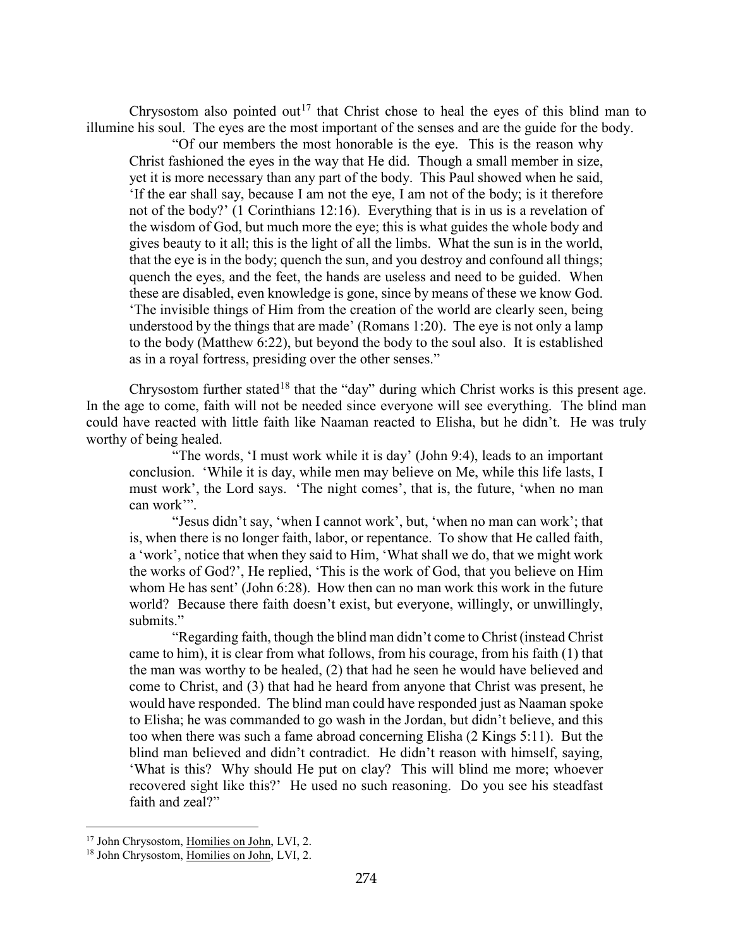Chrysostom also pointed out<sup>[17](#page-11-0)</sup> that Christ chose to heal the eyes of this blind man to illumine his soul. The eyes are the most important of the senses and are the guide for the body.

"Of our members the most honorable is the eye. This is the reason why Christ fashioned the eyes in the way that He did. Though a small member in size, yet it is more necessary than any part of the body. This Paul showed when he said, 'If the ear shall say, because I am not the eye, I am not of the body; is it therefore not of the body?' (1 Corinthians 12:16). Everything that is in us is a revelation of the wisdom of God, but much more the eye; this is what guides the whole body and gives beauty to it all; this is the light of all the limbs. What the sun is in the world, that the eye is in the body; quench the sun, and you destroy and confound all things; quench the eyes, and the feet, the hands are useless and need to be guided. When these are disabled, even knowledge is gone, since by means of these we know God. 'The invisible things of Him from the creation of the world are clearly seen, being understood by the things that are made' (Romans 1:20). The eye is not only a lamp to the body (Matthew 6:22), but beyond the body to the soul also. It is established as in a royal fortress, presiding over the other senses."

Chrysostom further stated<sup>[18](#page-11-1)</sup> that the "day" during which Christ works is this present age. In the age to come, faith will not be needed since everyone will see everything. The blind man could have reacted with little faith like Naaman reacted to Elisha, but he didn't. He was truly worthy of being healed.

"The words, 'I must work while it is day' (John 9:4), leads to an important conclusion. 'While it is day, while men may believe on Me, while this life lasts, I must work', the Lord says. 'The night comes', that is, the future, 'when no man can work'".

"Jesus didn't say, 'when I cannot work', but, 'when no man can work'; that is, when there is no longer faith, labor, or repentance. To show that He called faith, a 'work', notice that when they said to Him, 'What shall we do, that we might work the works of God?', He replied, 'This is the work of God, that you believe on Him whom He has sent' (John 6:28). How then can no man work this work in the future world? Because there faith doesn't exist, but everyone, willingly, or unwillingly, submits."

"Regarding faith, though the blind man didn't come to Christ (instead Christ came to him), it is clear from what follows, from his courage, from his faith (1) that the man was worthy to be healed, (2) that had he seen he would have believed and come to Christ, and (3) that had he heard from anyone that Christ was present, he would have responded. The blind man could have responded just as Naaman spoke to Elisha; he was commanded to go wash in the Jordan, but didn't believe, and this too when there was such a fame abroad concerning Elisha (2 Kings 5:11). But the blind man believed and didn't contradict. He didn't reason with himself, saying, 'What is this? Why should He put on clay? This will blind me more; whoever recovered sight like this?' He used no such reasoning. Do you see his steadfast faith and zeal?"

<span id="page-11-0"></span><sup>&</sup>lt;sup>17</sup> John Chrysostom, Homilies on John, LVI, 2.

<span id="page-11-1"></span><sup>&</sup>lt;sup>18</sup> John Chrysostom, Homilies on John, LVI, 2.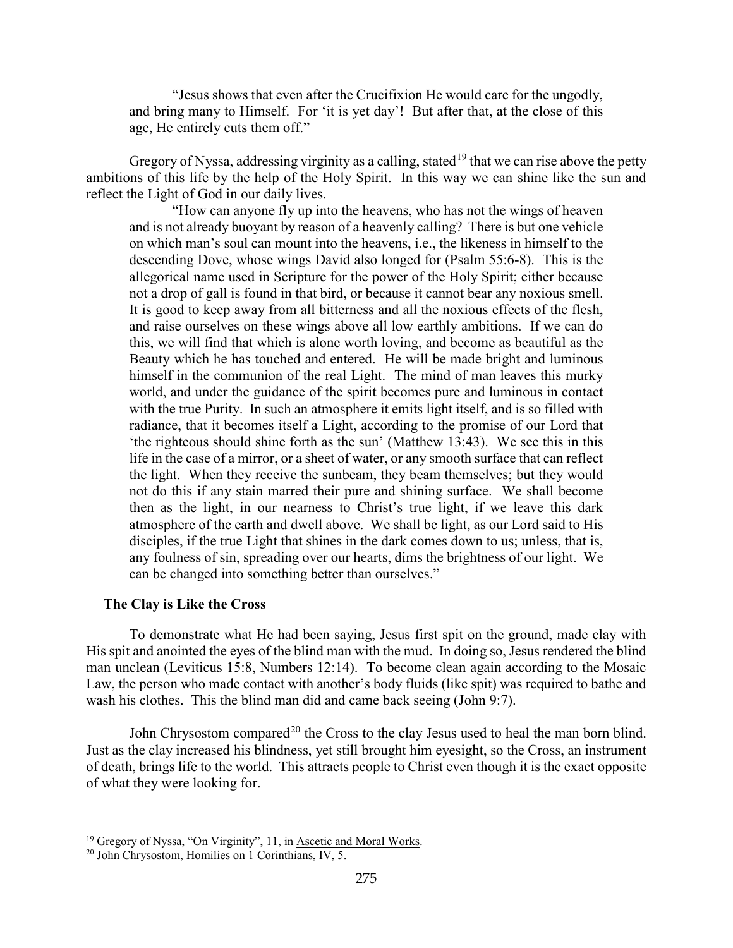"Jesus shows that even after the Crucifixion He would care for the ungodly, and bring many to Himself. For 'it is yet day'! But after that, at the close of this age, He entirely cuts them off."

Gregory of Nyssa, addressing virginity as a calling, stated<sup>[19](#page-12-1)</sup> that we can rise above the petty ambitions of this life by the help of the Holy Spirit. In this way we can shine like the sun and reflect the Light of God in our daily lives.

"How can anyone fly up into the heavens, who has not the wings of heaven and is not already buoyant by reason of a heavenly calling? There is but one vehicle on which man's soul can mount into the heavens, i.e., the likeness in himself to the descending Dove, whose wings David also longed for (Psalm 55:6-8). This is the allegorical name used in Scripture for the power of the Holy Spirit; either because not a drop of gall is found in that bird, or because it cannot bear any noxious smell. It is good to keep away from all bitterness and all the noxious effects of the flesh, and raise ourselves on these wings above all low earthly ambitions. If we can do this, we will find that which is alone worth loving, and become as beautiful as the Beauty which he has touched and entered. He will be made bright and luminous himself in the communion of the real Light. The mind of man leaves this murky world, and under the guidance of the spirit becomes pure and luminous in contact with the true Purity. In such an atmosphere it emits light itself, and is so filled with radiance, that it becomes itself a Light, according to the promise of our Lord that 'the righteous should shine forth as the sun' (Matthew 13:43). We see this in this life in the case of a mirror, or a sheet of water, or any smooth surface that can reflect the light. When they receive the sunbeam, they beam themselves; but they would not do this if any stain marred their pure and shining surface. We shall become then as the light, in our nearness to Christ's true light, if we leave this dark atmosphere of the earth and dwell above. We shall be light, as our Lord said to His disciples, if the true Light that shines in the dark comes down to us; unless, that is, any foulness of sin, spreading over our hearts, dims the brightness of our light. We can be changed into something better than ourselves."

#### <span id="page-12-0"></span>**The Clay is Like the Cross**

To demonstrate what He had been saying, Jesus first spit on the ground, made clay with His spit and anointed the eyes of the blind man with the mud. In doing so, Jesus rendered the blind man unclean (Leviticus 15:8, Numbers 12:14). To become clean again according to the Mosaic Law, the person who made contact with another's body fluids (like spit) was required to bathe and wash his clothes. This the blind man did and came back seeing (John 9:7).

John Chrysostom compared<sup>[20](#page-12-2)</sup> the Cross to the clay Jesus used to heal the man born blind. Just as the clay increased his blindness, yet still brought him eyesight, so the Cross, an instrument of death, brings life to the world. This attracts people to Christ even though it is the exact opposite of what they were looking for.

<span id="page-12-1"></span><sup>&</sup>lt;sup>19</sup> Gregory of Nyssa, "On Virginity", 11, in **Ascetic and Moral Works**.

<span id="page-12-2"></span><sup>20</sup> John Chrysostom, Homilies on 1 Corinthians, IV, 5.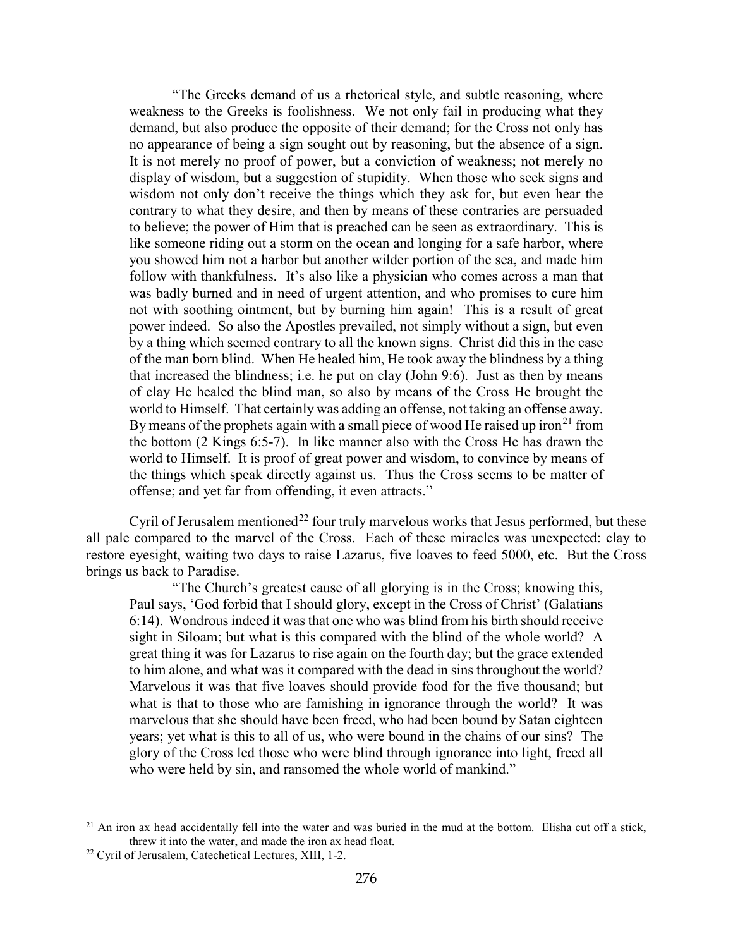"The Greeks demand of us a rhetorical style, and subtle reasoning, where weakness to the Greeks is foolishness. We not only fail in producing what they demand, but also produce the opposite of their demand; for the Cross not only has no appearance of being a sign sought out by reasoning, but the absence of a sign. It is not merely no proof of power, but a conviction of weakness; not merely no display of wisdom, but a suggestion of stupidity. When those who seek signs and wisdom not only don't receive the things which they ask for, but even hear the contrary to what they desire, and then by means of these contraries are persuaded to believe; the power of Him that is preached can be seen as extraordinary. This is like someone riding out a storm on the ocean and longing for a safe harbor, where you showed him not a harbor but another wilder portion of the sea, and made him follow with thankfulness. It's also like a physician who comes across a man that was badly burned and in need of urgent attention, and who promises to cure him not with soothing ointment, but by burning him again! This is a result of great power indeed. So also the Apostles prevailed, not simply without a sign, but even by a thing which seemed contrary to all the known signs. Christ did this in the case of the man born blind. When He healed him, He took away the blindness by a thing that increased the blindness; i.e. he put on clay (John 9:6). Just as then by means of clay He healed the blind man, so also by means of the Cross He brought the world to Himself. That certainly was adding an offense, not taking an offense away. By means of the prophets again with a small piece of wood He raised up iron<sup>[21](#page-13-0)</sup> from the bottom (2 Kings 6:5-7). In like manner also with the Cross He has drawn the world to Himself. It is proof of great power and wisdom, to convince by means of the things which speak directly against us. Thus the Cross seems to be matter of offense; and yet far from offending, it even attracts."

Cyril of Jerusalem mentioned<sup>[22](#page-13-1)</sup> four truly marvelous works that Jesus performed, but these all pale compared to the marvel of the Cross. Each of these miracles was unexpected: clay to restore eyesight, waiting two days to raise Lazarus, five loaves to feed 5000, etc. But the Cross brings us back to Paradise.

"The Church's greatest cause of all glorying is in the Cross; knowing this, Paul says, 'God forbid that I should glory, except in the Cross of Christ' (Galatians 6:14). Wondrous indeed it was that one who was blind from his birth should receive sight in Siloam; but what is this compared with the blind of the whole world? A great thing it was for Lazarus to rise again on the fourth day; but the grace extended to him alone, and what was it compared with the dead in sins throughout the world? Marvelous it was that five loaves should provide food for the five thousand; but what is that to those who are famishing in ignorance through the world? It was marvelous that she should have been freed, who had been bound by Satan eighteen years; yet what is this to all of us, who were bound in the chains of our sins? The glory of the Cross led those who were blind through ignorance into light, freed all who were held by sin, and ransomed the whole world of mankind."

<span id="page-13-0"></span> $^{21}$  An iron ax head accidentally fell into the water and was buried in the mud at the bottom. Elisha cut off a stick, threw it into the water, and made the iron ax head float.

<span id="page-13-1"></span><sup>22</sup> Cyril of Jerusalem, Catechetical Lectures, XIII, 1-2.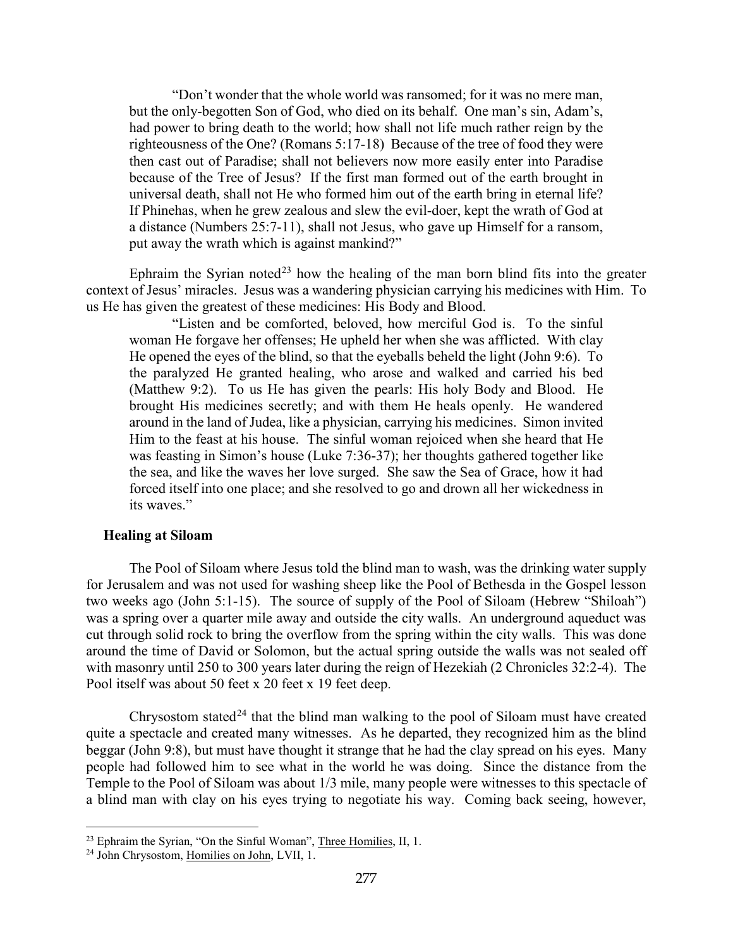"Don't wonder that the whole world was ransomed; for it was no mere man, but the only-begotten Son of God, who died on its behalf. One man's sin, Adam's, had power to bring death to the world; how shall not life much rather reign by the righteousness of the One? (Romans 5:17-18) Because of the tree of food they were then cast out of Paradise; shall not believers now more easily enter into Paradise because of the Tree of Jesus? If the first man formed out of the earth brought in universal death, shall not He who formed him out of the earth bring in eternal life? If Phinehas, when he grew zealous and slew the evil-doer, kept the wrath of God at a distance (Numbers 25:7-11), shall not Jesus, who gave up Himself for a ransom, put away the wrath which is against mankind?"

Ephraim the Syrian noted<sup>[23](#page-14-1)</sup> how the healing of the man born blind fits into the greater context of Jesus' miracles. Jesus was a wandering physician carrying his medicines with Him. To us He has given the greatest of these medicines: His Body and Blood.

"Listen and be comforted, beloved, how merciful God is. To the sinful woman He forgave her offenses; He upheld her when she was afflicted. With clay He opened the eyes of the blind, so that the eyeballs beheld the light (John 9:6). To the paralyzed He granted healing, who arose and walked and carried his bed (Matthew 9:2). To us He has given the pearls: His holy Body and Blood. He brought His medicines secretly; and with them He heals openly. He wandered around in the land of Judea, like a physician, carrying his medicines. Simon invited Him to the feast at his house. The sinful woman rejoiced when she heard that He was feasting in Simon's house (Luke 7:36-37); her thoughts gathered together like the sea, and like the waves her love surged. She saw the Sea of Grace, how it had forced itself into one place; and she resolved to go and drown all her wickedness in its waves."

### <span id="page-14-0"></span>**Healing at Siloam**

The Pool of Siloam where Jesus told the blind man to wash, was the drinking water supply for Jerusalem and was not used for washing sheep like the Pool of Bethesda in the Gospel lesson two weeks ago (John 5:1-15). The source of supply of the Pool of Siloam (Hebrew "Shiloah") was a spring over a quarter mile away and outside the city walls. An underground aqueduct was cut through solid rock to bring the overflow from the spring within the city walls. This was done around the time of David or Solomon, but the actual spring outside the walls was not sealed off with masonry until 250 to 300 years later during the reign of Hezekiah (2 Chronicles 32:2-4). The Pool itself was about 50 feet x 20 feet x 19 feet deep.

Chrysostom stated<sup>[24](#page-14-2)</sup> that the blind man walking to the pool of Siloam must have created quite a spectacle and created many witnesses. As he departed, they recognized him as the blind beggar (John 9:8), but must have thought it strange that he had the clay spread on his eyes. Many people had followed him to see what in the world he was doing. Since the distance from the Temple to the Pool of Siloam was about 1/3 mile, many people were witnesses to this spectacle of a blind man with clay on his eyes trying to negotiate his way. Coming back seeing, however,

<span id="page-14-1"></span><sup>&</sup>lt;sup>23</sup> Ephraim the Syrian, "On the Sinful Woman", Three Homilies, II, 1.

<span id="page-14-2"></span><sup>24</sup> John Chrysostom, Homilies on John, LVII, 1.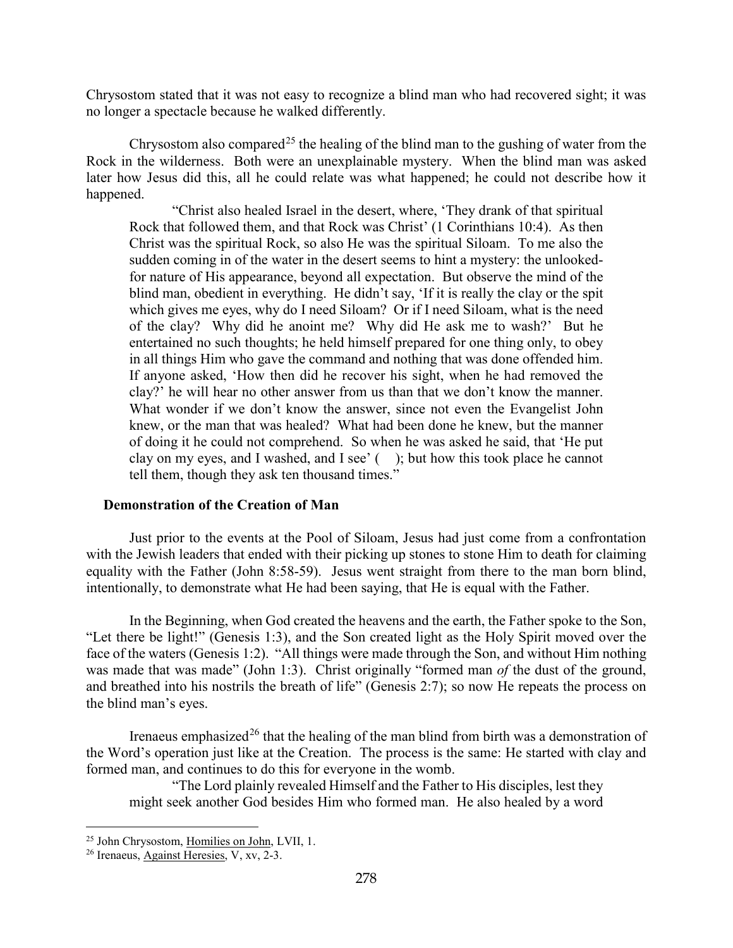Chrysostom stated that it was not easy to recognize a blind man who had recovered sight; it was no longer a spectacle because he walked differently.

Chrysostom also compared<sup>[25](#page-15-1)</sup> the healing of the blind man to the gushing of water from the Rock in the wilderness. Both were an unexplainable mystery. When the blind man was asked later how Jesus did this, all he could relate was what happened; he could not describe how it happened.

"Christ also healed Israel in the desert, where, 'They drank of that spiritual Rock that followed them, and that Rock was Christ' (1 Corinthians 10:4). As then Christ was the spiritual Rock, so also He was the spiritual Siloam. To me also the sudden coming in of the water in the desert seems to hint a mystery: the unlookedfor nature of His appearance, beyond all expectation. But observe the mind of the blind man, obedient in everything. He didn't say, 'If it is really the clay or the spit which gives me eyes, why do I need Siloam? Or if I need Siloam, what is the need of the clay? Why did he anoint me? Why did He ask me to wash?' But he entertained no such thoughts; he held himself prepared for one thing only, to obey in all things Him who gave the command and nothing that was done offended him. If anyone asked, 'How then did he recover his sight, when he had removed the clay?' he will hear no other answer from us than that we don't know the manner. What wonder if we don't know the answer, since not even the Evangelist John knew, or the man that was healed? What had been done he knew, but the manner of doing it he could not comprehend. So when he was asked he said, that 'He put clay on my eyes, and I washed, and I see' ( ); but how this took place he cannot tell them, though they ask ten thousand times."

#### <span id="page-15-0"></span>**Demonstration of the Creation of Man**

Just prior to the events at the Pool of Siloam, Jesus had just come from a confrontation with the Jewish leaders that ended with their picking up stones to stone Him to death for claiming equality with the Father (John 8:58-59). Jesus went straight from there to the man born blind, intentionally, to demonstrate what He had been saying, that He is equal with the Father.

In the Beginning, when God created the heavens and the earth, the Father spoke to the Son, "Let there be light!" (Genesis 1:3), and the Son created light as the Holy Spirit moved over the face of the waters (Genesis 1:2). "All things were made through the Son, and without Him nothing was made that was made" (John 1:3). Christ originally "formed man *of* the dust of the ground, and breathed into his nostrils the breath of life" (Genesis 2:7); so now He repeats the process on the blind man's eyes.

Irenaeus emphasized<sup>[26](#page-15-2)</sup> that the healing of the man blind from birth was a demonstration of the Word's operation just like at the Creation. The process is the same: He started with clay and formed man, and continues to do this for everyone in the womb.

"The Lord plainly revealed Himself and the Father to His disciples, lest they might seek another God besides Him who formed man. He also healed by a word

<span id="page-15-1"></span><sup>25</sup> John Chrysostom, Homilies on John, LVII, 1.

<span id="page-15-2"></span><sup>26</sup> Irenaeus, Against Heresies, V, xv, 2-3.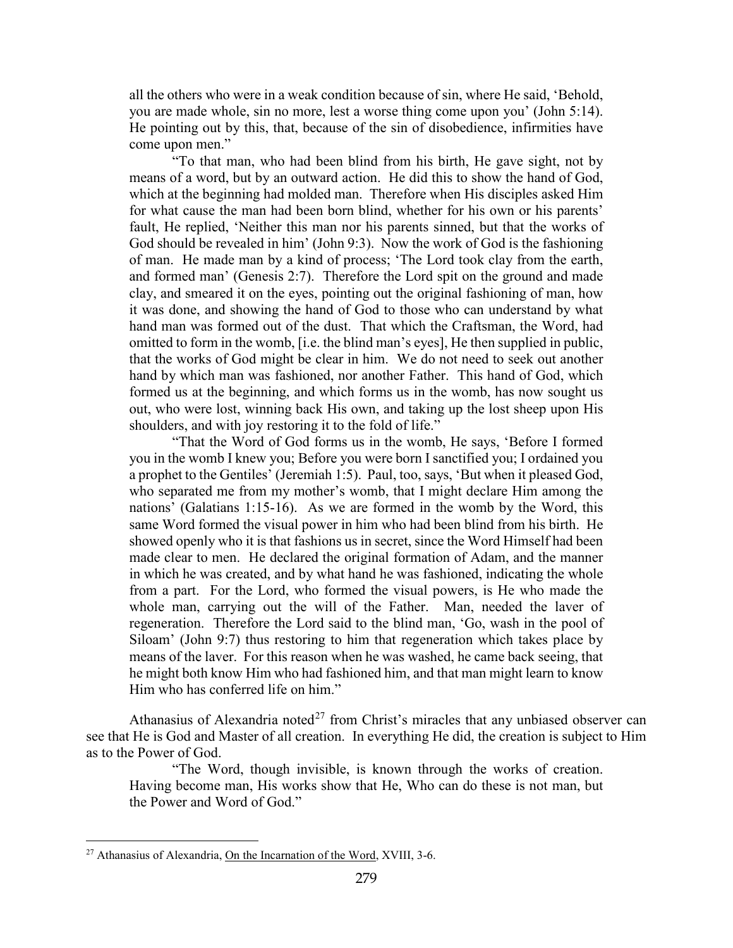all the others who were in a weak condition because of sin, where He said, 'Behold, you are made whole, sin no more, lest a worse thing come upon you' (John 5:14). He pointing out by this, that, because of the sin of disobedience, infirmities have come upon men."

"To that man, who had been blind from his birth, He gave sight, not by means of a word, but by an outward action. He did this to show the hand of God, which at the beginning had molded man. Therefore when His disciples asked Him for what cause the man had been born blind, whether for his own or his parents' fault, He replied, 'Neither this man nor his parents sinned, but that the works of God should be revealed in him' (John 9:3). Now the work of God is the fashioning of man. He made man by a kind of process; 'The Lord took clay from the earth, and formed man' (Genesis 2:7). Therefore the Lord spit on the ground and made clay, and smeared it on the eyes, pointing out the original fashioning of man, how it was done, and showing the hand of God to those who can understand by what hand man was formed out of the dust. That which the Craftsman, the Word, had omitted to form in the womb, [i.e. the blind man's eyes], He then supplied in public, that the works of God might be clear in him. We do not need to seek out another hand by which man was fashioned, nor another Father. This hand of God, which formed us at the beginning, and which forms us in the womb, has now sought us out, who were lost, winning back His own, and taking up the lost sheep upon His shoulders, and with joy restoring it to the fold of life."

"That the Word of God forms us in the womb, He says, 'Before I formed you in the womb I knew you; Before you were born I sanctified you; I ordained you a prophet to the Gentiles' (Jeremiah 1:5). Paul, too, says, 'But when it pleased God, who separated me from my mother's womb, that I might declare Him among the nations' (Galatians 1:15-16). As we are formed in the womb by the Word, this same Word formed the visual power in him who had been blind from his birth. He showed openly who it is that fashions us in secret, since the Word Himself had been made clear to men. He declared the original formation of Adam, and the manner in which he was created, and by what hand he was fashioned, indicating the whole from a part. For the Lord, who formed the visual powers, is He who made the whole man, carrying out the will of the Father. Man, needed the laver of regeneration. Therefore the Lord said to the blind man, 'Go, wash in the pool of Siloam' (John 9:7) thus restoring to him that regeneration which takes place by means of the laver. For this reason when he was washed, he came back seeing, that he might both know Him who had fashioned him, and that man might learn to know Him who has conferred life on him."

Athanasius of Alexandria noted<sup>[27](#page-16-0)</sup> from Christ's miracles that any unbiased observer can see that He is God and Master of all creation. In everything He did, the creation is subject to Him as to the Power of God.

"The Word, though invisible, is known through the works of creation. Having become man, His works show that He, Who can do these is not man, but the Power and Word of God."

<span id="page-16-0"></span><sup>&</sup>lt;sup>27</sup> Athanasius of Alexandria, On the Incarnation of the Word, XVIII, 3-6.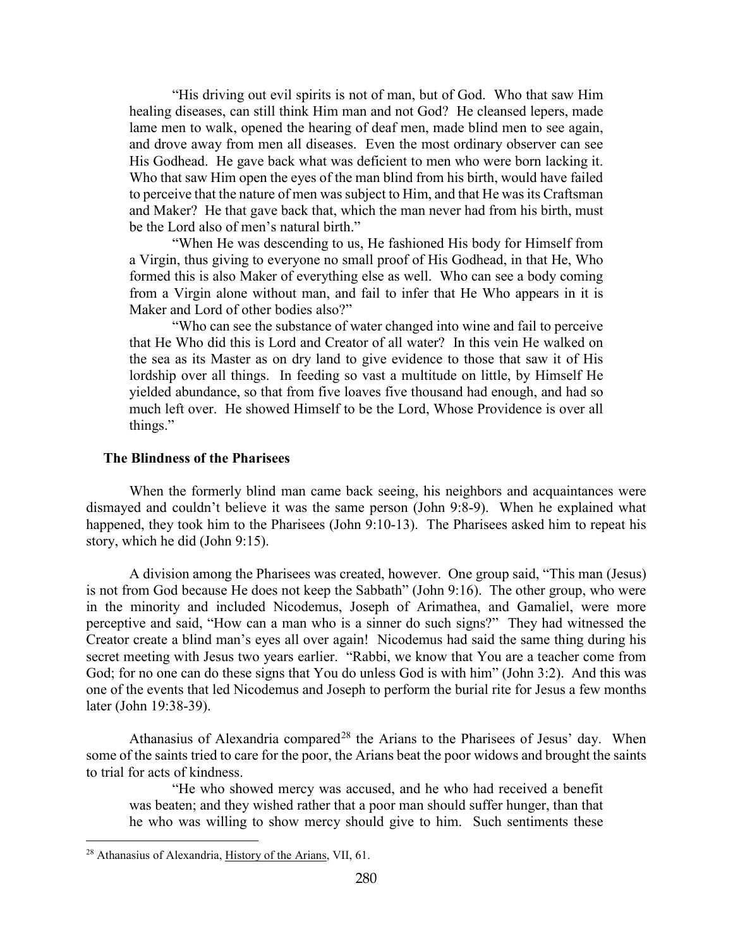"His driving out evil spirits is not of man, but of God. Who that saw Him healing diseases, can still think Him man and not God? He cleansed lepers, made lame men to walk, opened the hearing of deaf men, made blind men to see again, and drove away from men all diseases. Even the most ordinary observer can see His Godhead. He gave back what was deficient to men who were born lacking it. Who that saw Him open the eyes of the man blind from his birth, would have failed to perceive that the nature of men was subject to Him, and that He was its Craftsman and Maker? He that gave back that, which the man never had from his birth, must be the Lord also of men's natural birth."

"When He was descending to us, He fashioned His body for Himself from a Virgin, thus giving to everyone no small proof of His Godhead, in that He, Who formed this is also Maker of everything else as well. Who can see a body coming from a Virgin alone without man, and fail to infer that He Who appears in it is Maker and Lord of other bodies also?"

"Who can see the substance of water changed into wine and fail to perceive that He Who did this is Lord and Creator of all water? In this vein He walked on the sea as its Master as on dry land to give evidence to those that saw it of His lordship over all things. In feeding so vast a multitude on little, by Himself He yielded abundance, so that from five loaves five thousand had enough, and had so much left over. He showed Himself to be the Lord, Whose Providence is over all things."

#### <span id="page-17-0"></span>**The Blindness of the Pharisees**

When the formerly blind man came back seeing, his neighbors and acquaintances were dismayed and couldn't believe it was the same person (John 9:8-9). When he explained what happened, they took him to the Pharisees (John 9:10-13). The Pharisees asked him to repeat his story, which he did (John 9:15).

A division among the Pharisees was created, however. One group said, "This man (Jesus) is not from God because He does not keep the Sabbath" (John 9:16). The other group, who were in the minority and included Nicodemus, Joseph of Arimathea, and Gamaliel, were more perceptive and said, "How can a man who is a sinner do such signs?" They had witnessed the Creator create a blind man's eyes all over again! Nicodemus had said the same thing during his secret meeting with Jesus two years earlier. "Rabbi, we know that You are a teacher come from God; for no one can do these signs that You do unless God is with him" (John 3:2). And this was one of the events that led Nicodemus and Joseph to perform the burial rite for Jesus a few months later (John 19:38-39).

Athanasius of Alexandria compared<sup>[28](#page-17-1)</sup> the Arians to the Pharisees of Jesus' day. When some of the saints tried to care for the poor, the Arians beat the poor widows and brought the saints to trial for acts of kindness.

"He who showed mercy was accused, and he who had received a benefit was beaten; and they wished rather that a poor man should suffer hunger, than that he who was willing to show mercy should give to him. Such sentiments these

<span id="page-17-1"></span><sup>&</sup>lt;sup>28</sup> Athanasius of Alexandria, History of the Arians, VII, 61.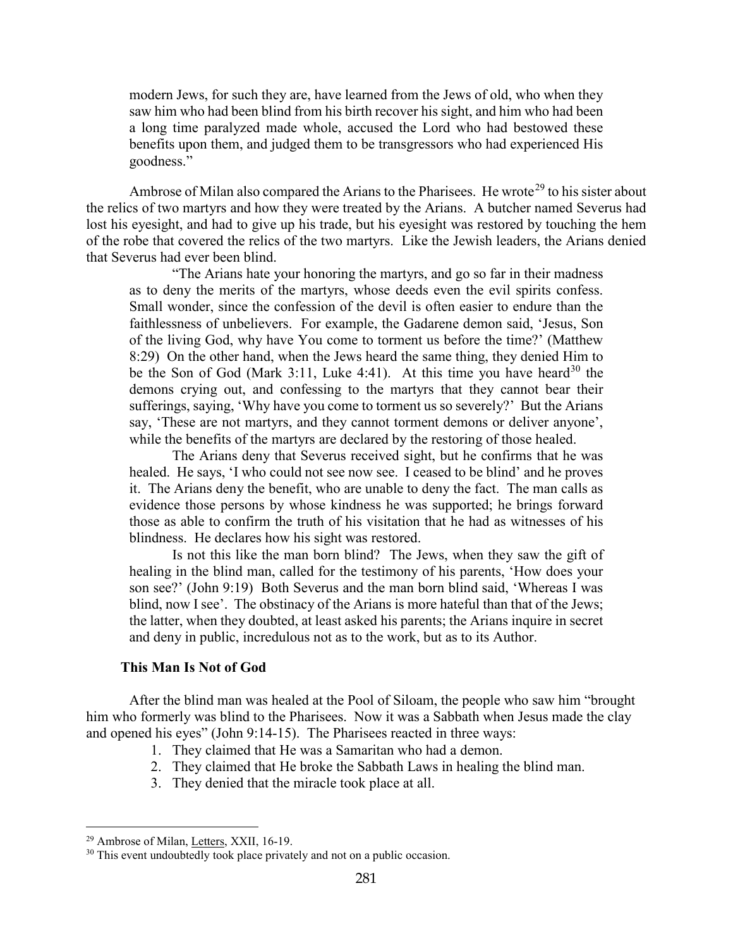modern Jews, for such they are, have learned from the Jews of old, who when they saw him who had been blind from his birth recover his sight, and him who had been a long time paralyzed made whole, accused the Lord who had bestowed these benefits upon them, and judged them to be transgressors who had experienced His goodness."

Ambrose of Milan also compared the Arians to the Pharisees. He wrote<sup>[29](#page-18-1)</sup> to his sister about the relics of two martyrs and how they were treated by the Arians. A butcher named Severus had lost his eyesight, and had to give up his trade, but his eyesight was restored by touching the hem of the robe that covered the relics of the two martyrs. Like the Jewish leaders, the Arians denied that Severus had ever been blind.

"The Arians hate your honoring the martyrs, and go so far in their madness as to deny the merits of the martyrs, whose deeds even the evil spirits confess. Small wonder, since the confession of the devil is often easier to endure than the faithlessness of unbelievers. For example, the Gadarene demon said, 'Jesus, Son of the living God, why have You come to torment us before the time?' (Matthew 8:29) On the other hand, when the Jews heard the same thing, they denied Him to be the Son of God (Mark 3:11, Luke 4:41). At this time you have heard<sup>[30](#page-18-2)</sup> the demons crying out, and confessing to the martyrs that they cannot bear their sufferings, saying, 'Why have you come to torment us so severely?' But the Arians say, 'These are not martyrs, and they cannot torment demons or deliver anyone', while the benefits of the martyrs are declared by the restoring of those healed.

The Arians deny that Severus received sight, but he confirms that he was healed. He says, 'I who could not see now see. I ceased to be blind' and he proves it. The Arians deny the benefit, who are unable to deny the fact. The man calls as evidence those persons by whose kindness he was supported; he brings forward those as able to confirm the truth of his visitation that he had as witnesses of his blindness. He declares how his sight was restored.

Is not this like the man born blind? The Jews, when they saw the gift of healing in the blind man, called for the testimony of his parents, 'How does your son see?' (John 9:19) Both Severus and the man born blind said, 'Whereas I was blind, now I see'. The obstinacy of the Arians is more hateful than that of the Jews; the latter, when they doubted, at least asked his parents; the Arians inquire in secret and deny in public, incredulous not as to the work, but as to its Author.

#### **This Man Is Not of God**

<span id="page-18-0"></span>After the blind man was healed at the Pool of Siloam, the people who saw him "brought him who formerly was blind to the Pharisees. Now it was a Sabbath when Jesus made the clay and opened his eyes" (John 9:14-15). The Pharisees reacted in three ways:

- 1. They claimed that He was a Samaritan who had a demon.
- 2. They claimed that He broke the Sabbath Laws in healing the blind man.
- 3. They denied that the miracle took place at all.

<span id="page-18-1"></span><sup>&</sup>lt;sup>29</sup> Ambrose of Milan, Letters, XXII, 16-19.

<span id="page-18-2"></span><sup>&</sup>lt;sup>30</sup> This event undoubtedly took place privately and not on a public occasion.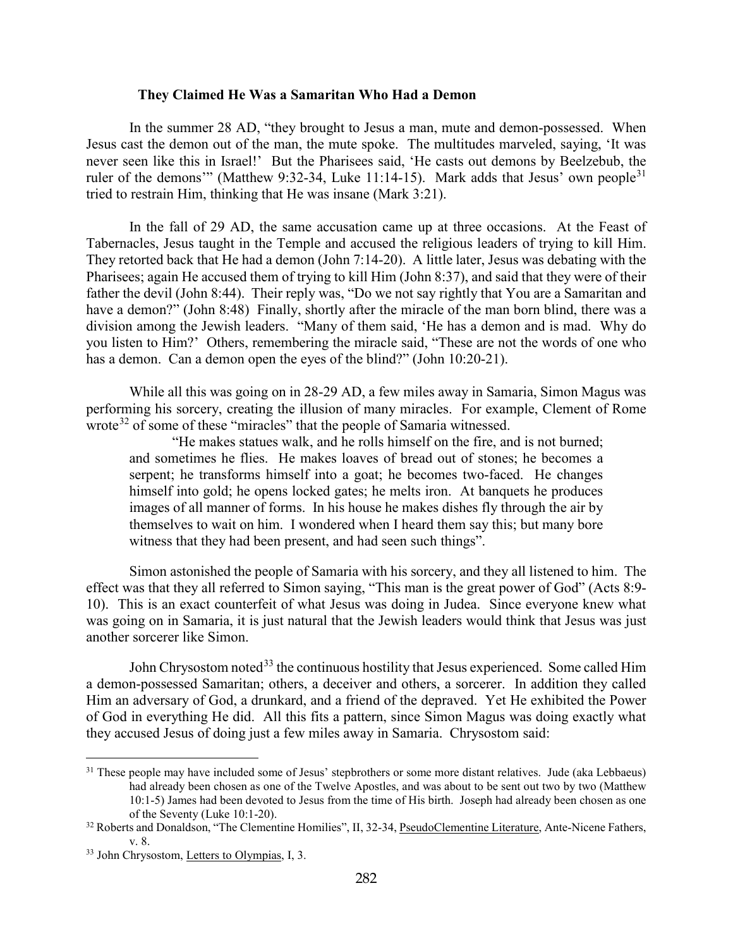#### **They Claimed He Was a Samaritan Who Had a Demon**

<span id="page-19-0"></span>In the summer 28 AD, "they brought to Jesus a man, mute and demon-possessed. When Jesus cast the demon out of the man, the mute spoke. The multitudes marveled, saying, 'It was never seen like this in Israel!' But the Pharisees said, 'He casts out demons by Beelzebub, the ruler of the demons" (Matthew 9:32-34, Luke 11:14-15). Mark adds that Jesus' own people<sup>[31](#page-19-1)</sup> tried to restrain Him, thinking that He was insane (Mark 3:21).

In the fall of 29 AD, the same accusation came up at three occasions. At the Feast of Tabernacles, Jesus taught in the Temple and accused the religious leaders of trying to kill Him. They retorted back that He had a demon (John 7:14-20). A little later, Jesus was debating with the Pharisees; again He accused them of trying to kill Him (John 8:37), and said that they were of their father the devil (John 8:44). Their reply was, "Do we not say rightly that You are a Samaritan and have a demon?" (John 8:48) Finally, shortly after the miracle of the man born blind, there was a division among the Jewish leaders. "Many of them said, 'He has a demon and is mad. Why do you listen to Him?' Others, remembering the miracle said, "These are not the words of one who has a demon. Can a demon open the eyes of the blind?" (John 10:20-21).

While all this was going on in 28-29 AD, a few miles away in Samaria, Simon Magus was performing his sorcery, creating the illusion of many miracles. For example, Clement of Rome wrote<sup>[32](#page-19-2)</sup> of some of these "miracles" that the people of Samaria witnessed.

"He makes statues walk, and he rolls himself on the fire, and is not burned; and sometimes he flies. He makes loaves of bread out of stones; he becomes a serpent; he transforms himself into a goat; he becomes two-faced. He changes himself into gold; he opens locked gates; he melts iron. At banquets he produces images of all manner of forms. In his house he makes dishes fly through the air by themselves to wait on him. I wondered when I heard them say this; but many bore witness that they had been present, and had seen such things".

Simon astonished the people of Samaria with his sorcery, and they all listened to him. The effect was that they all referred to Simon saying, "This man is the great power of God" (Acts 8:9- 10). This is an exact counterfeit of what Jesus was doing in Judea. Since everyone knew what was going on in Samaria, it is just natural that the Jewish leaders would think that Jesus was just another sorcerer like Simon.

John Chrysostom noted<sup>[33](#page-19-3)</sup> the continuous hostility that Jesus experienced. Some called Him a demon-possessed Samaritan; others, a deceiver and others, a sorcerer. In addition they called Him an adversary of God, a drunkard, and a friend of the depraved. Yet He exhibited the Power of God in everything He did. All this fits a pattern, since Simon Magus was doing exactly what they accused Jesus of doing just a few miles away in Samaria. Chrysostom said:

<span id="page-19-1"></span><sup>&</sup>lt;sup>31</sup> These people may have included some of Jesus' stepbrothers or some more distant relatives. Jude (aka Lebbaeus) had already been chosen as one of the Twelve Apostles, and was about to be sent out two by two (Matthew 10:1-5) James had been devoted to Jesus from the time of His birth. Joseph had already been chosen as one of the Seventy (Luke 10:1-20).

<span id="page-19-2"></span><sup>&</sup>lt;sup>32</sup> Roberts and Donaldson, "The Clementine Homilies", II, 32-34, PseudoClementine Literature, Ante-Nicene Fathers, v. 8.

<span id="page-19-3"></span><sup>33</sup> John Chrysostom, Letters to Olympias, I, 3.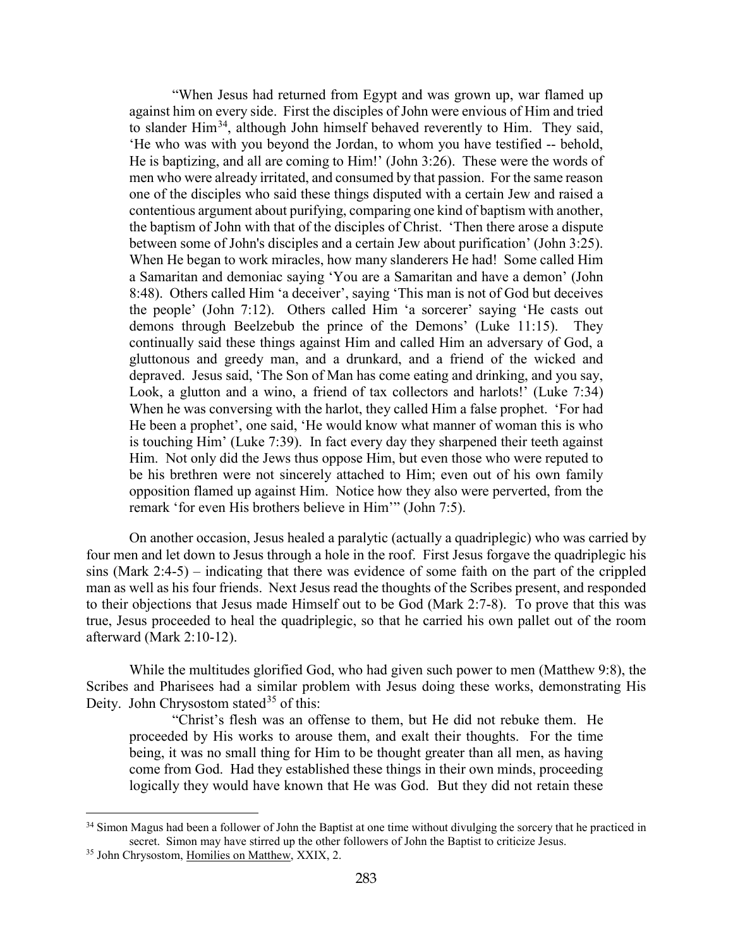"When Jesus had returned from Egypt and was grown up, war flamed up against him on every side. First the disciples of John were envious of Him and tried to slander  $\text{Him}^{34}$  $\text{Him}^{34}$  $\text{Him}^{34}$ , although John himself behaved reverently to  $\text{Him}$ . They said, 'He who was with you beyond the Jordan, to whom you have testified -- behold, He is baptizing, and all are coming to Him!' (John 3:26). These were the words of men who were already irritated, and consumed by that passion. For the same reason one of the disciples who said these things disputed with a certain Jew and raised a contentious argument about purifying, comparing one kind of baptism with another, the baptism of John with that of the disciples of Christ. 'Then there arose a dispute between some of John's disciples and a certain Jew about purification' (John 3:25). When He began to work miracles, how many slanderers He had! Some called Him a Samaritan and demoniac saying 'You are a Samaritan and have a demon' (John 8:48). Others called Him 'a deceiver', saying 'This man is not of God but deceives the people' (John 7:12). Others called Him 'a sorcerer' saying 'He casts out demons through Beelzebub the prince of the Demons' (Luke 11:15). They continually said these things against Him and called Him an adversary of God, a gluttonous and greedy man, and a drunkard, and a friend of the wicked and depraved. Jesus said, 'The Son of Man has come eating and drinking, and you say, Look, a glutton and a wino, a friend of tax collectors and harlots!' (Luke 7:34) When he was conversing with the harlot, they called Him a false prophet. 'For had He been a prophet', one said, 'He would know what manner of woman this is who is touching Him' (Luke 7:39). In fact every day they sharpened their teeth against Him. Not only did the Jews thus oppose Him, but even those who were reputed to be his brethren were not sincerely attached to Him; even out of his own family opposition flamed up against Him. Notice how they also were perverted, from the remark 'for even His brothers believe in Him'" (John 7:5).

On another occasion, Jesus healed a paralytic (actually a quadriplegic) who was carried by four men and let down to Jesus through a hole in the roof. First Jesus forgave the quadriplegic his sins (Mark 2:4-5) – indicating that there was evidence of some faith on the part of the crippled man as well as his four friends. Next Jesus read the thoughts of the Scribes present, and responded to their objections that Jesus made Himself out to be God (Mark 2:7-8). To prove that this was true, Jesus proceeded to heal the quadriplegic, so that he carried his own pallet out of the room afterward (Mark 2:10-12).

While the multitudes glorified God, who had given such power to men (Matthew 9:8), the Scribes and Pharisees had a similar problem with Jesus doing these works, demonstrating His Deity. John Chrysostom stated<sup>[35](#page-20-1)</sup> of this:

"Christ's flesh was an offense to them, but He did not rebuke them. He proceeded by His works to arouse them, and exalt their thoughts. For the time being, it was no small thing for Him to be thought greater than all men, as having come from God. Had they established these things in their own minds, proceeding logically they would have known that He was God. But they did not retain these

<span id="page-20-0"></span><sup>&</sup>lt;sup>34</sup> Simon Magus had been a follower of John the Baptist at one time without divulging the sorcery that he practiced in secret. Simon may have stirred up the other followers of John the Baptist to criticize Jesus.

<span id="page-20-1"></span><sup>&</sup>lt;sup>35</sup> John Chrysostom, Homilies on Matthew, XXIX, 2.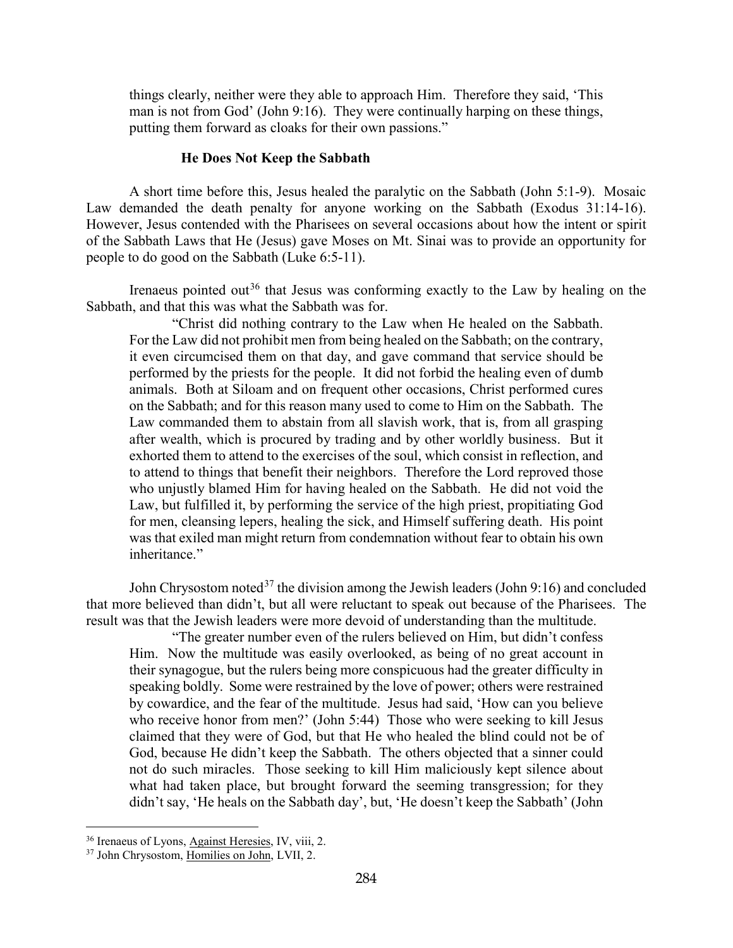things clearly, neither were they able to approach Him. Therefore they said, 'This man is not from God' (John 9:16). They were continually harping on these things, putting them forward as cloaks for their own passions."

#### **He Does Not Keep the Sabbath**

<span id="page-21-0"></span>A short time before this, Jesus healed the paralytic on the Sabbath (John 5:1-9). Mosaic Law demanded the death penalty for anyone working on the Sabbath (Exodus 31:14-16). However, Jesus contended with the Pharisees on several occasions about how the intent or spirit of the Sabbath Laws that He (Jesus) gave Moses on Mt. Sinai was to provide an opportunity for people to do good on the Sabbath (Luke 6:5-11).

Irenaeus pointed out<sup>[36](#page-21-1)</sup> that Jesus was conforming exactly to the Law by healing on the Sabbath, and that this was what the Sabbath was for.

"Christ did nothing contrary to the Law when He healed on the Sabbath. For the Law did not prohibit men from being healed on the Sabbath; on the contrary, it even circumcised them on that day, and gave command that service should be performed by the priests for the people. It did not forbid the healing even of dumb animals. Both at Siloam and on frequent other occasions, Christ performed cures on the Sabbath; and for this reason many used to come to Him on the Sabbath. The Law commanded them to abstain from all slavish work, that is, from all grasping after wealth, which is procured by trading and by other worldly business. But it exhorted them to attend to the exercises of the soul, which consist in reflection, and to attend to things that benefit their neighbors. Therefore the Lord reproved those who unjustly blamed Him for having healed on the Sabbath. He did not void the Law, but fulfilled it, by performing the service of the high priest, propitiating God for men, cleansing lepers, healing the sick, and Himself suffering death. His point was that exiled man might return from condemnation without fear to obtain his own inheritance."

John Chrysostom noted<sup>[37](#page-21-2)</sup> the division among the Jewish leaders (John 9:16) and concluded that more believed than didn't, but all were reluctant to speak out because of the Pharisees. The result was that the Jewish leaders were more devoid of understanding than the multitude.

"The greater number even of the rulers believed on Him, but didn't confess Him. Now the multitude was easily overlooked, as being of no great account in their synagogue, but the rulers being more conspicuous had the greater difficulty in speaking boldly. Some were restrained by the love of power; others were restrained by cowardice, and the fear of the multitude. Jesus had said, 'How can you believe who receive honor from men?' (John 5:44) Those who were seeking to kill Jesus claimed that they were of God, but that He who healed the blind could not be of God, because He didn't keep the Sabbath. The others objected that a sinner could not do such miracles. Those seeking to kill Him maliciously kept silence about what had taken place, but brought forward the seeming transgression; for they didn't say, 'He heals on the Sabbath day', but, 'He doesn't keep the Sabbath' (John

<span id="page-21-1"></span><sup>&</sup>lt;sup>36</sup> Irenaeus of Lyons, Against Heresies, IV, viii, 2.

<span id="page-21-2"></span><sup>37</sup> John Chrysostom, Homilies on John, LVII, 2.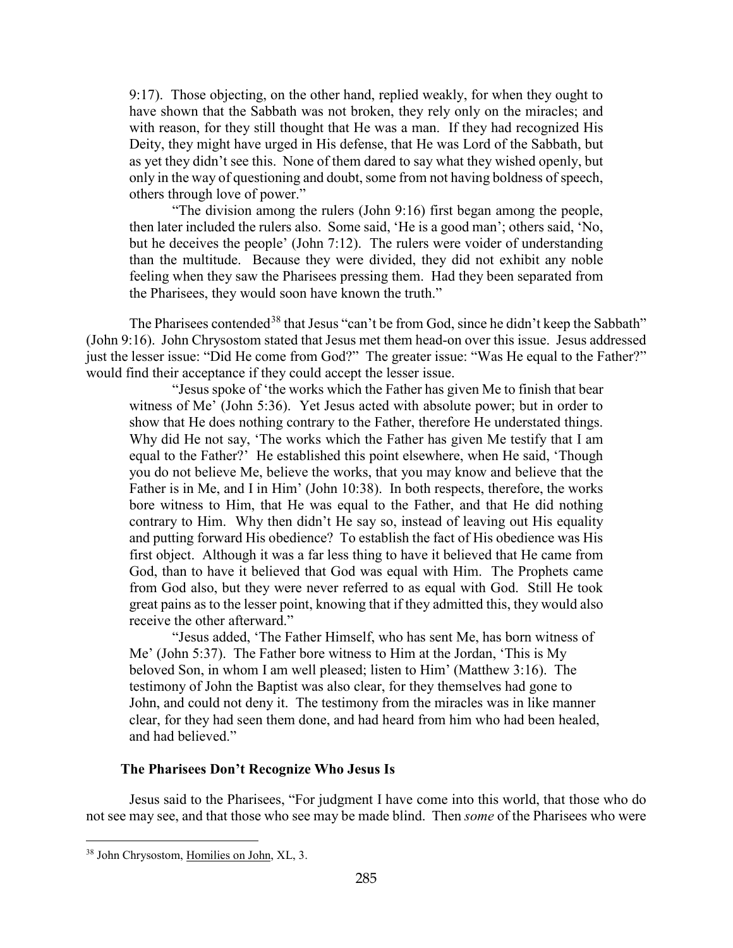9:17). Those objecting, on the other hand, replied weakly, for when they ought to have shown that the Sabbath was not broken, they rely only on the miracles; and with reason, for they still thought that He was a man. If they had recognized His Deity, they might have urged in His defense, that He was Lord of the Sabbath, but as yet they didn't see this. None of them dared to say what they wished openly, but only in the way of questioning and doubt, some from not having boldness of speech, others through love of power."

"The division among the rulers (John 9:16) first began among the people, then later included the rulers also. Some said, 'He is a good man'; others said, 'No, but he deceives the people' (John 7:12). The rulers were voider of understanding than the multitude. Because they were divided, they did not exhibit any noble feeling when they saw the Pharisees pressing them. Had they been separated from the Pharisees, they would soon have known the truth."

The Pharisees contended<sup>[38](#page-22-1)</sup> that Jesus "can't be from God, since he didn't keep the Sabbath" (John 9:16). John Chrysostom stated that Jesus met them head-on over this issue. Jesus addressed just the lesser issue: "Did He come from God?" The greater issue: "Was He equal to the Father?" would find their acceptance if they could accept the lesser issue.

"Jesus spoke of 'the works which the Father has given Me to finish that bear witness of Me' (John 5:36). Yet Jesus acted with absolute power; but in order to show that He does nothing contrary to the Father, therefore He understated things. Why did He not say, 'The works which the Father has given Me testify that I am equal to the Father?' He established this point elsewhere, when He said, 'Though you do not believe Me, believe the works, that you may know and believe that the Father is in Me, and I in Him' (John 10:38). In both respects, therefore, the works bore witness to Him, that He was equal to the Father, and that He did nothing contrary to Him. Why then didn't He say so, instead of leaving out His equality and putting forward His obedience? To establish the fact of His obedience was His first object. Although it was a far less thing to have it believed that He came from God, than to have it believed that God was equal with Him. The Prophets came from God also, but they were never referred to as equal with God. Still He took great pains as to the lesser point, knowing that if they admitted this, they would also receive the other afterward."

"Jesus added, 'The Father Himself, who has sent Me, has born witness of Me' (John 5:37). The Father bore witness to Him at the Jordan, 'This is My beloved Son, in whom I am well pleased; listen to Him' (Matthew 3:16). The testimony of John the Baptist was also clear, for they themselves had gone to John, and could not deny it. The testimony from the miracles was in like manner clear, for they had seen them done, and had heard from him who had been healed, and had believed."

### **The Pharisees Don't Recognize Who Jesus Is**

<span id="page-22-0"></span>Jesus said to the Pharisees, "For judgment I have come into this world, that those who do not see may see, and that those who see may be made blind. Then *some* of the Pharisees who were

<span id="page-22-1"></span><sup>38</sup> John Chrysostom, Homilies on John, XL, 3.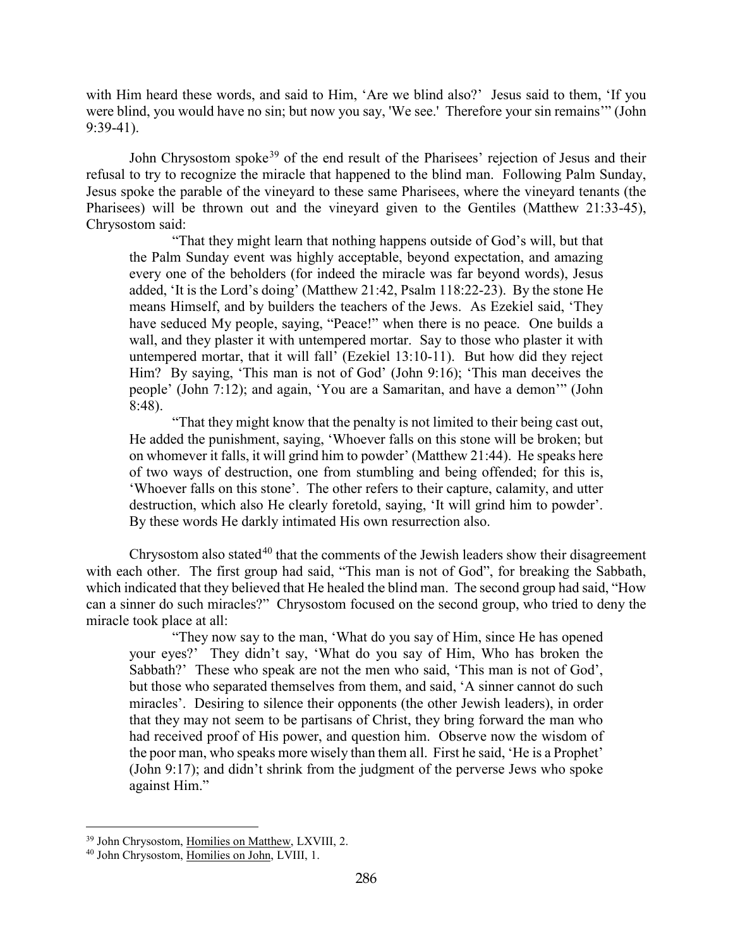with Him heard these words, and said to Him, 'Are we blind also?' Jesus said to them, 'If you were blind, you would have no sin; but now you say, 'We see.' Therefore your sin remains'" (John 9:39-41).

John Chrysostom spoke<sup>[39](#page-23-0)</sup> of the end result of the Pharisees' rejection of Jesus and their refusal to try to recognize the miracle that happened to the blind man. Following Palm Sunday, Jesus spoke the parable of the vineyard to these same Pharisees, where the vineyard tenants (the Pharisees) will be thrown out and the vineyard given to the Gentiles (Matthew 21:33-45), Chrysostom said:

"That they might learn that nothing happens outside of God's will, but that the Palm Sunday event was highly acceptable, beyond expectation, and amazing every one of the beholders (for indeed the miracle was far beyond words), Jesus added, 'It is the Lord's doing' (Matthew 21:42, Psalm 118:22-23). By the stone He means Himself, and by builders the teachers of the Jews. As Ezekiel said, 'They have seduced My people, saying, "Peace!" when there is no peace. One builds a wall, and they plaster it with untempered mortar. Say to those who plaster it with untempered mortar, that it will fall' (Ezekiel 13:10-11). But how did they reject Him? By saying, 'This man is not of God' (John 9:16); 'This man deceives the people' (John 7:12); and again, 'You are a Samaritan, and have a demon'" (John 8:48).

"That they might know that the penalty is not limited to their being cast out, He added the punishment, saying, 'Whoever falls on this stone will be broken; but on whomever it falls, it will grind him to powder' (Matthew 21:44). He speaks here of two ways of destruction, one from stumbling and being offended; for this is, 'Whoever falls on this stone'. The other refers to their capture, calamity, and utter destruction, which also He clearly foretold, saying, 'It will grind him to powder'. By these words He darkly intimated His own resurrection also.

Chrysostom also stated<sup>[40](#page-23-1)</sup> that the comments of the Jewish leaders show their disagreement with each other. The first group had said, "This man is not of God", for breaking the Sabbath, which indicated that they believed that He healed the blind man. The second group had said, "How can a sinner do such miracles?" Chrysostom focused on the second group, who tried to deny the miracle took place at all:

"They now say to the man, 'What do you say of Him, since He has opened your eyes?' They didn't say, 'What do you say of Him, Who has broken the Sabbath?' These who speak are not the men who said, 'This man is not of God', but those who separated themselves from them, and said, 'A sinner cannot do such miracles'. Desiring to silence their opponents (the other Jewish leaders), in order that they may not seem to be partisans of Christ, they bring forward the man who had received proof of His power, and question him. Observe now the wisdom of the poor man, who speaks more wisely than them all. First he said, 'He is a Prophet' (John 9:17); and didn't shrink from the judgment of the perverse Jews who spoke against Him."

<span id="page-23-0"></span><sup>&</sup>lt;sup>39</sup> John Chrysostom, Homilies on Matthew, LXVIII, 2.

<span id="page-23-1"></span><sup>40</sup> John Chrysostom, Homilies on John, LVIII, 1.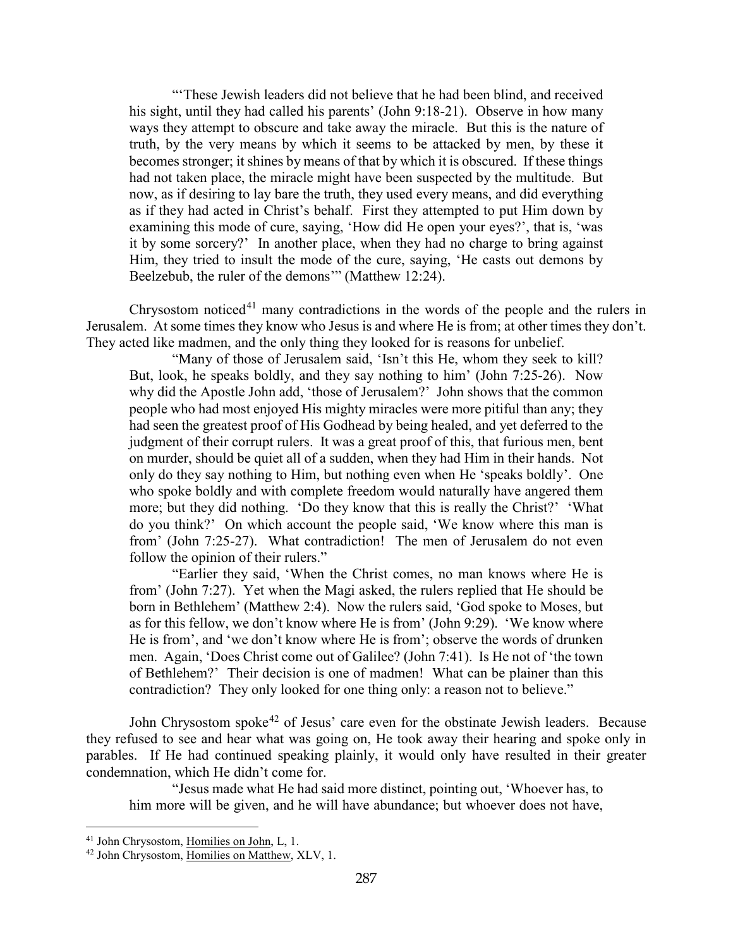"'These Jewish leaders did not believe that he had been blind, and received his sight, until they had called his parents' (John 9:18-21). Observe in how many ways they attempt to obscure and take away the miracle. But this is the nature of truth, by the very means by which it seems to be attacked by men, by these it becomes stronger; it shines by means of that by which it is obscured. If these things had not taken place, the miracle might have been suspected by the multitude. But now, as if desiring to lay bare the truth, they used every means, and did everything as if they had acted in Christ's behalf. First they attempted to put Him down by examining this mode of cure, saying, 'How did He open your eyes?', that is, 'was it by some sorcery?' In another place, when they had no charge to bring against Him, they tried to insult the mode of the cure, saying, 'He casts out demons by Beelzebub, the ruler of the demons'" (Matthew 12:24).

Chrysostom noticed<sup>[41](#page-24-0)</sup> many contradictions in the words of the people and the rulers in Jerusalem. At some times they know who Jesus is and where He is from; at other times they don't. They acted like madmen, and the only thing they looked for is reasons for unbelief.

"Many of those of Jerusalem said, 'Isn't this He, whom they seek to kill? But, look, he speaks boldly, and they say nothing to him' (John 7:25-26). Now why did the Apostle John add, 'those of Jerusalem?' John shows that the common people who had most enjoyed His mighty miracles were more pitiful than any; they had seen the greatest proof of His Godhead by being healed, and yet deferred to the judgment of their corrupt rulers. It was a great proof of this, that furious men, bent on murder, should be quiet all of a sudden, when they had Him in their hands. Not only do they say nothing to Him, but nothing even when He 'speaks boldly'. One who spoke boldly and with complete freedom would naturally have angered them more; but they did nothing. 'Do they know that this is really the Christ?' 'What do you think?' On which account the people said, 'We know where this man is from' (John 7:25-27). What contradiction! The men of Jerusalem do not even follow the opinion of their rulers."

"Earlier they said, 'When the Christ comes, no man knows where He is from' (John 7:27). Yet when the Magi asked, the rulers replied that He should be born in Bethlehem' (Matthew 2:4). Now the rulers said, 'God spoke to Moses, but as for this fellow, we don't know where He is from' (John 9:29). 'We know where He is from', and 'we don't know where He is from'; observe the words of drunken men. Again, 'Does Christ come out of Galilee? (John 7:41). Is He not of 'the town of Bethlehem?' Their decision is one of madmen! What can be plainer than this contradiction? They only looked for one thing only: a reason not to believe."

John Chrysostom spoke<sup>[42](#page-24-1)</sup> of Jesus' care even for the obstinate Jewish leaders. Because they refused to see and hear what was going on, He took away their hearing and spoke only in parables. If He had continued speaking plainly, it would only have resulted in their greater condemnation, which He didn't come for.

"Jesus made what He had said more distinct, pointing out, 'Whoever has, to him more will be given, and he will have abundance; but whoever does not have,

<span id="page-24-0"></span><sup>&</sup>lt;sup>41</sup> John Chrysostom, Homilies on John, L, 1.

<span id="page-24-1"></span><sup>42</sup> John Chrysostom, Homilies on Matthew, XLV, 1.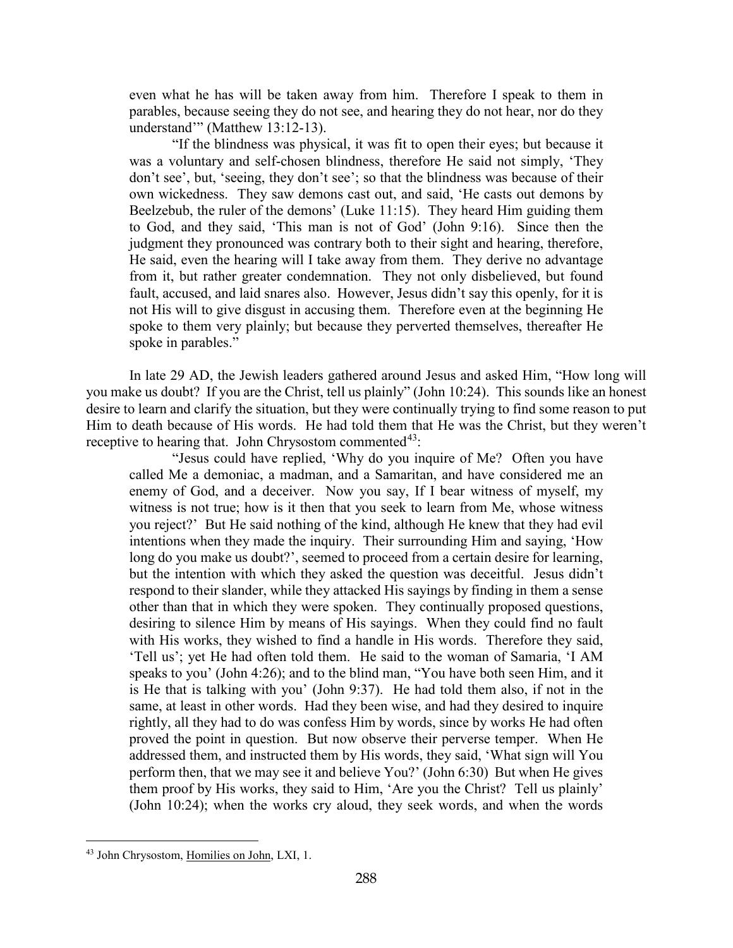even what he has will be taken away from him. Therefore I speak to them in parables, because seeing they do not see, and hearing they do not hear, nor do they understand" (Matthew 13:12-13).

"If the blindness was physical, it was fit to open their eyes; but because it was a voluntary and self-chosen blindness, therefore He said not simply, 'They don't see', but, 'seeing, they don't see'; so that the blindness was because of their own wickedness. They saw demons cast out, and said, 'He casts out demons by Beelzebub, the ruler of the demons' (Luke 11:15). They heard Him guiding them to God, and they said, 'This man is not of God' (John 9:16). Since then the judgment they pronounced was contrary both to their sight and hearing, therefore, He said, even the hearing will I take away from them. They derive no advantage from it, but rather greater condemnation. They not only disbelieved, but found fault, accused, and laid snares also. However, Jesus didn't say this openly, for it is not His will to give disgust in accusing them. Therefore even at the beginning He spoke to them very plainly; but because they perverted themselves, thereafter He spoke in parables."

In late 29 AD, the Jewish leaders gathered around Jesus and asked Him, "How long will you make us doubt? If you are the Christ, tell us plainly" (John 10:24). This sounds like an honest desire to learn and clarify the situation, but they were continually trying to find some reason to put Him to death because of His words. He had told them that He was the Christ, but they weren't receptive to hearing that. John Chrysostom commented $^{43}$ :

"Jesus could have replied, 'Why do you inquire of Me? Often you have called Me a demoniac, a madman, and a Samaritan, and have considered me an enemy of God, and a deceiver. Now you say, If I bear witness of myself, my witness is not true; how is it then that you seek to learn from Me, whose witness you reject?' But He said nothing of the kind, although He knew that they had evil intentions when they made the inquiry. Their surrounding Him and saying, 'How long do you make us doubt?', seemed to proceed from a certain desire for learning, but the intention with which they asked the question was deceitful. Jesus didn't respond to their slander, while they attacked His sayings by finding in them a sense other than that in which they were spoken. They continually proposed questions, desiring to silence Him by means of His sayings. When they could find no fault with His works, they wished to find a handle in His words. Therefore they said, 'Tell us'; yet He had often told them. He said to the woman of Samaria, 'I AM speaks to you' (John 4:26); and to the blind man, "You have both seen Him, and it is He that is talking with you' (John 9:37). He had told them also, if not in the same, at least in other words. Had they been wise, and had they desired to inquire rightly, all they had to do was confess Him by words, since by works He had often proved the point in question. But now observe their perverse temper. When He addressed them, and instructed them by His words, they said, 'What sign will You perform then, that we may see it and believe You?' (John 6:30) But when He gives them proof by His works, they said to Him, 'Are you the Christ? Tell us plainly' (John 10:24); when the works cry aloud, they seek words, and when the words

<span id="page-25-0"></span><sup>43</sup> John Chrysostom, Homilies on John, LXI, 1.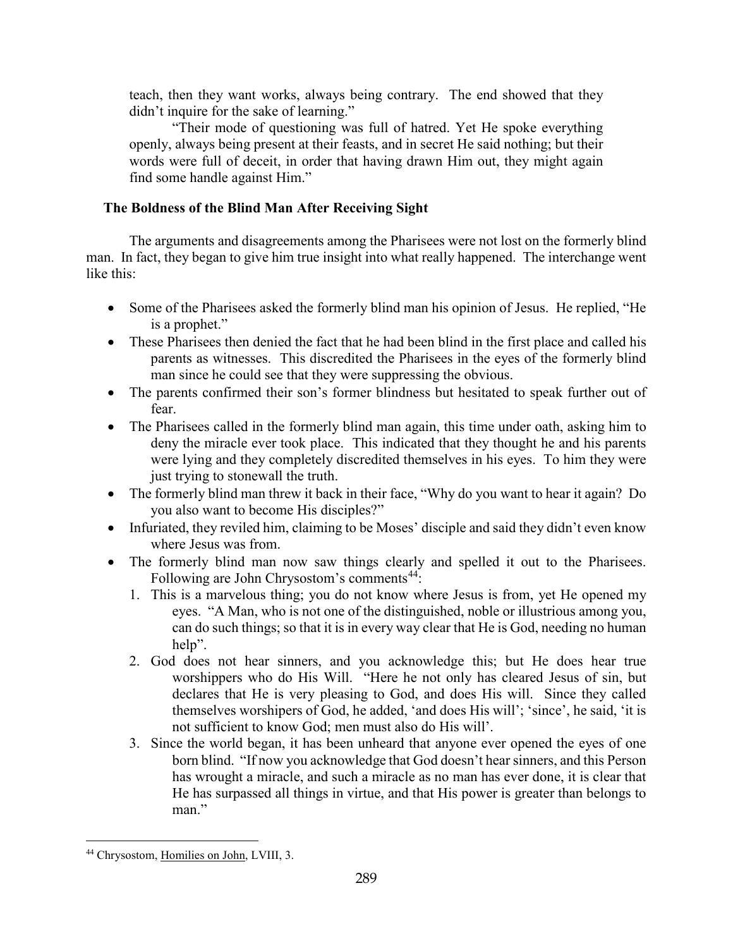teach, then they want works, always being contrary. The end showed that they didn't inquire for the sake of learning."

"Their mode of questioning was full of hatred. Yet He spoke everything openly, always being present at their feasts, and in secret He said nothing; but their words were full of deceit, in order that having drawn Him out, they might again find some handle against Him."

# <span id="page-26-0"></span>**The Boldness of the Blind Man After Receiving Sight**

The arguments and disagreements among the Pharisees were not lost on the formerly blind man. In fact, they began to give him true insight into what really happened. The interchange went like this:

- Some of the Pharisees asked the formerly blind man his opinion of Jesus. He replied, "He is a prophet."
- These Pharisees then denied the fact that he had been blind in the first place and called his parents as witnesses. This discredited the Pharisees in the eyes of the formerly blind man since he could see that they were suppressing the obvious.
- The parents confirmed their son's former blindness but hesitated to speak further out of fear.
- The Pharisees called in the formerly blind man again, this time under oath, asking him to deny the miracle ever took place. This indicated that they thought he and his parents were lying and they completely discredited themselves in his eyes. To him they were just trying to stonewall the truth.
- The formerly blind man threw it back in their face, "Why do you want to hear it again? Do you also want to become His disciples?"
- Infuriated, they reviled him, claiming to be Moses' disciple and said they didn't even know where Jesus was from.
- The formerly blind man now saw things clearly and spelled it out to the Pharisees. Following are John Chrysostom's comments<sup>[44](#page-26-1)</sup>:
	- 1. This is a marvelous thing; you do not know where Jesus is from, yet He opened my eyes. "A Man, who is not one of the distinguished, noble or illustrious among you, can do such things; so that it is in every way clear that He is God, needing no human help".
	- 2. God does not hear sinners, and you acknowledge this; but He does hear true worshippers who do His Will. "Here he not only has cleared Jesus of sin, but declares that He is very pleasing to God, and does His will. Since they called themselves worshipers of God, he added, 'and does His will'; 'since', he said, 'it is not sufficient to know God; men must also do His will'.
	- 3. Since the world began, it has been unheard that anyone ever opened the eyes of one born blind. "If now you acknowledge that God doesn't hear sinners, and this Person has wrought a miracle, and such a miracle as no man has ever done, it is clear that He has surpassed all things in virtue, and that His power is greater than belongs to man."

<span id="page-26-1"></span><sup>44</sup> Chrysostom, Homilies on John, LVIII, 3.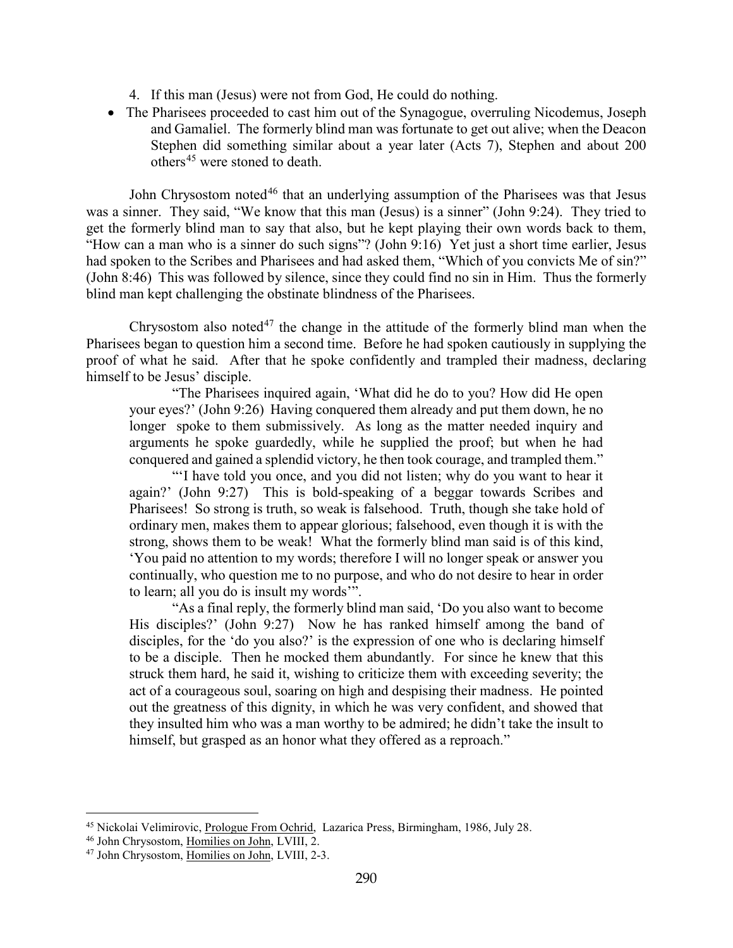- 4. If this man (Jesus) were not from God, He could do nothing.
- The Pharisees proceeded to cast him out of the Synagogue, overruling Nicodemus, Joseph and Gamaliel. The formerly blind man was fortunate to get out alive; when the Deacon Stephen did something similar about a year later (Acts 7), Stephen and about 200 others<sup>[45](#page-27-0)</sup> were stoned to death.

John Chrysostom noted<sup>[46](#page-27-1)</sup> that an underlying assumption of the Pharisees was that Jesus was a sinner. They said, "We know that this man (Jesus) is a sinner" (John 9:24). They tried to get the formerly blind man to say that also, but he kept playing their own words back to them, "How can a man who is a sinner do such signs"? (John 9:16) Yet just a short time earlier, Jesus had spoken to the Scribes and Pharisees and had asked them, "Which of you convicts Me of sin?" (John 8:46) This was followed by silence, since they could find no sin in Him. Thus the formerly blind man kept challenging the obstinate blindness of the Pharisees.

Chrysostom also noted<sup>[47](#page-27-2)</sup> the change in the attitude of the formerly blind man when the Pharisees began to question him a second time. Before he had spoken cautiously in supplying the proof of what he said. After that he spoke confidently and trampled their madness, declaring himself to be Jesus' disciple.

"The Pharisees inquired again, 'What did he do to you? How did He open your eyes?' (John 9:26) Having conquered them already and put them down, he no longer spoke to them submissively. As long as the matter needed inquiry and arguments he spoke guardedly, while he supplied the proof; but when he had conquered and gained a splendid victory, he then took courage, and trampled them."

"'I have told you once, and you did not listen; why do you want to hear it again?' (John 9:27) This is bold-speaking of a beggar towards Scribes and Pharisees! So strong is truth, so weak is falsehood. Truth, though she take hold of ordinary men, makes them to appear glorious; falsehood, even though it is with the strong, shows them to be weak! What the formerly blind man said is of this kind, 'You paid no attention to my words; therefore I will no longer speak or answer you continually, who question me to no purpose, and who do not desire to hear in order to learn; all you do is insult my words'".

"As a final reply, the formerly blind man said, 'Do you also want to become His disciples?' (John 9:27) Now he has ranked himself among the band of disciples, for the 'do you also?' is the expression of one who is declaring himself to be a disciple. Then he mocked them abundantly. For since he knew that this struck them hard, he said it, wishing to criticize them with exceeding severity; the act of a courageous soul, soaring on high and despising their madness. He pointed out the greatness of this dignity, in which he was very confident, and showed that they insulted him who was a man worthy to be admired; he didn't take the insult to himself, but grasped as an honor what they offered as a reproach."

<span id="page-27-0"></span><sup>45</sup> Nickolai Velimirovic, Prologue From Ochrid, Lazarica Press, Birmingham, 1986, July 28.

<span id="page-27-1"></span><sup>46</sup> John Chrysostom, Homilies on John, LVIII, 2.

<span id="page-27-2"></span><sup>47</sup> John Chrysostom, Homilies on John, LVIII, 2-3.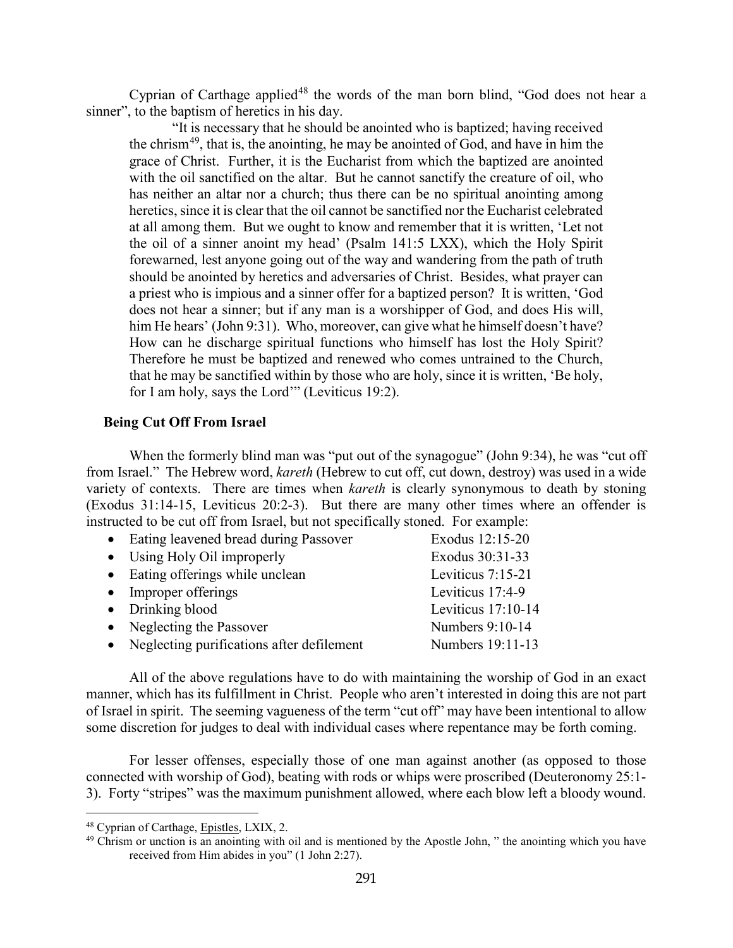Cyprian of Carthage applied<sup>[48](#page-28-1)</sup> the words of the man born blind, "God does not hear a sinner", to the baptism of heretics in his day.

"It is necessary that he should be anointed who is baptized; having received the chrism<sup>49</sup>, that is, the anointing, he may be anointed of God, and have in him the grace of Christ. Further, it is the Eucharist from which the baptized are anointed with the oil sanctified on the altar. But he cannot sanctify the creature of oil, who has neither an altar nor a church; thus there can be no spiritual anointing among heretics, since it is clear that the oil cannot be sanctified nor the Eucharist celebrated at all among them. But we ought to know and remember that it is written, 'Let not the oil of a sinner anoint my head' (Psalm 141:5 LXX), which the Holy Spirit forewarned, lest anyone going out of the way and wandering from the path of truth should be anointed by heretics and adversaries of Christ. Besides, what prayer can a priest who is impious and a sinner offer for a baptized person? It is written, 'God does not hear a sinner; but if any man is a worshipper of God, and does His will, him He hears' (John 9:31). Who, moreover, can give what he himself doesn't have? How can he discharge spiritual functions who himself has lost the Holy Spirit? Therefore he must be baptized and renewed who comes untrained to the Church, that he may be sanctified within by those who are holy, since it is written, 'Be holy, for I am holy, says the Lord'" (Leviticus 19:2).

#### <span id="page-28-0"></span>**Being Cut Off From Israel**

When the formerly blind man was "put out of the synagogue" (John 9:34), he was "cut off from Israel." The Hebrew word, *kareth* (Hebrew to cut off, cut down, destroy) was used in a wide variety of contexts. There are times when *kareth* is clearly synonymous to death by stoning (Exodus 31:14-15, Leviticus 20:2-3). But there are many other times where an offender is instructed to be cut off from Israel, but not specifically stoned. For example:

| • Eating leavened bread during Passover     | Exodus 12:15-20    |
|---------------------------------------------|--------------------|
| • Using Holy Oil improperly                 | Exodus 30:31-33    |
| • Eating offerings while unclean            | Leviticus 7:15-21  |
| • Improper offerings                        | Leviticus 17:4-9   |
| $\bullet$ Drinking blood                    | Leviticus 17:10-14 |
| • Neglecting the Passover                   | Numbers 9:10-14    |
| • Neglecting purifications after defilement | Numbers 19:11-13   |

All of the above regulations have to do with maintaining the worship of God in an exact manner, which has its fulfillment in Christ. People who aren't interested in doing this are not part of Israel in spirit. The seeming vagueness of the term "cut off" may have been intentional to allow some discretion for judges to deal with individual cases where repentance may be forth coming.

For lesser offenses, especially those of one man against another (as opposed to those connected with worship of God), beating with rods or whips were proscribed (Deuteronomy 25:1- 3). Forty "stripes" was the maximum punishment allowed, where each blow left a bloody wound.

<span id="page-28-1"></span><sup>48</sup> Cyprian of Carthage, Epistles, LXIX, 2.

<span id="page-28-2"></span><sup>&</sup>lt;sup>49</sup> Chrism or unction is an anointing with oil and is mentioned by the Apostle John, " the anointing which you have received from Him abides in you" (1 John 2:27).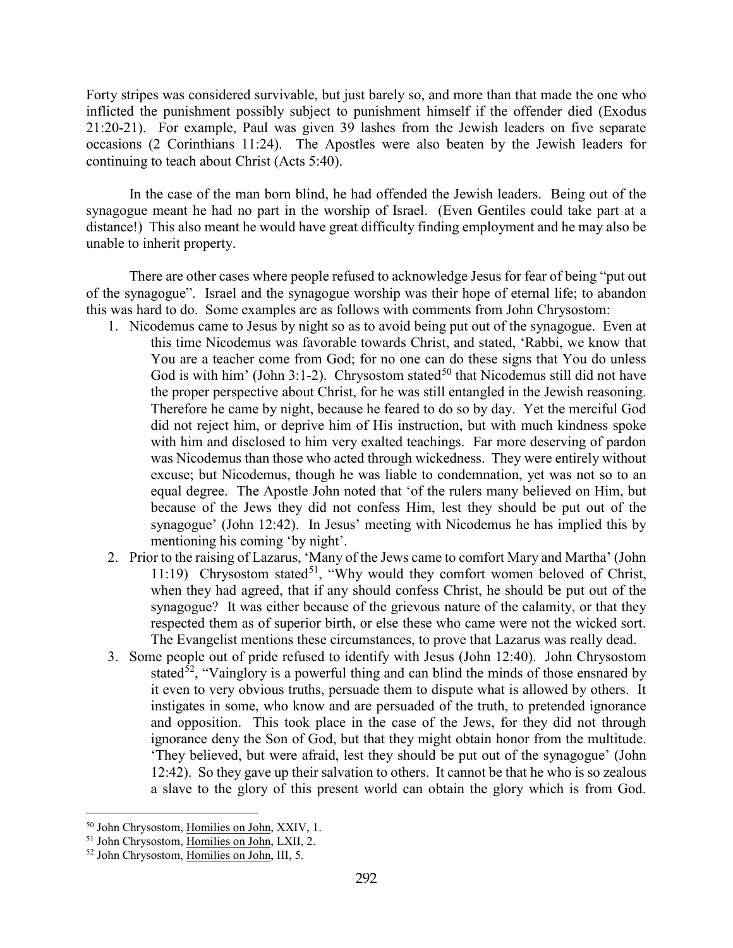Forty stripes was considered survivable, but just barely so, and more than that made the one who inflicted the punishment possibly subject to punishment himself if the offender died (Exodus 21:20-21). For example, Paul was given 39 lashes from the Jewish leaders on five separate occasions (2 Corinthians 11:24). The Apostles were also beaten by the Jewish leaders for continuing to teach about Christ (Acts 5:40).

In the case of the man born blind, he had offended the Jewish leaders. Being out of the synagogue meant he had no part in the worship of Israel. (Even Gentiles could take part at a distance!) This also meant he would have great difficulty finding employment and he may also be unable to inherit property.

There are other cases where people refused to acknowledge Jesus for fear of being "put out of the synagogue". Israel and the synagogue worship was their hope of eternal life; to abandon this was hard to do. Some examples are as follows with comments from John Chrysostom:

- 1. Nicodemus came to Jesus by night so as to avoid being put out of the synagogue. Even at this time Nicodemus was favorable towards Christ, and stated, 'Rabbi, we know that You are a teacher come from God; for no one can do these signs that You do unless God is with him' (John 3:1-2). Chrysostom stated<sup>[50](#page-29-0)</sup> that Nicodemus still did not have the proper perspective about Christ, for he was still entangled in the Jewish reasoning. Therefore he came by night, because he feared to do so by day. Yet the merciful God did not reject him, or deprive him of His instruction, but with much kindness spoke with him and disclosed to him very exalted teachings. Far more deserving of pardon was Nicodemus than those who acted through wickedness. They were entirely without excuse; but Nicodemus, though he was liable to condemnation, yet was not so to an equal degree. The Apostle John noted that 'of the rulers many believed on Him, but because of the Jews they did not confess Him, lest they should be put out of the synagogue' (John 12:42). In Jesus' meeting with Nicodemus he has implied this by mentioning his coming 'by night'.
- 2. Prior to the raising of Lazarus, 'Many of the Jews came to comfort Mary and Martha' (John 11:19) Chrysostom stated<sup>[51](#page-29-1)</sup>, "Why would they comfort women beloved of Christ, when they had agreed, that if any should confess Christ, he should be put out of the synagogue? It was either because of the grievous nature of the calamity, or that they respected them as of superior birth, or else these who came were not the wicked sort. The Evangelist mentions these circumstances, to prove that Lazarus was really dead.
- 3. Some people out of pride refused to identify with Jesus (John 12:40). John Chrysostom stated<sup>52</sup>, "Vainglory is a powerful thing and can blind the minds of those ensnared by it even to very obvious truths, persuade them to dispute what is allowed by others. It instigates in some, who know and are persuaded of the truth, to pretended ignorance and opposition. This took place in the case of the Jews, for they did not through ignorance deny the Son of God, but that they might obtain honor from the multitude. 'They believed, but were afraid, lest they should be put out of the synagogue' (John 12:42). So they gave up their salvation to others. It cannot be that he who is so zealous a slave to the glory of this present world can obtain the glory which is from God.

<span id="page-29-0"></span><sup>50</sup> John Chrysostom, Homilies on John, XXIV, 1.

<span id="page-29-1"></span><sup>&</sup>lt;sup>51</sup> John Chrysostom, Homilies on John, LXII, 2.

<span id="page-29-2"></span><sup>52</sup> John Chrysostom, Homilies on John, III, 5.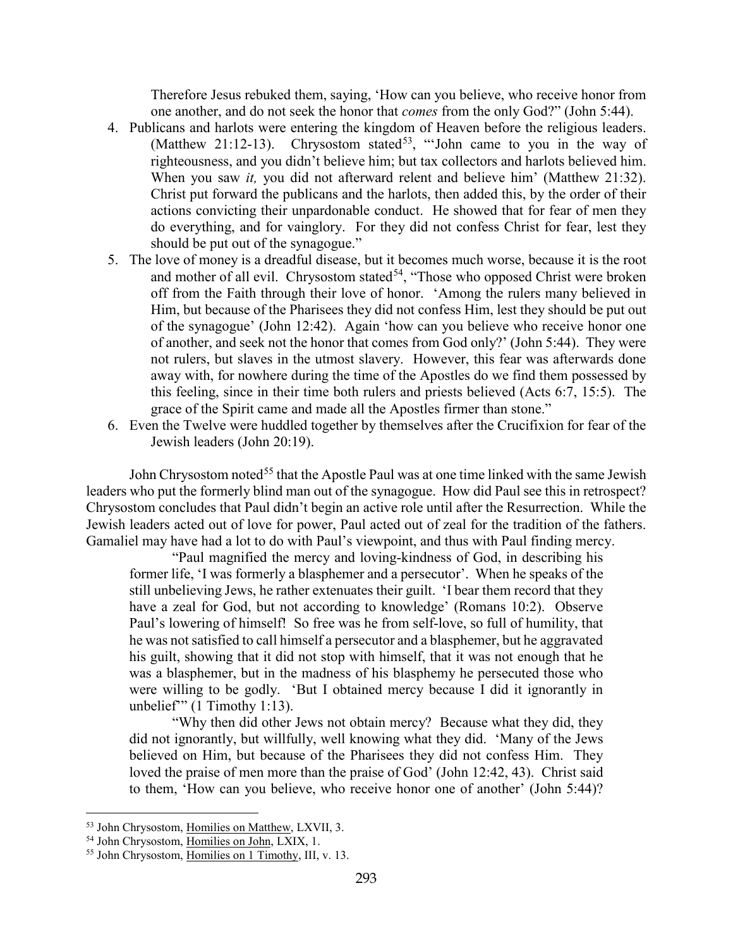Therefore Jesus rebuked them, saying, 'How can you believe, who receive honor from one another, and do not seek the honor that *comes* from the only God?" (John 5:44).

- 4. Publicans and harlots were entering the kingdom of Heaven before the religious leaders. (Matthew 21:12-13). Chrysostom stated<sup>53</sup>, "'John came to you in the way of righteousness, and you didn't believe him; but tax collectors and harlots believed him. When you saw *it,* you did not afterward relent and believe him' (Matthew 21:32). Christ put forward the publicans and the harlots, then added this, by the order of their actions convicting their unpardonable conduct. He showed that for fear of men they do everything, and for vainglory. For they did not confess Christ for fear, lest they should be put out of the synagogue."
- 5. The love of money is a dreadful disease, but it becomes much worse, because it is the root and mother of all evil. Chrysostom stated<sup>54</sup>, "Those who opposed Christ were broken off from the Faith through their love of honor. 'Among the rulers many believed in Him, but because of the Pharisees they did not confess Him, lest they should be put out of the synagogue' (John 12:42). Again 'how can you believe who receive honor one of another, and seek not the honor that comes from God only?' (John 5:44). They were not rulers, but slaves in the utmost slavery. However, this fear was afterwards done away with, for nowhere during the time of the Apostles do we find them possessed by this feeling, since in their time both rulers and priests believed (Acts 6:7, 15:5). The grace of the Spirit came and made all the Apostles firmer than stone."
- 6. Even the Twelve were huddled together by themselves after the Crucifixion for fear of the Jewish leaders (John 20:19).

John Chrysostom noted<sup>[55](#page-30-2)</sup> that the Apostle Paul was at one time linked with the same Jewish leaders who put the formerly blind man out of the synagogue. How did Paul see this in retrospect? Chrysostom concludes that Paul didn't begin an active role until after the Resurrection. While the Jewish leaders acted out of love for power, Paul acted out of zeal for the tradition of the fathers. Gamaliel may have had a lot to do with Paul's viewpoint, and thus with Paul finding mercy.

"Paul magnified the mercy and loving-kindness of God, in describing his former life, 'I was formerly a blasphemer and a persecutor'. When he speaks of the still unbelieving Jews, he rather extenuates their guilt. 'I bear them record that they have a zeal for God, but not according to knowledge' (Romans 10:2). Observe Paul's lowering of himself! So free was he from self-love, so full of humility, that he was not satisfied to call himself a persecutor and a blasphemer, but he aggravated his guilt, showing that it did not stop with himself, that it was not enough that he was a blasphemer, but in the madness of his blasphemy he persecuted those who were willing to be godly. 'But I obtained mercy because I did it ignorantly in unbelief" (1 Timothy 1:13).

"Why then did other Jews not obtain mercy? Because what they did, they did not ignorantly, but willfully, well knowing what they did. 'Many of the Jews believed on Him, but because of the Pharisees they did not confess Him. They loved the praise of men more than the praise of God' (John 12:42, 43). Christ said to them, 'How can you believe, who receive honor one of another' (John 5:44)?

<span id="page-30-0"></span><sup>53</sup> John Chrysostom, Homilies on Matthew, LXVII, 3.

<span id="page-30-1"></span><sup>&</sup>lt;sup>54</sup> John Chrysostom, Homilies on John, LXIX, 1.

<span id="page-30-2"></span><sup>55</sup> John Chrysostom, Homilies on 1 Timothy, III, v. 13.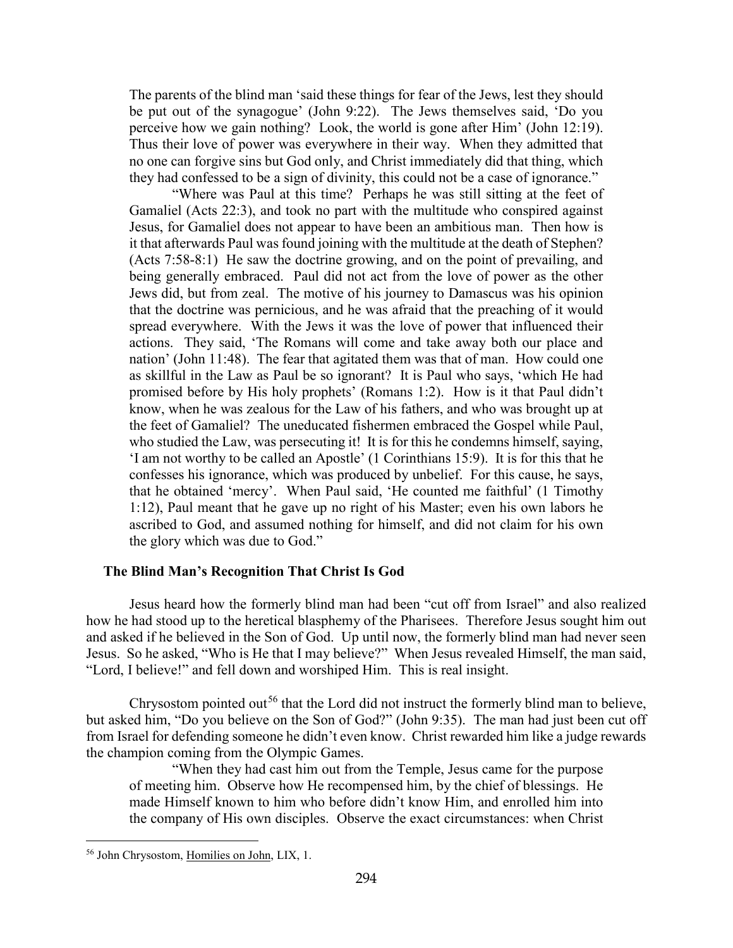The parents of the blind man 'said these things for fear of the Jews, lest they should be put out of the synagogue' (John 9:22). The Jews themselves said, 'Do you perceive how we gain nothing? Look, the world is gone after Him' (John 12:19). Thus their love of power was everywhere in their way. When they admitted that no one can forgive sins but God only, and Christ immediately did that thing, which they had confessed to be a sign of divinity, this could not be a case of ignorance."

"Where was Paul at this time? Perhaps he was still sitting at the feet of Gamaliel (Acts 22:3), and took no part with the multitude who conspired against Jesus, for Gamaliel does not appear to have been an ambitious man. Then how is it that afterwards Paul was found joining with the multitude at the death of Stephen? (Acts 7:58-8:1) He saw the doctrine growing, and on the point of prevailing, and being generally embraced. Paul did not act from the love of power as the other Jews did, but from zeal. The motive of his journey to Damascus was his opinion that the doctrine was pernicious, and he was afraid that the preaching of it would spread everywhere. With the Jews it was the love of power that influenced their actions. They said, 'The Romans will come and take away both our place and nation' (John 11:48). The fear that agitated them was that of man. How could one as skillful in the Law as Paul be so ignorant? It is Paul who says, 'which He had promised before by His holy prophets' (Romans 1:2). How is it that Paul didn't know, when he was zealous for the Law of his fathers, and who was brought up at the feet of Gamaliel? The uneducated fishermen embraced the Gospel while Paul, who studied the Law, was persecuting it! It is for this he condemns himself, saying, 'I am not worthy to be called an Apostle' (1 Corinthians 15:9). It is for this that he confesses his ignorance, which was produced by unbelief. For this cause, he says, that he obtained 'mercy'. When Paul said, 'He counted me faithful' (1 Timothy 1:12), Paul meant that he gave up no right of his Master; even his own labors he ascribed to God, and assumed nothing for himself, and did not claim for his own the glory which was due to God."

#### <span id="page-31-0"></span>**The Blind Man's Recognition That Christ Is God**

Jesus heard how the formerly blind man had been "cut off from Israel" and also realized how he had stood up to the heretical blasphemy of the Pharisees. Therefore Jesus sought him out and asked if he believed in the Son of God. Up until now, the formerly blind man had never seen Jesus. So he asked, "Who is He that I may believe?" When Jesus revealed Himself, the man said, "Lord, I believe!" and fell down and worshiped Him. This is real insight.

Chrysostom pointed out<sup>[56](#page-31-1)</sup> that the Lord did not instruct the formerly blind man to believe, but asked him, "Do you believe on the Son of God?" (John 9:35). The man had just been cut off from Israel for defending someone he didn't even know. Christ rewarded him like a judge rewards the champion coming from the Olympic Games.

"When they had cast him out from the Temple, Jesus came for the purpose of meeting him. Observe how He recompensed him, by the chief of blessings. He made Himself known to him who before didn't know Him, and enrolled him into the company of His own disciples. Observe the exact circumstances: when Christ

<span id="page-31-1"></span><sup>56</sup> John Chrysostom, Homilies on John, LIX, 1.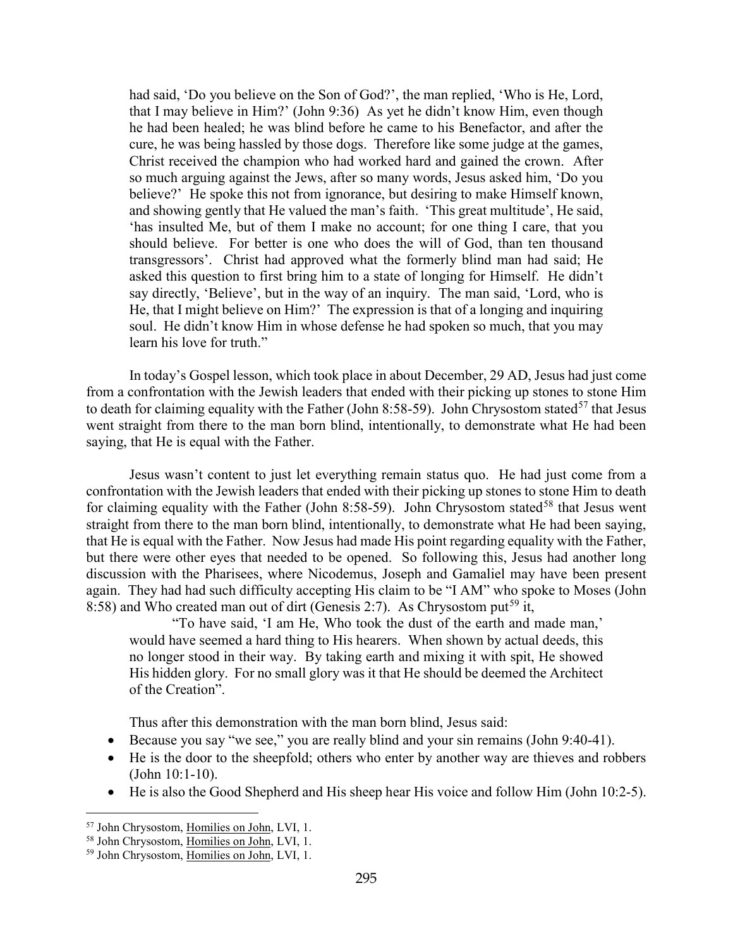had said, 'Do you believe on the Son of God?', the man replied, 'Who is He, Lord, that I may believe in Him?' (John 9:36) As yet he didn't know Him, even though he had been healed; he was blind before he came to his Benefactor, and after the cure, he was being hassled by those dogs. Therefore like some judge at the games, Christ received the champion who had worked hard and gained the crown. After so much arguing against the Jews, after so many words, Jesus asked him, 'Do you believe?' He spoke this not from ignorance, but desiring to make Himself known, and showing gently that He valued the man's faith. 'This great multitude', He said, 'has insulted Me, but of them I make no account; for one thing I care, that you should believe. For better is one who does the will of God, than ten thousand transgressors'. Christ had approved what the formerly blind man had said; He asked this question to first bring him to a state of longing for Himself. He didn't say directly, 'Believe', but in the way of an inquiry. The man said, 'Lord, who is He, that I might believe on Him?' The expression is that of a longing and inquiring soul. He didn't know Him in whose defense he had spoken so much, that you may learn his love for truth."

In today's Gospel lesson, which took place in about December, 29 AD, Jesus had just come from a confrontation with the Jewish leaders that ended with their picking up stones to stone Him to death for claiming equality with the Father (John 8:58-59). John Chrysostom stated<sup>[57](#page-32-0)</sup> that Jesus went straight from there to the man born blind, intentionally, to demonstrate what He had been saying, that He is equal with the Father.

Jesus wasn't content to just let everything remain status quo. He had just come from a confrontation with the Jewish leaders that ended with their picking up stones to stone Him to death for claiming equality with the Father (John 8:[58](#page-32-1)-59). John Chrysostom stated<sup>58</sup> that Jesus went straight from there to the man born blind, intentionally, to demonstrate what He had been saying, that He is equal with the Father. Now Jesus had made His point regarding equality with the Father, but there were other eyes that needed to be opened. So following this, Jesus had another long discussion with the Pharisees, where Nicodemus, Joseph and Gamaliel may have been present again. They had had such difficulty accepting His claim to be "I AM" who spoke to Moses (John 8:58) and Who created man out of dirt (Genesis 2:7). As Chrysostom put<sup>[59](#page-32-2)</sup> it,

"To have said, 'I am He, Who took the dust of the earth and made man,' would have seemed a hard thing to His hearers. When shown by actual deeds, this no longer stood in their way. By taking earth and mixing it with spit, He showed His hidden glory. For no small glory was it that He should be deemed the Architect of the Creation".

Thus after this demonstration with the man born blind, Jesus said:

- Because you say "we see," you are really blind and your sin remains (John 9:40-41).
- He is the door to the sheepfold; others who enter by another way are thieves and robbers (John 10:1-10).
- He is also the Good Shepherd and His sheep hear His voice and follow Him (John 10:2-5).

<span id="page-32-0"></span><sup>57</sup> John Chrysostom, Homilies on John, LVI, 1.

<span id="page-32-1"></span><sup>58</sup> John Chrysostom, Homilies on John, LVI, 1.

<span id="page-32-2"></span><sup>59</sup> John Chrysostom, Homilies on John, LVI, 1.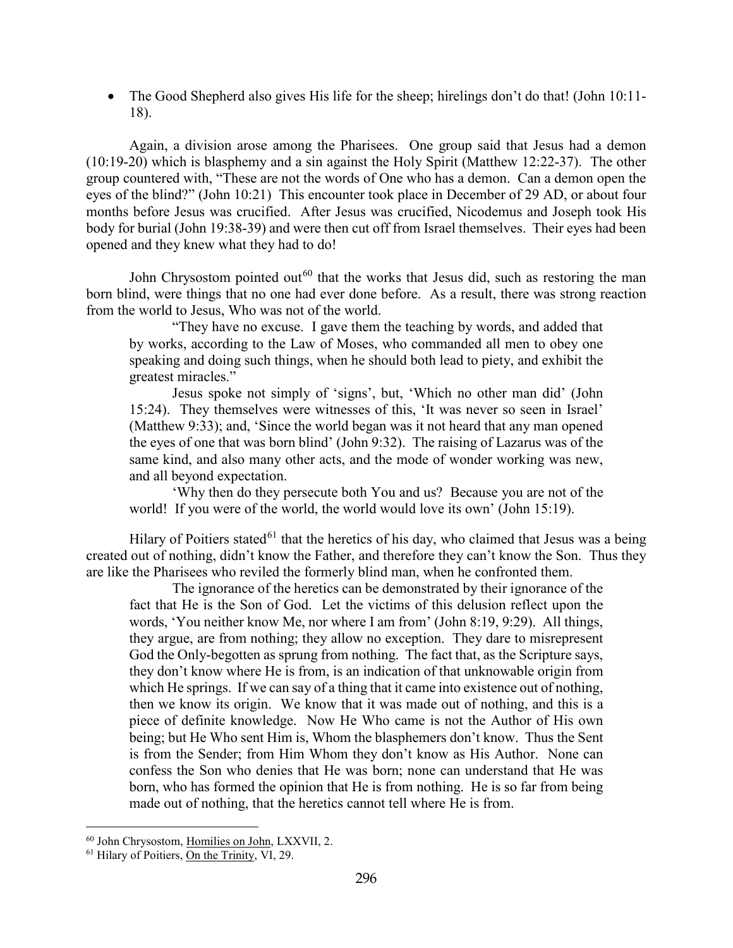• The Good Shepherd also gives His life for the sheep; hirelings don't do that! (John 10:11-18).

Again, a division arose among the Pharisees. One group said that Jesus had a demon (10:19-20) which is blasphemy and a sin against the Holy Spirit (Matthew 12:22-37). The other group countered with, "These are not the words of One who has a demon. Can a demon open the eyes of the blind?" (John 10:21) This encounter took place in December of 29 AD, or about four months before Jesus was crucified. After Jesus was crucified, Nicodemus and Joseph took His body for burial (John 19:38-39) and were then cut off from Israel themselves. Their eyes had been opened and they knew what they had to do!

John Chrysostom pointed out<sup>[60](#page-33-0)</sup> that the works that Jesus did, such as restoring the man born blind, were things that no one had ever done before. As a result, there was strong reaction from the world to Jesus, Who was not of the world.

"They have no excuse. I gave them the teaching by words, and added that by works, according to the Law of Moses, who commanded all men to obey one speaking and doing such things, when he should both lead to piety, and exhibit the greatest miracles."

Jesus spoke not simply of 'signs', but, 'Which no other man did' (John 15:24). They themselves were witnesses of this, 'It was never so seen in Israel' (Matthew 9:33); and, 'Since the world began was it not heard that any man opened the eyes of one that was born blind' (John 9:32). The raising of Lazarus was of the same kind, and also many other acts, and the mode of wonder working was new, and all beyond expectation.

'Why then do they persecute both You and us? Because you are not of the world! If you were of the world, the world would love its own' (John 15:19).

Hilary of Poitiers stated<sup>[61](#page-33-1)</sup> that the heretics of his day, who claimed that Jesus was a being created out of nothing, didn't know the Father, and therefore they can't know the Son. Thus they are like the Pharisees who reviled the formerly blind man, when he confronted them.

The ignorance of the heretics can be demonstrated by their ignorance of the fact that He is the Son of God. Let the victims of this delusion reflect upon the words, 'You neither know Me, nor where I am from' (John 8:19, 9:29). All things, they argue, are from nothing; they allow no exception. They dare to misrepresent God the Only-begotten as sprung from nothing. The fact that, as the Scripture says, they don't know where He is from, is an indication of that unknowable origin from which He springs. If we can say of a thing that it came into existence out of nothing, then we know its origin. We know that it was made out of nothing, and this is a piece of definite knowledge. Now He Who came is not the Author of His own being; but He Who sent Him is, Whom the blasphemers don't know. Thus the Sent is from the Sender; from Him Whom they don't know as His Author. None can confess the Son who denies that He was born; none can understand that He was born, who has formed the opinion that He is from nothing. He is so far from being made out of nothing, that the heretics cannot tell where He is from.

<sup>60</sup> John Chrysostom, Homilies on John, LXXVII, 2.

<span id="page-33-1"></span><span id="page-33-0"></span><sup>&</sup>lt;sup>61</sup> Hilary of Poitiers, On the Trinity, VI, 29.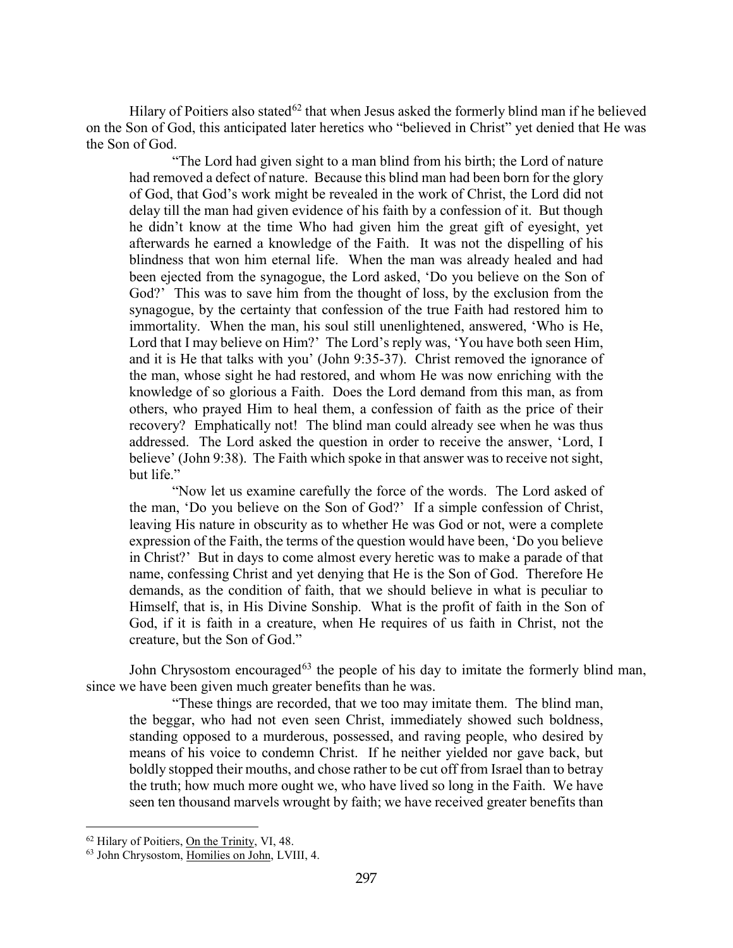Hilary of Poitiers also stated<sup>[62](#page-34-0)</sup> that when Jesus asked the formerly blind man if he believed on the Son of God, this anticipated later heretics who "believed in Christ" yet denied that He was the Son of God.

"The Lord had given sight to a man blind from his birth; the Lord of nature had removed a defect of nature. Because this blind man had been born for the glory of God, that God's work might be revealed in the work of Christ, the Lord did not delay till the man had given evidence of his faith by a confession of it. But though he didn't know at the time Who had given him the great gift of eyesight, yet afterwards he earned a knowledge of the Faith. It was not the dispelling of his blindness that won him eternal life. When the man was already healed and had been ejected from the synagogue, the Lord asked, 'Do you believe on the Son of God?' This was to save him from the thought of loss, by the exclusion from the synagogue, by the certainty that confession of the true Faith had restored him to immortality. When the man, his soul still unenlightened, answered, 'Who is He, Lord that I may believe on Him?' The Lord's reply was, 'You have both seen Him, and it is He that talks with you' (John 9:35-37). Christ removed the ignorance of the man, whose sight he had restored, and whom He was now enriching with the knowledge of so glorious a Faith. Does the Lord demand from this man, as from others, who prayed Him to heal them, a confession of faith as the price of their recovery? Emphatically not! The blind man could already see when he was thus addressed. The Lord asked the question in order to receive the answer, 'Lord, I believe' (John 9:38). The Faith which spoke in that answer was to receive not sight, but life."

"Now let us examine carefully the force of the words. The Lord asked of the man, 'Do you believe on the Son of God?' If a simple confession of Christ, leaving His nature in obscurity as to whether He was God or not, were a complete expression of the Faith, the terms of the question would have been, 'Do you believe in Christ?' But in days to come almost every heretic was to make a parade of that name, confessing Christ and yet denying that He is the Son of God. Therefore He demands, as the condition of faith, that we should believe in what is peculiar to Himself, that is, in His Divine Sonship. What is the profit of faith in the Son of God, if it is faith in a creature, when He requires of us faith in Christ, not the creature, but the Son of God."

John Chrysostom encouraged $63$  the people of his day to imitate the formerly blind man, since we have been given much greater benefits than he was.

"These things are recorded, that we too may imitate them. The blind man, the beggar, who had not even seen Christ, immediately showed such boldness, standing opposed to a murderous, possessed, and raving people, who desired by means of his voice to condemn Christ. If he neither yielded nor gave back, but boldly stopped their mouths, and chose rather to be cut off from Israel than to betray the truth; how much more ought we, who have lived so long in the Faith. We have seen ten thousand marvels wrought by faith; we have received greater benefits than

<span id="page-34-0"></span><sup>&</sup>lt;sup>62</sup> Hilary of Poitiers, On the Trinity, VI, 48.

<span id="page-34-1"></span><sup>63</sup> John Chrysostom, Homilies on John, LVIII, 4.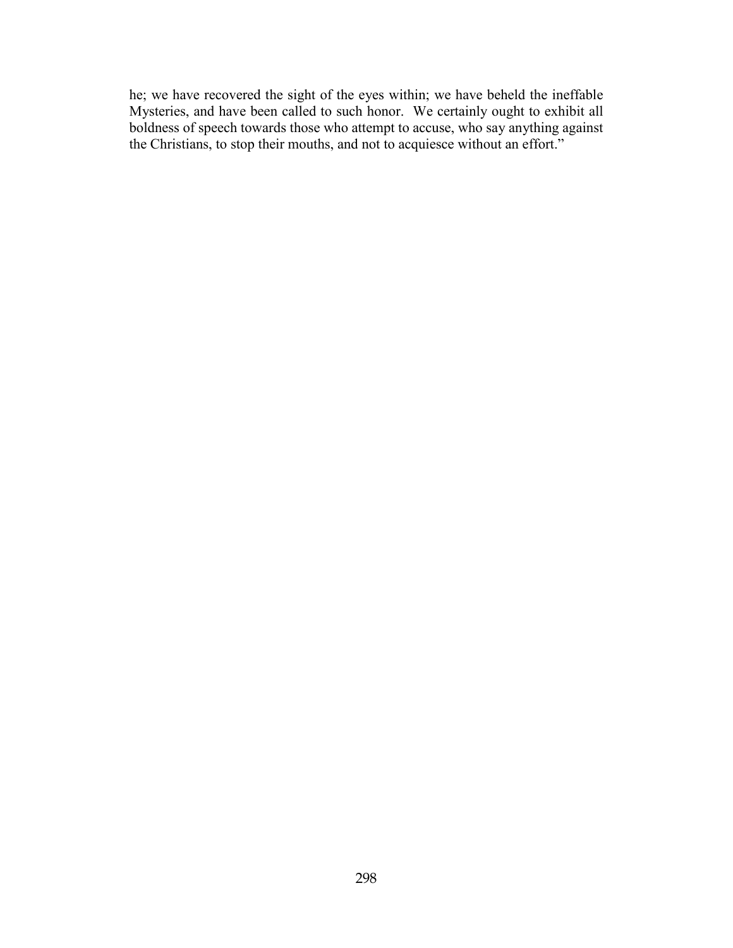he; we have recovered the sight of the eyes within; we have beheld the ineffable Mysteries, and have been called to such honor. We certainly ought to exhibit all boldness of speech towards those who attempt to accuse, who say anything against the Christians, to stop their mouths, and not to acquiesce without an effort."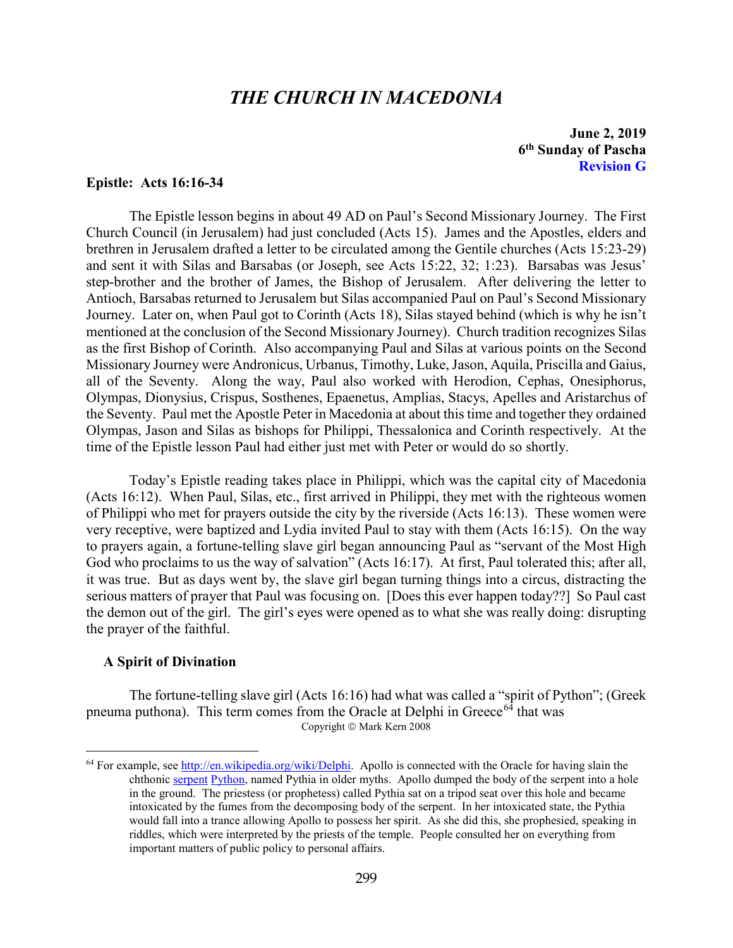# *THE CHURCH IN MACEDONIA*

**June 2, 2019 6th Sunday of Pascha Revision G**

#### <span id="page-36-0"></span>**Epistle: Acts 16:16-34**

The Epistle lesson begins in about 49 AD on Paul's Second Missionary Journey. The First Church Council (in Jerusalem) had just concluded (Acts 15). James and the Apostles, elders and brethren in Jerusalem drafted a letter to be circulated among the Gentile churches (Acts 15:23-29) and sent it with Silas and Barsabas (or Joseph, see Acts 15:22, 32; 1:23). Barsabas was Jesus' step-brother and the brother of James, the Bishop of Jerusalem. After delivering the letter to Antioch, Barsabas returned to Jerusalem but Silas accompanied Paul on Paul's Second Missionary Journey. Later on, when Paul got to Corinth (Acts 18), Silas stayed behind (which is why he isn't mentioned at the conclusion of the Second Missionary Journey). Church tradition recognizes Silas as the first Bishop of Corinth. Also accompanying Paul and Silas at various points on the Second Missionary Journey were Andronicus, Urbanus, Timothy, Luke, Jason, Aquila, Priscilla and Gaius, all of the Seventy. Along the way, Paul also worked with Herodion, Cephas, Onesiphorus, Olympas, Dionysius, Crispus, Sosthenes, Epaenetus, Amplias, Stacys, Apelles and Aristarchus of the Seventy. Paul met the Apostle Peter in Macedonia at about this time and together they ordained Olympas, Jason and Silas as bishops for Philippi, Thessalonica and Corinth respectively. At the time of the Epistle lesson Paul had either just met with Peter or would do so shortly.

Today's Epistle reading takes place in Philippi, which was the capital city of Macedonia (Acts 16:12). When Paul, Silas, etc., first arrived in Philippi, they met with the righteous women of Philippi who met for prayers outside the city by the riverside (Acts 16:13). These women were very receptive, were baptized and Lydia invited Paul to stay with them (Acts 16:15). On the way to prayers again, a fortune-telling slave girl began announcing Paul as "servant of the Most High God who proclaims to us the way of salvation" (Acts 16:17). At first, Paul tolerated this; after all, it was true. But as days went by, the slave girl began turning things into a circus, distracting the serious matters of prayer that Paul was focusing on. [Does this ever happen today??] So Paul cast the demon out of the girl. The girl's eyes were opened as to what she was really doing: disrupting the prayer of the faithful.

#### <span id="page-36-1"></span>**A Spirit of Divination**

 $\overline{a}$ 

The fortune-telling slave girl (Acts 16:16) had what was called a "spirit of Python"; (Greek pneuma puthona). This term comes from the Oracle at Delphi in Greece<sup> $64$ </sup> that was Copyright © Mark Kern 2008

<span id="page-36-2"></span> $64$  For example, see [http://en.wikipedia.org/wiki/Delphi.](http://en.wikipedia.org/wiki/Delphi) Apollo is connected with the Oracle for having slain the chthonic [serpent](http://en.wikipedia.org/wiki/Serpent_%28symbolism%29) [Python,](http://en.wikipedia.org/wiki/Python_%28mythology%29) named Pythia in older myths. Apollo dumped the body of the serpent into a hole in the ground. The priestess (or prophetess) called Pythia sat on a tripod seat over this hole and became intoxicated by the fumes from the decomposing body of the serpent. In her intoxicated state, the Pythia would fall into a trance allowing Apollo to possess her spirit. As she did this, she prophesied, speaking in riddles, which were interpreted by the priests of the temple. People consulted her on everything from important matters of public policy to personal affairs.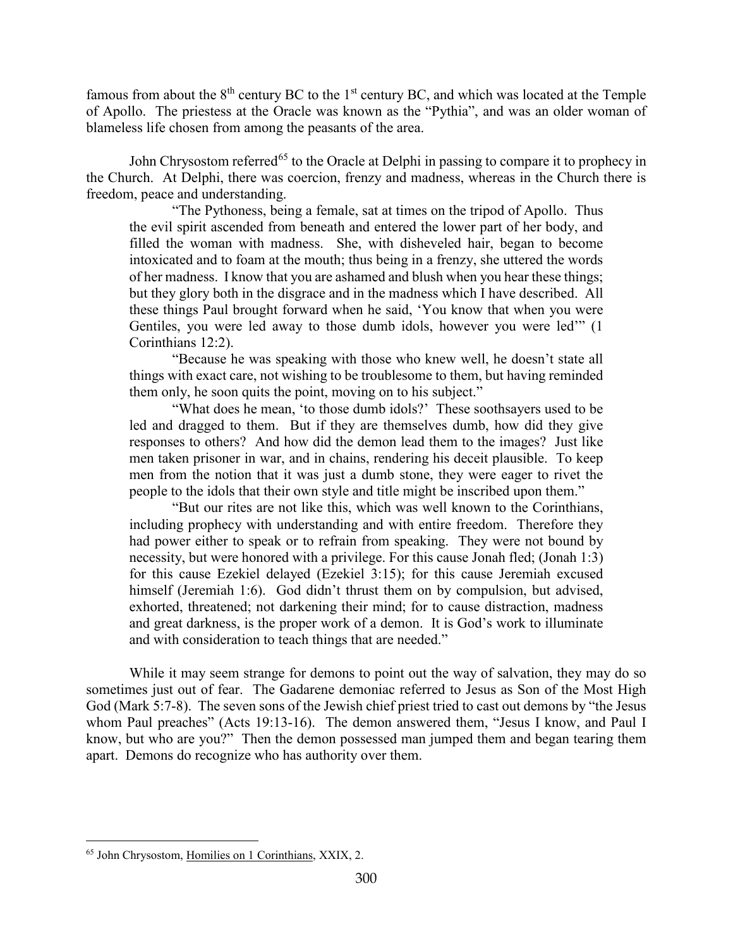famous from about the  $8<sup>th</sup>$  century BC to the 1<sup>st</sup> century BC, and which was located at the Temple of Apollo. The priestess at the Oracle was known as the "Pythia", and was an older woman of blameless life chosen from among the peasants of the area.

John Chrysostom referred<sup>[65](#page-37-0)</sup> to the Oracle at Delphi in passing to compare it to prophecy in the Church. At Delphi, there was coercion, frenzy and madness, whereas in the Church there is freedom, peace and understanding.

"The Pythoness, being a female, sat at times on the tripod of Apollo. Thus the evil spirit ascended from beneath and entered the lower part of her body, and filled the woman with madness. She, with disheveled hair, began to become intoxicated and to foam at the mouth; thus being in a frenzy, she uttered the words of her madness. I know that you are ashamed and blush when you hear these things; but they glory both in the disgrace and in the madness which I have described. All these things Paul brought forward when he said, 'You know that when you were Gentiles, you were led away to those dumb idols, however you were led'" (1) Corinthians 12:2).

"Because he was speaking with those who knew well, he doesn't state all things with exact care, not wishing to be troublesome to them, but having reminded them only, he soon quits the point, moving on to his subject."

"What does he mean, 'to those dumb idols?' These soothsayers used to be led and dragged to them. But if they are themselves dumb, how did they give responses to others? And how did the demon lead them to the images? Just like men taken prisoner in war, and in chains, rendering his deceit plausible. To keep men from the notion that it was just a dumb stone, they were eager to rivet the people to the idols that their own style and title might be inscribed upon them."

"But our rites are not like this, which was well known to the Corinthians, including prophecy with understanding and with entire freedom. Therefore they had power either to speak or to refrain from speaking. They were not bound by necessity, but were honored with a privilege. For this cause Jonah fled; (Jonah 1:3) for this cause Ezekiel delayed (Ezekiel 3:15); for this cause Jeremiah excused himself (Jeremiah 1:6). God didn't thrust them on by compulsion, but advised, exhorted, threatened; not darkening their mind; for to cause distraction, madness and great darkness, is the proper work of a demon. It is God's work to illuminate and with consideration to teach things that are needed."

While it may seem strange for demons to point out the way of salvation, they may do so sometimes just out of fear. The Gadarene demoniac referred to Jesus as Son of the Most High God (Mark 5:7-8). The seven sons of the Jewish chief priest tried to cast out demons by "the Jesus whom Paul preaches" (Acts 19:13-16). The demon answered them, "Jesus I know, and Paul I know, but who are you?" Then the demon possessed man jumped them and began tearing them apart. Demons do recognize who has authority over them.

<span id="page-37-0"></span> $\overline{a}$ <sup>65</sup> John Chrysostom, Homilies on 1 Corinthians, XXIX, 2.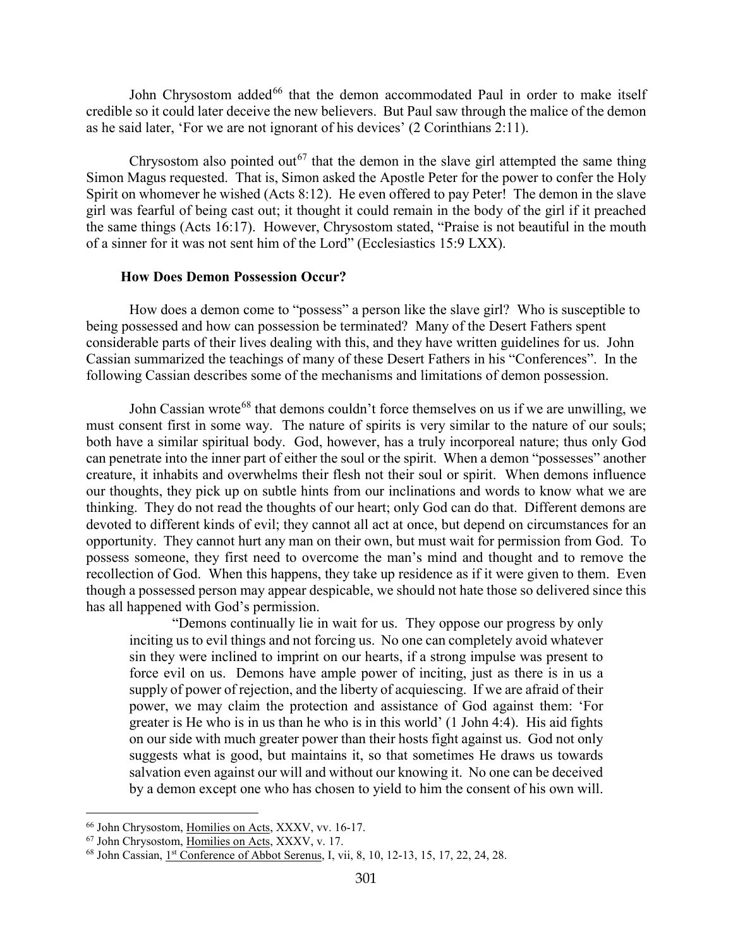John Chrysostom added<sup>[66](#page-38-1)</sup> that the demon accommodated Paul in order to make itself credible so it could later deceive the new believers. But Paul saw through the malice of the demon as he said later, 'For we are not ignorant of his devices' (2 Corinthians 2:11).

Chrysostom also pointed out<sup>[67](#page-38-2)</sup> that the demon in the slave girl attempted the same thing Simon Magus requested. That is, Simon asked the Apostle Peter for the power to confer the Holy Spirit on whomever he wished (Acts 8:12). He even offered to pay Peter! The demon in the slave girl was fearful of being cast out; it thought it could remain in the body of the girl if it preached the same things (Acts 16:17). However, Chrysostom stated, "Praise is not beautiful in the mouth of a sinner for it was not sent him of the Lord" (Ecclesiastics 15:9 LXX).

## **How Does Demon Possession Occur?**

<span id="page-38-0"></span>How does a demon come to "possess" a person like the slave girl? Who is susceptible to being possessed and how can possession be terminated? Many of the Desert Fathers spent considerable parts of their lives dealing with this, and they have written guidelines for us. John Cassian summarized the teachings of many of these Desert Fathers in his "Conferences". In the following Cassian describes some of the mechanisms and limitations of demon possession.

John Cassian wrote<sup>[68](#page-38-3)</sup> that demons couldn't force themselves on us if we are unwilling, we must consent first in some way. The nature of spirits is very similar to the nature of our souls; both have a similar spiritual body. God, however, has a truly incorporeal nature; thus only God can penetrate into the inner part of either the soul or the spirit. When a demon "possesses" another creature, it inhabits and overwhelms their flesh not their soul or spirit. When demons influence our thoughts, they pick up on subtle hints from our inclinations and words to know what we are thinking. They do not read the thoughts of our heart; only God can do that. Different demons are devoted to different kinds of evil; they cannot all act at once, but depend on circumstances for an opportunity. They cannot hurt any man on their own, but must wait for permission from God. To possess someone, they first need to overcome the man's mind and thought and to remove the recollection of God. When this happens, they take up residence as if it were given to them. Even though a possessed person may appear despicable, we should not hate those so delivered since this has all happened with God's permission.

"Demons continually lie in wait for us. They oppose our progress by only inciting us to evil things and not forcing us. No one can completely avoid whatever sin they were inclined to imprint on our hearts, if a strong impulse was present to force evil on us. Demons have ample power of inciting, just as there is in us a supply of power of rejection, and the liberty of acquiescing. If we are afraid of their power, we may claim the protection and assistance of God against them: 'For greater is He who is in us than he who is in this world' (1 John 4:4). His aid fights on our side with much greater power than their hosts fight against us. God not only suggests what is good, but maintains it, so that sometimes He draws us towards salvation even against our will and without our knowing it. No one can be deceived by a demon except one who has chosen to yield to him the consent of his own will.

<span id="page-38-1"></span><sup>66</sup> John Chrysostom, Homilies on Acts, XXXV, vv. 16-17.

<span id="page-38-2"></span><sup>67</sup> John Chrysostom, Homilies on Acts, XXXV, v. 17.

<span id="page-38-3"></span><sup>&</sup>lt;sup>68</sup> John Cassian, 1<sup>st</sup> Conference of Abbot Serenus, I, vii, 8, 10, 12-13, 15, 17, 22, 24, 28.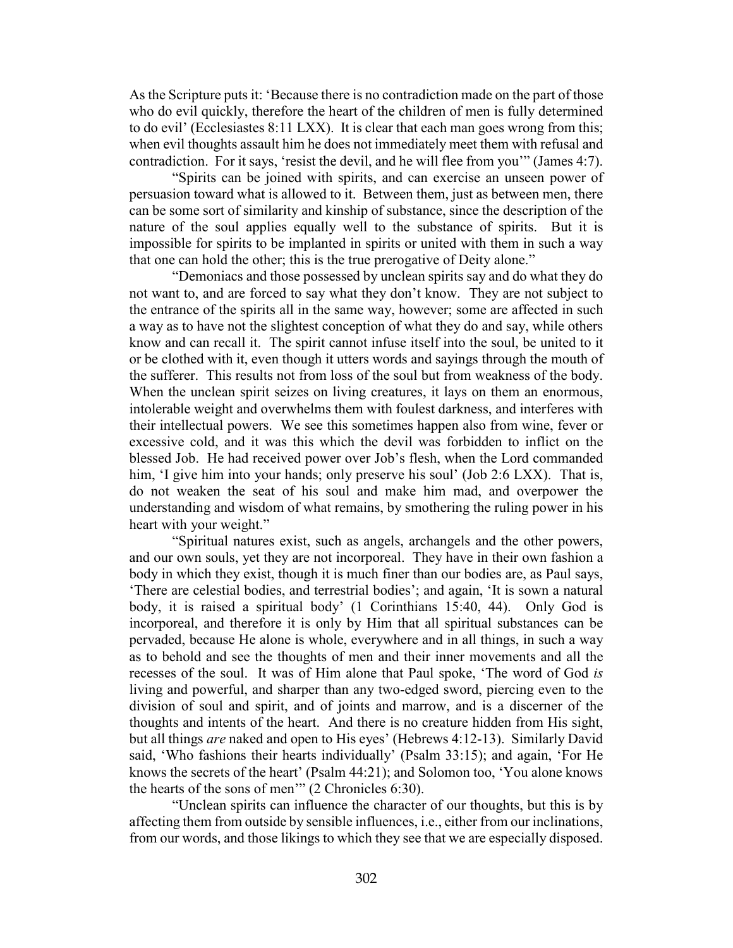As the Scripture puts it: 'Because there is no contradiction made on the part of those who do evil quickly, therefore the heart of the children of men is fully determined to do evil' (Ecclesiastes 8:11 LXX). It is clear that each man goes wrong from this; when evil thoughts assault him he does not immediately meet them with refusal and contradiction. For it says, 'resist the devil, and he will flee from you'" (James 4:7).

"Spirits can be joined with spirits, and can exercise an unseen power of persuasion toward what is allowed to it. Between them, just as between men, there can be some sort of similarity and kinship of substance, since the description of the nature of the soul applies equally well to the substance of spirits. But it is impossible for spirits to be implanted in spirits or united with them in such a way that one can hold the other; this is the true prerogative of Deity alone."

"Demoniacs and those possessed by unclean spirits say and do what they do not want to, and are forced to say what they don't know. They are not subject to the entrance of the spirits all in the same way, however; some are affected in such a way as to have not the slightest conception of what they do and say, while others know and can recall it. The spirit cannot infuse itself into the soul, be united to it or be clothed with it, even though it utters words and sayings through the mouth of the sufferer. This results not from loss of the soul but from weakness of the body. When the unclean spirit seizes on living creatures, it lays on them an enormous, intolerable weight and overwhelms them with foulest darkness, and interferes with their intellectual powers. We see this sometimes happen also from wine, fever or excessive cold, and it was this which the devil was forbidden to inflict on the blessed Job. He had received power over Job's flesh, when the Lord commanded him, 'I give him into your hands; only preserve his soul' (Job 2:6 LXX). That is, do not weaken the seat of his soul and make him mad, and overpower the understanding and wisdom of what remains, by smothering the ruling power in his heart with your weight."

"Spiritual natures exist, such as angels, archangels and the other powers, and our own souls, yet they are not incorporeal. They have in their own fashion a body in which they exist, though it is much finer than our bodies are, as Paul says, 'There are celestial bodies, and terrestrial bodies'; and again, 'It is sown a natural body, it is raised a spiritual body' (1 Corinthians 15:40, 44). Only God is incorporeal, and therefore it is only by Him that all spiritual substances can be pervaded, because He alone is whole, everywhere and in all things, in such a way as to behold and see the thoughts of men and their inner movements and all the recesses of the soul. It was of Him alone that Paul spoke, 'The word of God *is*  living and powerful, and sharper than any two-edged sword, piercing even to the division of soul and spirit, and of joints and marrow, and is a discerner of the thoughts and intents of the heart. And there is no creature hidden from His sight, but all things *are* naked and open to His eyes' (Hebrews 4:12-13). Similarly David said, 'Who fashions their hearts individually' (Psalm 33:15); and again, 'For He knows the secrets of the heart' (Psalm 44:21); and Solomon too, 'You alone knows the hearts of the sons of men'" (2 Chronicles 6:30).

"Unclean spirits can influence the character of our thoughts, but this is by affecting them from outside by sensible influences, i.e., either from our inclinations, from our words, and those likings to which they see that we are especially disposed.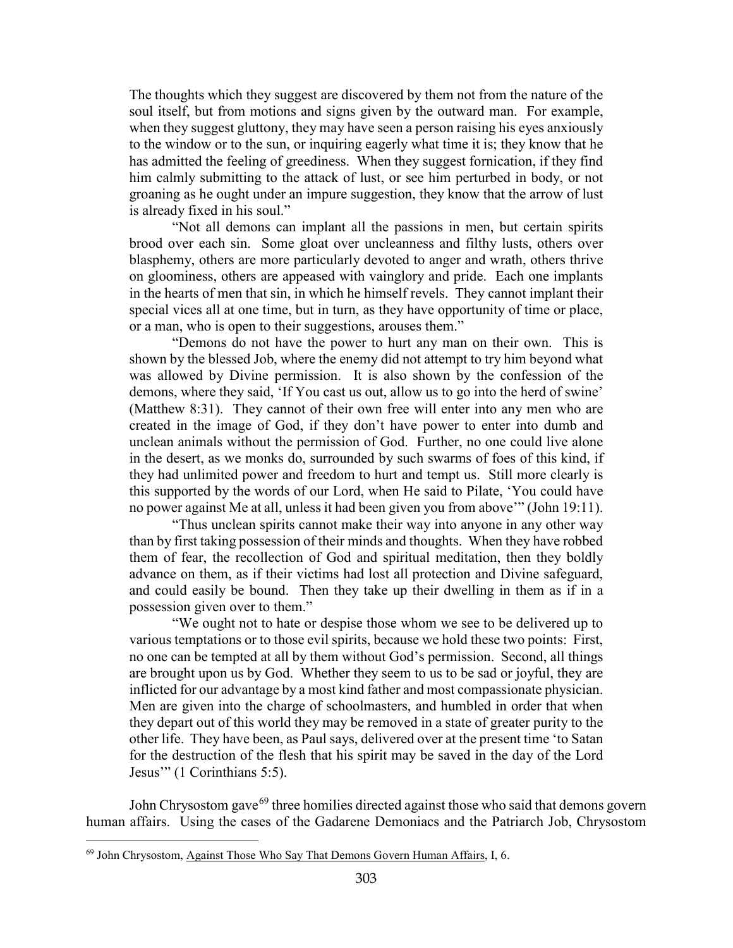The thoughts which they suggest are discovered by them not from the nature of the soul itself, but from motions and signs given by the outward man. For example, when they suggest gluttony, they may have seen a person raising his eyes anxiously to the window or to the sun, or inquiring eagerly what time it is; they know that he has admitted the feeling of greediness. When they suggest fornication, if they find him calmly submitting to the attack of lust, or see him perturbed in body, or not groaning as he ought under an impure suggestion, they know that the arrow of lust is already fixed in his soul."

"Not all demons can implant all the passions in men, but certain spirits brood over each sin. Some gloat over uncleanness and filthy lusts, others over blasphemy, others are more particularly devoted to anger and wrath, others thrive on gloominess, others are appeased with vainglory and pride. Each one implants in the hearts of men that sin, in which he himself revels. They cannot implant their special vices all at one time, but in turn, as they have opportunity of time or place, or a man, who is open to their suggestions, arouses them."

"Demons do not have the power to hurt any man on their own. This is shown by the blessed Job, where the enemy did not attempt to try him beyond what was allowed by Divine permission. It is also shown by the confession of the demons, where they said, 'If You cast us out, allow us to go into the herd of swine' (Matthew 8:31). They cannot of their own free will enter into any men who are created in the image of God, if they don't have power to enter into dumb and unclean animals without the permission of God. Further, no one could live alone in the desert, as we monks do, surrounded by such swarms of foes of this kind, if they had unlimited power and freedom to hurt and tempt us. Still more clearly is this supported by the words of our Lord, when He said to Pilate, 'You could have no power against Me at all, unless it had been given you from above'" (John 19:11).

"Thus unclean spirits cannot make their way into anyone in any other way than by first taking possession of their minds and thoughts. When they have robbed them of fear, the recollection of God and spiritual meditation, then they boldly advance on them, as if their victims had lost all protection and Divine safeguard, and could easily be bound. Then they take up their dwelling in them as if in a possession given over to them."

"We ought not to hate or despise those whom we see to be delivered up to various temptations or to those evil spirits, because we hold these two points: First, no one can be tempted at all by them without God's permission. Second, all things are brought upon us by God. Whether they seem to us to be sad or joyful, they are inflicted for our advantage by a most kind father and most compassionate physician. Men are given into the charge of schoolmasters, and humbled in order that when they depart out of this world they may be removed in a state of greater purity to the other life. They have been, as Paul says, delivered over at the present time 'to Satan for the destruction of the flesh that his spirit may be saved in the day of the Lord Jesus'" (1 Corinthians 5:5).

John Chrysostom gave  $69$  three homilies directed against those who said that demons govern human affairs. Using the cases of the Gadarene Demoniacs and the Patriarch Job, Chrysostom

<span id="page-40-0"></span><sup>69</sup> John Chrysostom, Against Those Who Say That Demons Govern Human Affairs, I, 6.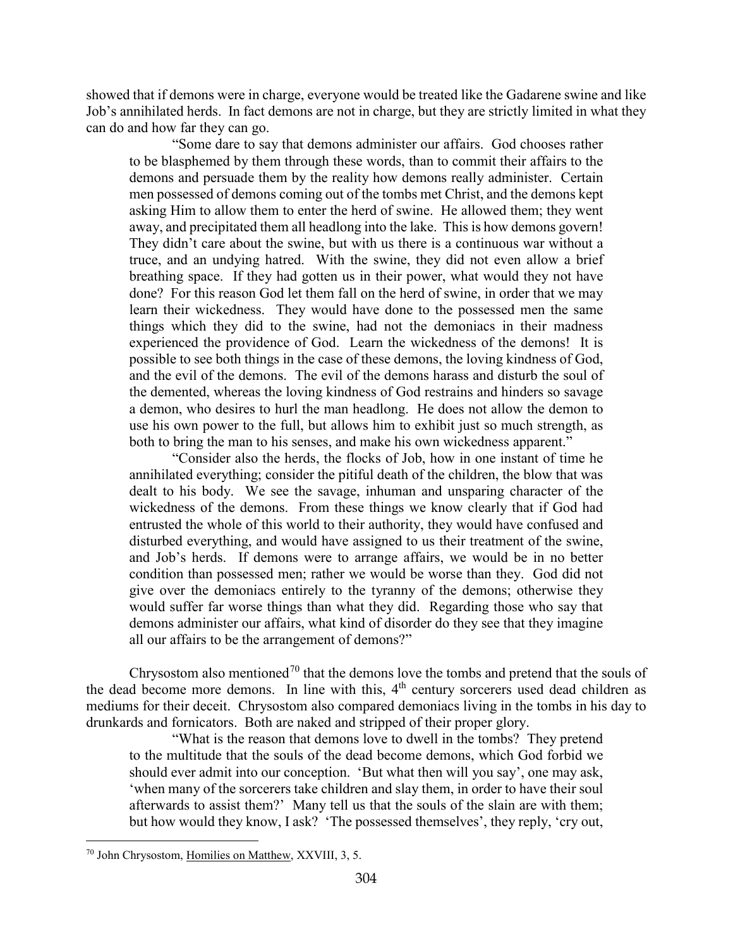showed that if demons were in charge, everyone would be treated like the Gadarene swine and like Job's annihilated herds. In fact demons are not in charge, but they are strictly limited in what they can do and how far they can go.

"Some dare to say that demons administer our affairs. God chooses rather to be blasphemed by them through these words, than to commit their affairs to the demons and persuade them by the reality how demons really administer. Certain men possessed of demons coming out of the tombs met Christ, and the demons kept asking Him to allow them to enter the herd of swine. He allowed them; they went away, and precipitated them all headlong into the lake. This is how demons govern! They didn't care about the swine, but with us there is a continuous war without a truce, and an undying hatred. With the swine, they did not even allow a brief breathing space. If they had gotten us in their power, what would they not have done? For this reason God let them fall on the herd of swine, in order that we may learn their wickedness. They would have done to the possessed men the same things which they did to the swine, had not the demoniacs in their madness experienced the providence of God. Learn the wickedness of the demons! It is possible to see both things in the case of these demons, the loving kindness of God, and the evil of the demons. The evil of the demons harass and disturb the soul of the demented, whereas the loving kindness of God restrains and hinders so savage a demon, who desires to hurl the man headlong. He does not allow the demon to use his own power to the full, but allows him to exhibit just so much strength, as both to bring the man to his senses, and make his own wickedness apparent."

"Consider also the herds, the flocks of Job, how in one instant of time he annihilated everything; consider the pitiful death of the children, the blow that was dealt to his body. We see the savage, inhuman and unsparing character of the wickedness of the demons. From these things we know clearly that if God had entrusted the whole of this world to their authority, they would have confused and disturbed everything, and would have assigned to us their treatment of the swine, and Job's herds. If demons were to arrange affairs, we would be in no better condition than possessed men; rather we would be worse than they. God did not give over the demoniacs entirely to the tyranny of the demons; otherwise they would suffer far worse things than what they did. Regarding those who say that demons administer our affairs, what kind of disorder do they see that they imagine all our affairs to be the arrangement of demons?"

Chrysostom also mentioned<sup>[70](#page-41-0)</sup> that the demons love the tombs and pretend that the souls of the dead become more demons. In line with this,  $4<sup>th</sup>$  century sorcerers used dead children as mediums for their deceit. Chrysostom also compared demoniacs living in the tombs in his day to drunkards and fornicators. Both are naked and stripped of their proper glory.

"What is the reason that demons love to dwell in the tombs? They pretend to the multitude that the souls of the dead become demons, which God forbid we should ever admit into our conception. 'But what then will you say', one may ask, 'when many of the sorcerers take children and slay them, in order to have their soul afterwards to assist them?' Many tell us that the souls of the slain are with them; but how would they know, I ask? 'The possessed themselves', they reply, 'cry out,

<span id="page-41-0"></span><sup>70</sup> John Chrysostom, Homilies on Matthew, XXVIII, 3, 5.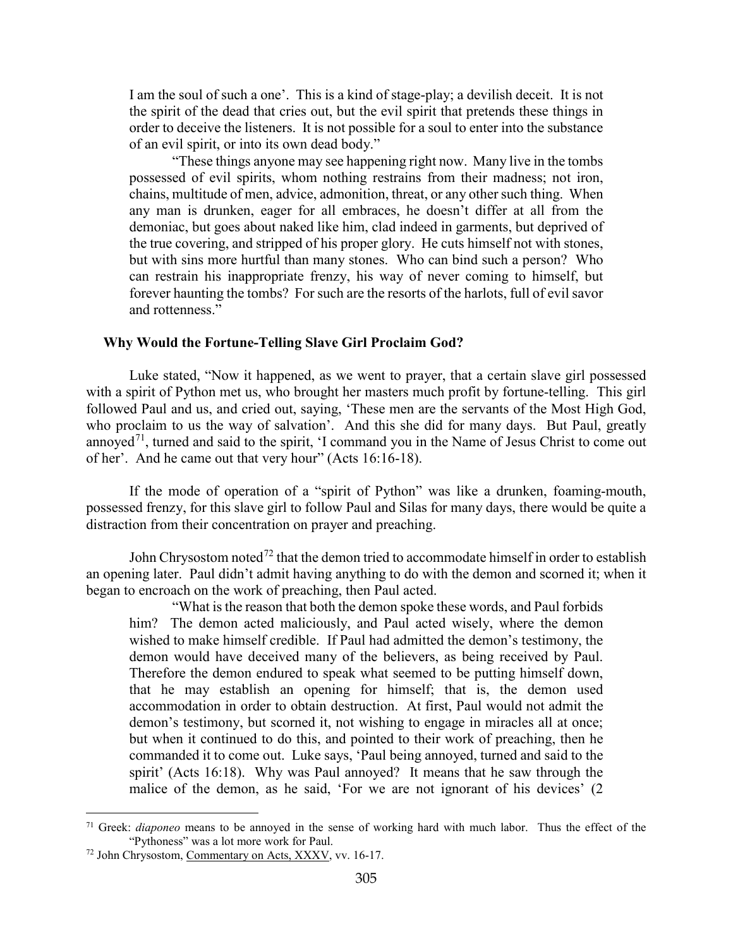I am the soul of such a one'. This is a kind of stage-play; a devilish deceit. It is not the spirit of the dead that cries out, but the evil spirit that pretends these things in order to deceive the listeners. It is not possible for a soul to enter into the substance of an evil spirit, or into its own dead body."

"These things anyone may see happening right now. Many live in the tombs possessed of evil spirits, whom nothing restrains from their madness; not iron, chains, multitude of men, advice, admonition, threat, or any other such thing. When any man is drunken, eager for all embraces, he doesn't differ at all from the demoniac, but goes about naked like him, clad indeed in garments, but deprived of the true covering, and stripped of his proper glory. He cuts himself not with stones, but with sins more hurtful than many stones. Who can bind such a person? Who can restrain his inappropriate frenzy, his way of never coming to himself, but forever haunting the tombs? For such are the resorts of the harlots, full of evil savor and rottenness."

#### <span id="page-42-0"></span>**Why Would the Fortune-Telling Slave Girl Proclaim God?**

Luke stated, "Now it happened, as we went to prayer, that a certain slave girl possessed with a spirit of Python met us, who brought her masters much profit by fortune-telling. This girl followed Paul and us, and cried out, saying, 'These men are the servants of the Most High God, who proclaim to us the way of salvation'. And this she did for many days. But Paul, greatly annoyed<sup>[71](#page-42-1)</sup>, turned and said to the spirit, 'I command you in the Name of Jesus Christ to come out of her'. And he came out that very hour" (Acts 16:16-18).

If the mode of operation of a "spirit of Python" was like a drunken, foaming-mouth, possessed frenzy, for this slave girl to follow Paul and Silas for many days, there would be quite a distraction from their concentration on prayer and preaching.

John Chrysostom noted<sup>[72](#page-42-2)</sup> that the demon tried to accommodate himself in order to establish an opening later. Paul didn't admit having anything to do with the demon and scorned it; when it began to encroach on the work of preaching, then Paul acted.

"What is the reason that both the demon spoke these words, and Paul forbids him? The demon acted maliciously, and Paul acted wisely, where the demon wished to make himself credible. If Paul had admitted the demon's testimony, the demon would have deceived many of the believers, as being received by Paul. Therefore the demon endured to speak what seemed to be putting himself down, that he may establish an opening for himself; that is, the demon used accommodation in order to obtain destruction. At first, Paul would not admit the demon's testimony, but scorned it, not wishing to engage in miracles all at once; but when it continued to do this, and pointed to their work of preaching, then he commanded it to come out. Luke says, 'Paul being annoyed, turned and said to the spirit' (Acts 16:18). Why was Paul annoyed? It means that he saw through the malice of the demon, as he said, 'For we are not ignorant of his devices' (2

<span id="page-42-1"></span><sup>71</sup> Greek: *diaponeo* means to be annoyed in the sense of working hard with much labor. Thus the effect of the "Pythoness" was a lot more work for Paul.

<span id="page-42-2"></span><sup>72</sup> John Chrysostom, Commentary on Acts, XXXV, vv. 16-17.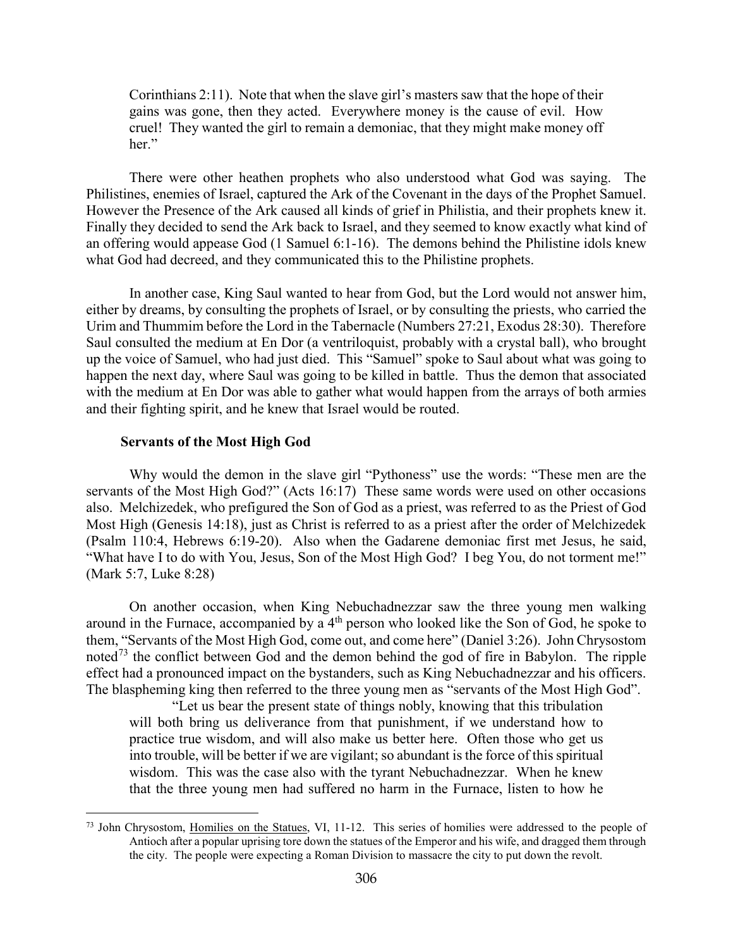Corinthians 2:11). Note that when the slave girl's masters saw that the hope of their gains was gone, then they acted. Everywhere money is the cause of evil. How cruel! They wanted the girl to remain a demoniac, that they might make money off her."

There were other heathen prophets who also understood what God was saying. The Philistines, enemies of Israel, captured the Ark of the Covenant in the days of the Prophet Samuel. However the Presence of the Ark caused all kinds of grief in Philistia, and their prophets knew it. Finally they decided to send the Ark back to Israel, and they seemed to know exactly what kind of an offering would appease God (1 Samuel 6:1-16). The demons behind the Philistine idols knew what God had decreed, and they communicated this to the Philistine prophets.

In another case, King Saul wanted to hear from God, but the Lord would not answer him, either by dreams, by consulting the prophets of Israel, or by consulting the priests, who carried the Urim and Thummim before the Lord in the Tabernacle (Numbers 27:21, Exodus 28:30). Therefore Saul consulted the medium at En Dor (a ventriloquist, probably with a crystal ball), who brought up the voice of Samuel, who had just died. This "Samuel" spoke to Saul about what was going to happen the next day, where Saul was going to be killed in battle. Thus the demon that associated with the medium at En Dor was able to gather what would happen from the arrays of both armies and their fighting spirit, and he knew that Israel would be routed.

#### **Servants of the Most High God**

 $\overline{a}$ 

<span id="page-43-0"></span>Why would the demon in the slave girl "Pythoness" use the words: "These men are the servants of the Most High God?" (Acts 16:17) These same words were used on other occasions also. Melchizedek, who prefigured the Son of God as a priest, was referred to as the Priest of God Most High (Genesis 14:18), just as Christ is referred to as a priest after the order of Melchizedek (Psalm 110:4, Hebrews 6:19-20). Also when the Gadarene demoniac first met Jesus, he said, "What have I to do with You, Jesus, Son of the Most High God? I beg You, do not torment me!" (Mark 5:7, Luke 8:28)

On another occasion, when King Nebuchadnezzar saw the three young men walking around in the Furnace, accompanied by a 4<sup>th</sup> person who looked like the Son of God, he spoke to them, "Servants of the Most High God, come out, and come here" (Daniel 3:26). John Chrysostom noted<sup>[73](#page-43-1)</sup> the conflict between God and the demon behind the god of fire in Babylon. The ripple effect had a pronounced impact on the bystanders, such as King Nebuchadnezzar and his officers. The blaspheming king then referred to the three young men as "servants of the Most High God".

"Let us bear the present state of things nobly, knowing that this tribulation will both bring us deliverance from that punishment, if we understand how to practice true wisdom, and will also make us better here. Often those who get us into trouble, will be better if we are vigilant; so abundant is the force of this spiritual wisdom. This was the case also with the tyrant Nebuchadnezzar. When he knew that the three young men had suffered no harm in the Furnace, listen to how he

<span id="page-43-1"></span><sup>&</sup>lt;sup>73</sup> John Chrysostom, Homilies on the Statues, VI, 11-12. This series of homilies were addressed to the people of Antioch after a popular uprising tore down the statues of the Emperor and his wife, and dragged them through the city. The people were expecting a Roman Division to massacre the city to put down the revolt.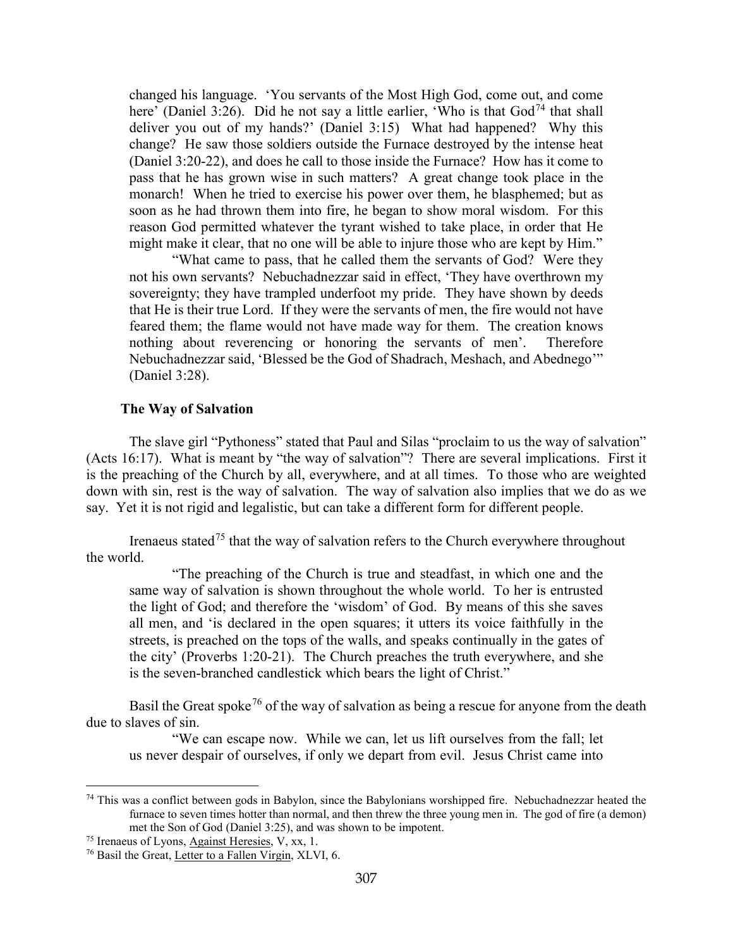changed his language. 'You servants of the Most High God, come out, and come here' (Daniel 3:26). Did he not say a little earlier, 'Who is that  $God<sup>74</sup>$  $God<sup>74</sup>$  $God<sup>74</sup>$  that shall deliver you out of my hands?' (Daniel 3:15) What had happened? Why this change? He saw those soldiers outside the Furnace destroyed by the intense heat (Daniel 3:20-22), and does he call to those inside the Furnace? How has it come to pass that he has grown wise in such matters? A great change took place in the monarch! When he tried to exercise his power over them, he blasphemed; but as soon as he had thrown them into fire, he began to show moral wisdom. For this reason God permitted whatever the tyrant wished to take place, in order that He might make it clear, that no one will be able to injure those who are kept by Him."

"What came to pass, that he called them the servants of God? Were they not his own servants? Nebuchadnezzar said in effect, 'They have overthrown my sovereignty; they have trampled underfoot my pride. They have shown by deeds that He is their true Lord. If they were the servants of men, the fire would not have feared them; the flame would not have made way for them. The creation knows nothing about reverencing or honoring the servants of men'. Therefore Nebuchadnezzar said, 'Blessed be the God of Shadrach, Meshach, and Abednego'" (Daniel 3:28).

#### **The Way of Salvation**

<span id="page-44-0"></span>The slave girl "Pythoness" stated that Paul and Silas "proclaim to us the way of salvation" (Acts 16:17). What is meant by "the way of salvation"? There are several implications. First it is the preaching of the Church by all, everywhere, and at all times. To those who are weighted down with sin, rest is the way of salvation. The way of salvation also implies that we do as we say. Yet it is not rigid and legalistic, but can take a different form for different people.

Irenaeus stated<sup>[75](#page-44-2)</sup> that the way of salvation refers to the Church everywhere throughout the world.

"The preaching of the Church is true and steadfast, in which one and the same way of salvation is shown throughout the whole world. To her is entrusted the light of God; and therefore the 'wisdom' of God. By means of this she saves all men, and 'is declared in the open squares; it utters its voice faithfully in the streets, is preached on the tops of the walls, and speaks continually in the gates of the city' (Proverbs 1:20-21). The Church preaches the truth everywhere, and she is the seven-branched candlestick which bears the light of Christ."

Basil the Great spoke<sup>[76](#page-44-3)</sup> of the way of salvation as being a rescue for anyone from the death due to slaves of sin.

"We can escape now. While we can, let us lift ourselves from the fall; let us never despair of ourselves, if only we depart from evil. Jesus Christ came into

<span id="page-44-1"></span> $74$  This was a conflict between gods in Babylon, since the Babylonians worshipped fire. Nebuchadnezzar heated the furnace to seven times hotter than normal, and then threw the three young men in. The god of fire (a demon) met the Son of God (Daniel 3:25), and was shown to be impotent.

<span id="page-44-2"></span><sup>75</sup> Irenaeus of Lyons, Against Heresies, V, xx, 1.

<span id="page-44-3"></span><sup>76</sup> Basil the Great, Letter to a Fallen Virgin, XLVI, 6.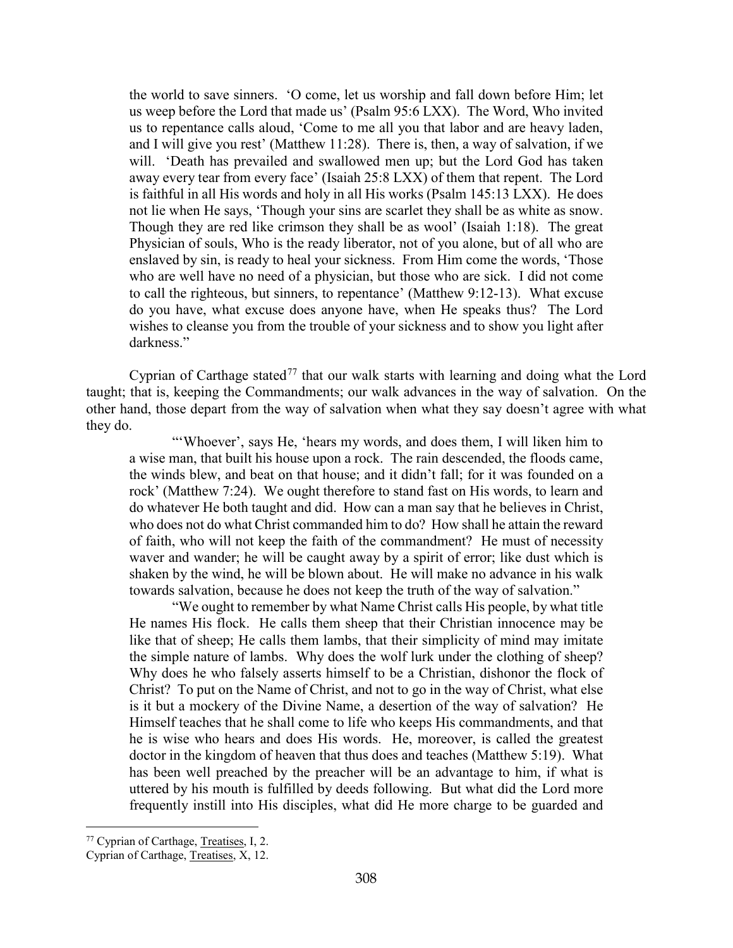the world to save sinners. 'O come, let us worship and fall down before Him; let us weep before the Lord that made us' (Psalm 95:6 LXX). The Word, Who invited us to repentance calls aloud, 'Come to me all you that labor and are heavy laden, and I will give you rest' (Matthew 11:28). There is, then, a way of salvation, if we will. 'Death has prevailed and swallowed men up; but the Lord God has taken away every tear from every face' (Isaiah 25:8 LXX) of them that repent. The Lord is faithful in all His words and holy in all His works (Psalm 145:13 LXX). He does not lie when He says, 'Though your sins are scarlet they shall be as white as snow. Though they are red like crimson they shall be as wool' (Isaiah 1:18). The great Physician of souls, Who is the ready liberator, not of you alone, but of all who are enslaved by sin, is ready to heal your sickness. From Him come the words, 'Those who are well have no need of a physician, but those who are sick. I did not come to call the righteous, but sinners, to repentance' (Matthew 9:12-13). What excuse do you have, what excuse does anyone have, when He speaks thus? The Lord wishes to cleanse you from the trouble of your sickness and to show you light after darkness."

Cyprian of Carthage stated<sup>[77](#page-45-0)</sup> that our walk starts with learning and doing what the Lord taught; that is, keeping the Commandments; our walk advances in the way of salvation. On the other hand, those depart from the way of salvation when what they say doesn't agree with what they do.

"'Whoever', says He, 'hears my words, and does them, I will liken him to a wise man, that built his house upon a rock. The rain descended, the floods came, the winds blew, and beat on that house; and it didn't fall; for it was founded on a rock' (Matthew 7:24). We ought therefore to stand fast on His words, to learn and do whatever He both taught and did. How can a man say that he believes in Christ, who does not do what Christ commanded him to do? How shall he attain the reward of faith, who will not keep the faith of the commandment? He must of necessity waver and wander; he will be caught away by a spirit of error; like dust which is shaken by the wind, he will be blown about. He will make no advance in his walk towards salvation, because he does not keep the truth of the way of salvation."

"We ought to remember by what Name Christ calls His people, by what title He names His flock. He calls them sheep that their Christian innocence may be like that of sheep; He calls them lambs, that their simplicity of mind may imitate the simple nature of lambs. Why does the wolf lurk under the clothing of sheep? Why does he who falsely asserts himself to be a Christian, dishonor the flock of Christ? To put on the Name of Christ, and not to go in the way of Christ, what else is it but a mockery of the Divine Name, a desertion of the way of salvation? He Himself teaches that he shall come to life who keeps His commandments, and that he is wise who hears and does His words. He, moreover, is called the greatest doctor in the kingdom of heaven that thus does and teaches (Matthew 5:19). What has been well preached by the preacher will be an advantage to him, if what is uttered by his mouth is fulfilled by deeds following. But what did the Lord more frequently instill into His disciples, what did He more charge to be guarded and

<span id="page-45-0"></span><sup>77</sup> Cyprian of Carthage, Treatises, I, 2.

Cyprian of Carthage, Treatises, X, 12.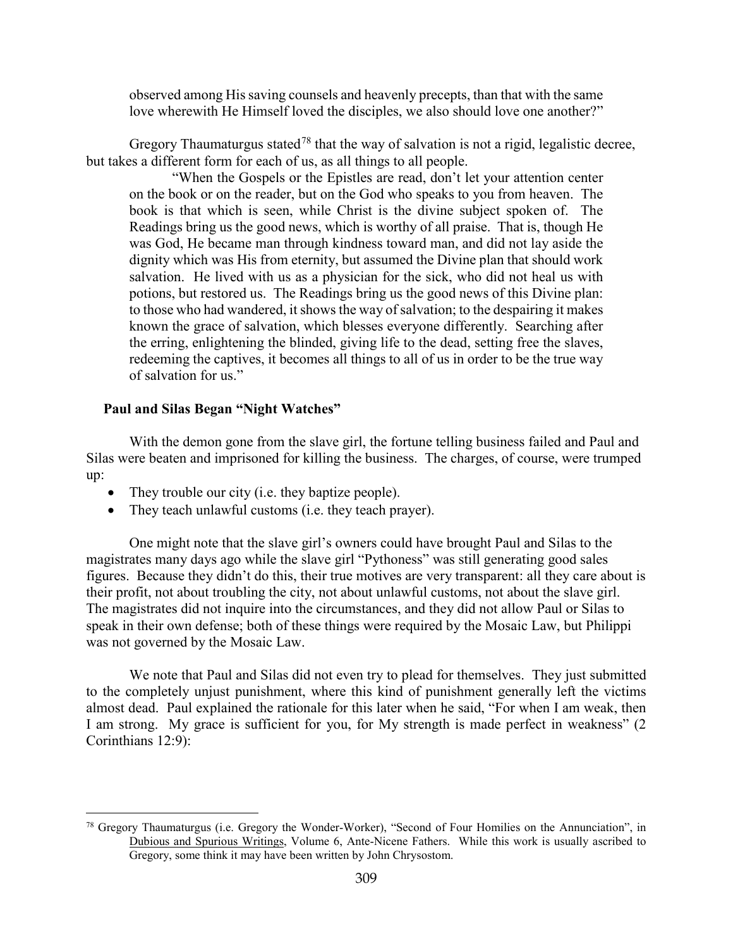observed among His saving counsels and heavenly precepts, than that with the same love wherewith He Himself loved the disciples, we also should love one another?"

Gregory Thaumaturgus stated<sup>[78](#page-46-1)</sup> that the way of salvation is not a rigid, legalistic decree, but takes a different form for each of us, as all things to all people.

"When the Gospels or the Epistles are read, don't let your attention center on the book or on the reader, but on the God who speaks to you from heaven. The book is that which is seen, while Christ is the divine subject spoken of. The Readings bring us the good news, which is worthy of all praise. That is, though He was God, He became man through kindness toward man, and did not lay aside the dignity which was His from eternity, but assumed the Divine plan that should work salvation. He lived with us as a physician for the sick, who did not heal us with potions, but restored us. The Readings bring us the good news of this Divine plan: to those who had wandered, it shows the way of salvation; to the despairing it makes known the grace of salvation, which blesses everyone differently. Searching after the erring, enlightening the blinded, giving life to the dead, setting free the slaves, redeeming the captives, it becomes all things to all of us in order to be the true way of salvation for us."

## <span id="page-46-0"></span>**Paul and Silas Began "Night Watches"**

 $\overline{a}$ 

With the demon gone from the slave girl, the fortune telling business failed and Paul and Silas were beaten and imprisoned for killing the business. The charges, of course, were trumped up:

- They trouble our city (i.e. they baptize people).
- They teach unlawful customs (i.e. they teach prayer).

One might note that the slave girl's owners could have brought Paul and Silas to the magistrates many days ago while the slave girl "Pythoness" was still generating good sales figures. Because they didn't do this, their true motives are very transparent: all they care about is their profit, not about troubling the city, not about unlawful customs, not about the slave girl. The magistrates did not inquire into the circumstances, and they did not allow Paul or Silas to speak in their own defense; both of these things were required by the Mosaic Law, but Philippi was not governed by the Mosaic Law.

We note that Paul and Silas did not even try to plead for themselves. They just submitted to the completely unjust punishment, where this kind of punishment generally left the victims almost dead. Paul explained the rationale for this later when he said, "For when I am weak, then I am strong. My grace is sufficient for you, for My strength is made perfect in weakness" (2 Corinthians 12:9):

<span id="page-46-1"></span><sup>78</sup> Gregory Thaumaturgus (i.e. Gregory the Wonder-Worker), "Second of Four Homilies on the Annunciation", in Dubious and Spurious Writings, Volume 6, Ante-Nicene Fathers. While this work is usually ascribed to Gregory, some think it may have been written by John Chrysostom.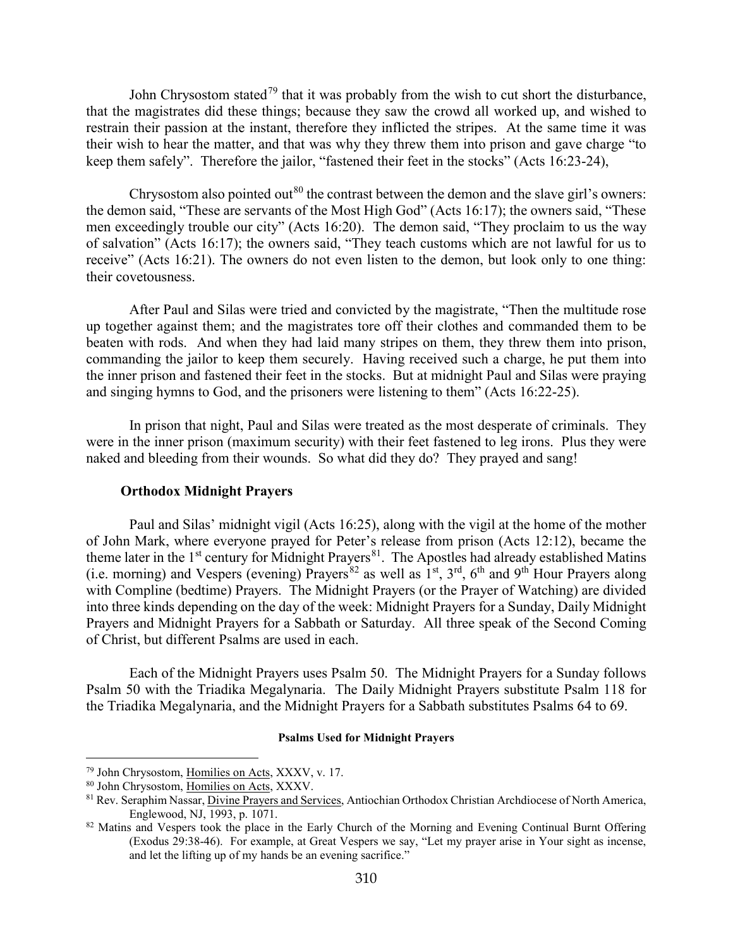John Chrysostom stated<sup>[79](#page-47-1)</sup> that it was probably from the wish to cut short the disturbance, that the magistrates did these things; because they saw the crowd all worked up, and wished to restrain their passion at the instant, therefore they inflicted the stripes. At the same time it was their wish to hear the matter, and that was why they threw them into prison and gave charge "to keep them safely". Therefore the jailor, "fastened their feet in the stocks" (Acts 16:23-24),

Chrysostom also pointed out<sup>[80](#page-47-2)</sup> the contrast between the demon and the slave girl's owners: the demon said, "These are servants of the Most High God" (Acts 16:17); the owners said, "These men exceedingly trouble our city" (Acts 16:20). The demon said, "They proclaim to us the way of salvation" (Acts 16:17); the owners said, "They teach customs which are not lawful for us to receive" (Acts 16:21). The owners do not even listen to the demon, but look only to one thing: their covetousness.

After Paul and Silas were tried and convicted by the magistrate, "Then the multitude rose up together against them; and the magistrates tore off their clothes and commanded them to be beaten with rods. And when they had laid many stripes on them, they threw them into prison, commanding the jailor to keep them securely. Having received such a charge, he put them into the inner prison and fastened their feet in the stocks. But at midnight Paul and Silas were praying and singing hymns to God, and the prisoners were listening to them" (Acts 16:22-25).

In prison that night, Paul and Silas were treated as the most desperate of criminals. They were in the inner prison (maximum security) with their feet fastened to leg irons. Plus they were naked and bleeding from their wounds. So what did they do? They prayed and sang!

#### **Orthodox Midnight Prayers**

<span id="page-47-0"></span>Paul and Silas' midnight vigil (Acts 16:25), along with the vigil at the home of the mother of John Mark, where everyone prayed for Peter's release from prison (Acts 12:12), became the theme later in the  $1<sup>st</sup>$  century for Midnight Prayers<sup>81</sup>. The Apostles had already established Matins (i.e. morning) and Vespers (evening) Prayers<sup>[82](#page-47-4)</sup> as well as  $1<sup>st</sup>$ ,  $3<sup>rd</sup>$ ,  $6<sup>th</sup>$  and  $9<sup>th</sup>$  Hour Prayers along with Compline (bedtime) Prayers. The Midnight Prayers (or the Prayer of Watching) are divided into three kinds depending on the day of the week: Midnight Prayers for a Sunday, Daily Midnight Prayers and Midnight Prayers for a Sabbath or Saturday. All three speak of the Second Coming of Christ, but different Psalms are used in each.

Each of the Midnight Prayers uses Psalm 50. The Midnight Prayers for a Sunday follows Psalm 50 with the Triadika Megalynaria. The Daily Midnight Prayers substitute Psalm 118 for the Triadika Megalynaria, and the Midnight Prayers for a Sabbath substitutes Psalms 64 to 69.

#### **Psalms Used for Midnight Prayers**

<span id="page-47-1"></span><sup>79</sup> John Chrysostom, Homilies on Acts, XXXV, v. 17.

<span id="page-47-2"></span><sup>80</sup> John Chrysostom, Homilies on Acts, XXXV.

<span id="page-47-3"></span><sup>&</sup>lt;sup>81</sup> Rev. Seraphim Nassar, *Divine Prayers and Services*, Antiochian Orthodox Christian Archdiocese of North America, Englewood, NJ, 1993, p. 1071.

<span id="page-47-4"></span><sup>&</sup>lt;sup>82</sup> Matins and Vespers took the place in the Early Church of the Morning and Evening Continual Burnt Offering (Exodus 29:38-46). For example, at Great Vespers we say, "Let my prayer arise in Your sight as incense, and let the lifting up of my hands be an evening sacrifice."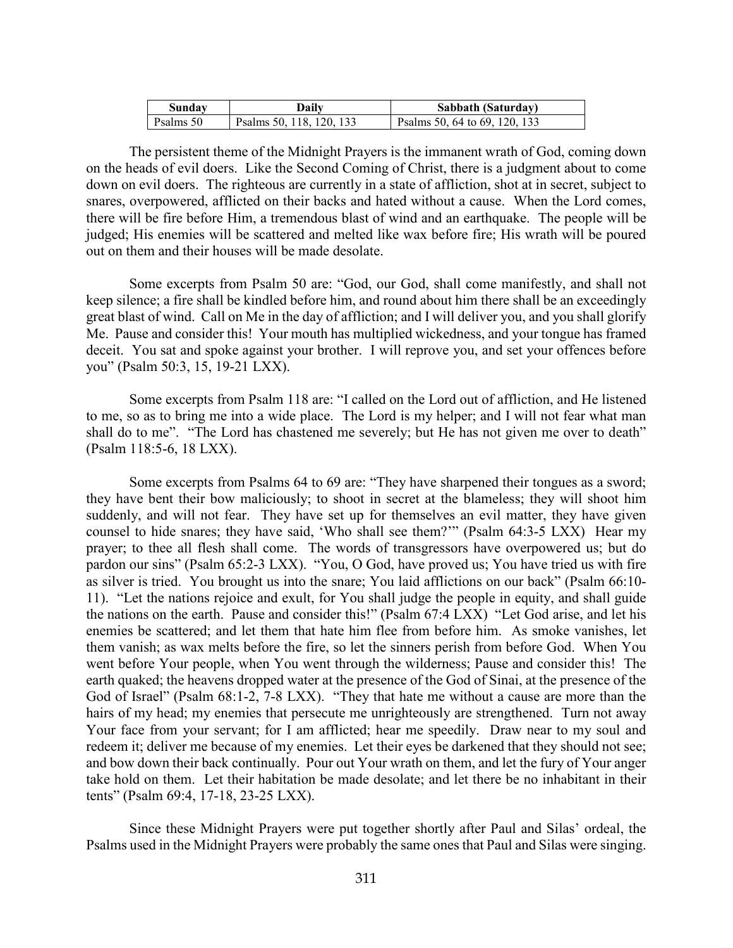| Sundav    | Daily                    | Sabbath (Saturday)            |
|-----------|--------------------------|-------------------------------|
| Psalms 50 | Psalms 50, 118, 120, 133 | Psalms 50, 64 to 69, 120, 133 |

The persistent theme of the Midnight Prayers is the immanent wrath of God, coming down on the heads of evil doers. Like the Second Coming of Christ, there is a judgment about to come down on evil doers. The righteous are currently in a state of affliction, shot at in secret, subject to snares, overpowered, afflicted on their backs and hated without a cause. When the Lord comes, there will be fire before Him, a tremendous blast of wind and an earthquake. The people will be judged; His enemies will be scattered and melted like wax before fire; His wrath will be poured out on them and their houses will be made desolate.

Some excerpts from Psalm 50 are: "God, our God, shall come manifestly, and shall not keep silence; a fire shall be kindled before him, and round about him there shall be an exceedingly great blast of wind. Call on Me in the day of affliction; and I will deliver you, and you shall glorify Me. Pause and consider this! Your mouth has multiplied wickedness, and your tongue has framed deceit. You sat and spoke against your brother. I will reprove you, and set your offences before you" (Psalm 50:3, 15, 19-21 LXX).

Some excerpts from Psalm 118 are: "I called on the Lord out of affliction, and He listened to me, so as to bring me into a wide place. The Lord is my helper; and I will not fear what man shall do to me". "The Lord has chastened me severely; but He has not given me over to death" (Psalm 118:5-6, 18 LXX).

Some excerpts from Psalms 64 to 69 are: "They have sharpened their tongues as a sword; they have bent their bow maliciously; to shoot in secret at the blameless; they will shoot him suddenly, and will not fear. They have set up for themselves an evil matter, they have given counsel to hide snares; they have said, 'Who shall see them?'" (Psalm 64:3-5 LXX) Hear my prayer; to thee all flesh shall come. The words of transgressors have overpowered us; but do pardon our sins" (Psalm 65:2-3 LXX). "You, O God, have proved us; You have tried us with fire as silver is tried. You brought us into the snare; You laid afflictions on our back" (Psalm 66:10- 11). "Let the nations rejoice and exult, for You shall judge the people in equity, and shall guide the nations on the earth. Pause and consider this!" (Psalm 67:4 LXX) "Let God arise, and let his enemies be scattered; and let them that hate him flee from before him. As smoke vanishes, let them vanish; as wax melts before the fire, so let the sinners perish from before God. When You went before Your people, when You went through the wilderness; Pause and consider this! The earth quaked; the heavens dropped water at the presence of the God of Sinai, at the presence of the God of Israel" (Psalm 68:1-2, 7-8 LXX). "They that hate me without a cause are more than the hairs of my head; my enemies that persecute me unrighteously are strengthened. Turn not away Your face from your servant; for I am afflicted; hear me speedily. Draw near to my soul and redeem it; deliver me because of my enemies. Let their eyes be darkened that they should not see; and bow down their back continually. Pour out Your wrath on them, and let the fury of Your anger take hold on them. Let their habitation be made desolate; and let there be no inhabitant in their tents" (Psalm 69:4, 17-18, 23-25 LXX).

Since these Midnight Prayers were put together shortly after Paul and Silas' ordeal, the Psalms used in the Midnight Prayers were probably the same ones that Paul and Silas were singing.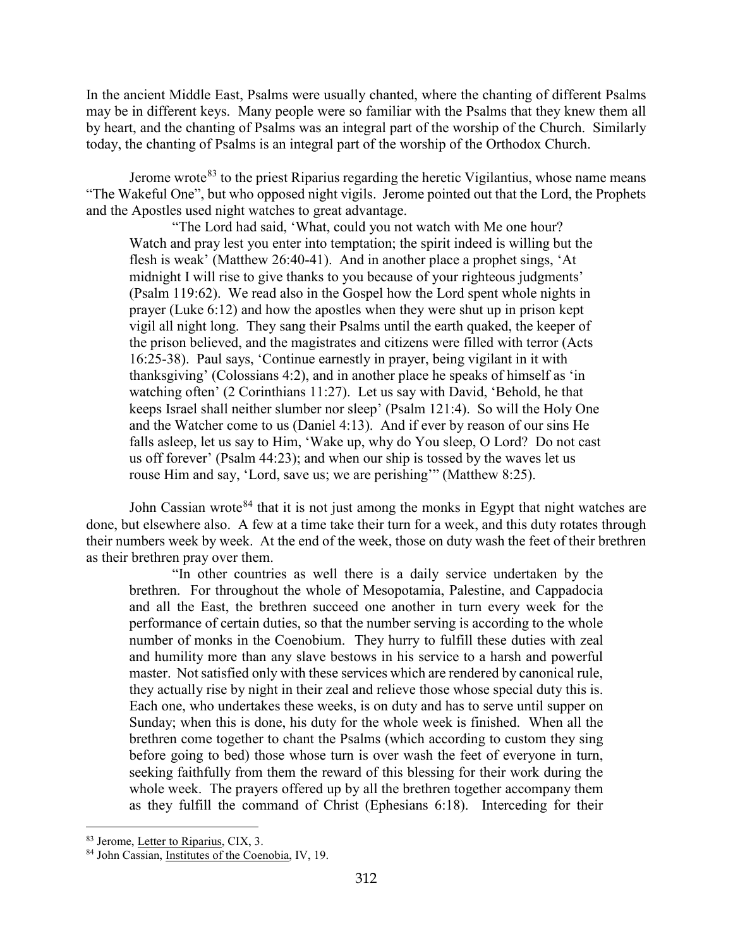In the ancient Middle East, Psalms were usually chanted, where the chanting of different Psalms may be in different keys. Many people were so familiar with the Psalms that they knew them all by heart, and the chanting of Psalms was an integral part of the worship of the Church. Similarly today, the chanting of Psalms is an integral part of the worship of the Orthodox Church.

Jerome wrote<sup>[83](#page-49-0)</sup> to the priest Riparius regarding the heretic Vigilantius, whose name means "The Wakeful One", but who opposed night vigils. Jerome pointed out that the Lord, the Prophets and the Apostles used night watches to great advantage.

"The Lord had said, 'What, could you not watch with Me one hour? Watch and pray lest you enter into temptation; the spirit indeed is willing but the flesh is weak' (Matthew 26:40-41). And in another place a prophet sings, 'At midnight I will rise to give thanks to you because of your righteous judgments' (Psalm 119:62). We read also in the Gospel how the Lord spent whole nights in prayer (Luke 6:12) and how the apostles when they were shut up in prison kept vigil all night long. They sang their Psalms until the earth quaked, the keeper of the prison believed, and the magistrates and citizens were filled with terror (Acts 16:25-38). Paul says, 'Continue earnestly in prayer, being vigilant in it with thanksgiving' (Colossians 4:2), and in another place he speaks of himself as 'in watching often' (2 Corinthians 11:27). Let us say with David, 'Behold, he that keeps Israel shall neither slumber nor sleep' (Psalm 121:4). So will the Holy One and the Watcher come to us (Daniel 4:13). And if ever by reason of our sins He falls asleep, let us say to Him, 'Wake up, why do You sleep, O Lord? Do not cast us off forever' (Psalm 44:23); and when our ship is tossed by the waves let us rouse Him and say, 'Lord, save us; we are perishing'" (Matthew 8:25).

John Cassian wrote<sup>[84](#page-49-1)</sup> that it is not just among the monks in Egypt that night watches are done, but elsewhere also. A few at a time take their turn for a week, and this duty rotates through their numbers week by week. At the end of the week, those on duty wash the feet of their brethren as their brethren pray over them.

"In other countries as well there is a daily service undertaken by the brethren. For throughout the whole of Mesopotamia, Palestine, and Cappadocia and all the East, the brethren succeed one another in turn every week for the performance of certain duties, so that the number serving is according to the whole number of monks in the Coenobium. They hurry to fulfill these duties with zeal and humility more than any slave bestows in his service to a harsh and powerful master. Not satisfied only with these services which are rendered by canonical rule, they actually rise by night in their zeal and relieve those whose special duty this is. Each one, who undertakes these weeks, is on duty and has to serve until supper on Sunday; when this is done, his duty for the whole week is finished. When all the brethren come together to chant the Psalms (which according to custom they sing before going to bed) those whose turn is over wash the feet of everyone in turn, seeking faithfully from them the reward of this blessing for their work during the whole week. The prayers offered up by all the brethren together accompany them as they fulfill the command of Christ (Ephesians 6:18). Interceding for their

<span id="page-49-0"></span><sup>83</sup> Jerome, Letter to Riparius, CIX, 3.

<span id="page-49-1"></span><sup>84</sup> John Cassian, Institutes of the Coenobia, IV, 19.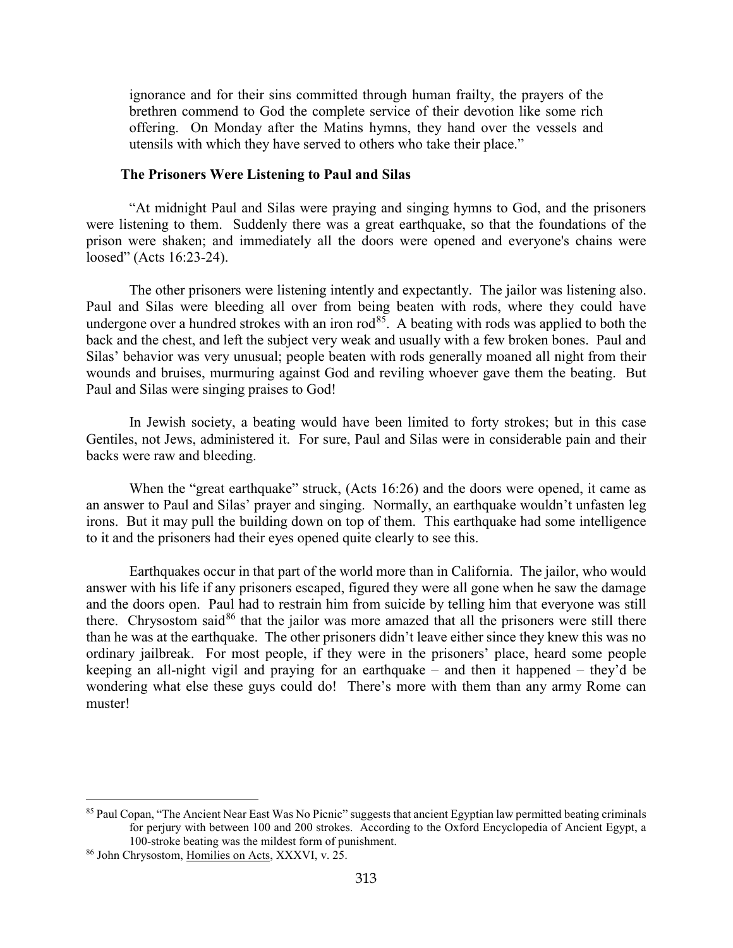ignorance and for their sins committed through human frailty, the prayers of the brethren commend to God the complete service of their devotion like some rich offering. On Monday after the Matins hymns, they hand over the vessels and utensils with which they have served to others who take their place."

#### **The Prisoners Were Listening to Paul and Silas**

<span id="page-50-0"></span>"At midnight Paul and Silas were praying and singing hymns to God, and the prisoners were listening to them. Suddenly there was a great earthquake, so that the foundations of the prison were shaken; and immediately all the doors were opened and everyone's chains were loosed" (Acts 16:23-24).

The other prisoners were listening intently and expectantly. The jailor was listening also. Paul and Silas were bleeding all over from being beaten with rods, where they could have undergone over a hundred strokes with an iron rod<sup>85</sup>. A beating with rods was applied to both the back and the chest, and left the subject very weak and usually with a few broken bones. Paul and Silas' behavior was very unusual; people beaten with rods generally moaned all night from their wounds and bruises, murmuring against God and reviling whoever gave them the beating. But Paul and Silas were singing praises to God!

In Jewish society, a beating would have been limited to forty strokes; but in this case Gentiles, not Jews, administered it. For sure, Paul and Silas were in considerable pain and their backs were raw and bleeding.

When the "great earthquake" struck, (Acts 16:26) and the doors were opened, it came as an answer to Paul and Silas' prayer and singing. Normally, an earthquake wouldn't unfasten leg irons. But it may pull the building down on top of them. This earthquake had some intelligence to it and the prisoners had their eyes opened quite clearly to see this.

Earthquakes occur in that part of the world more than in California. The jailor, who would answer with his life if any prisoners escaped, figured they were all gone when he saw the damage and the doors open. Paul had to restrain him from suicide by telling him that everyone was still there. Chrysostom said<sup>[86](#page-50-2)</sup> that the jailor was more amazed that all the prisoners were still there than he was at the earthquake. The other prisoners didn't leave either since they knew this was no ordinary jailbreak. For most people, if they were in the prisoners' place, heard some people keeping an all-night vigil and praying for an earthquake – and then it happened – they'd be wondering what else these guys could do! There's more with them than any army Rome can muster!

<span id="page-50-1"></span><sup>85</sup> Paul Copan, "The Ancient Near East Was No Picnic" suggests that ancient Egyptian law permitted beating criminals for perjury with between 100 and 200 strokes. According to the Oxford Encyclopedia of Ancient Egypt, a 100-stroke beating was the mildest form of punishment.

<span id="page-50-2"></span><sup>86</sup> John Chrysostom, Homilies on Acts, XXXVI, v. 25.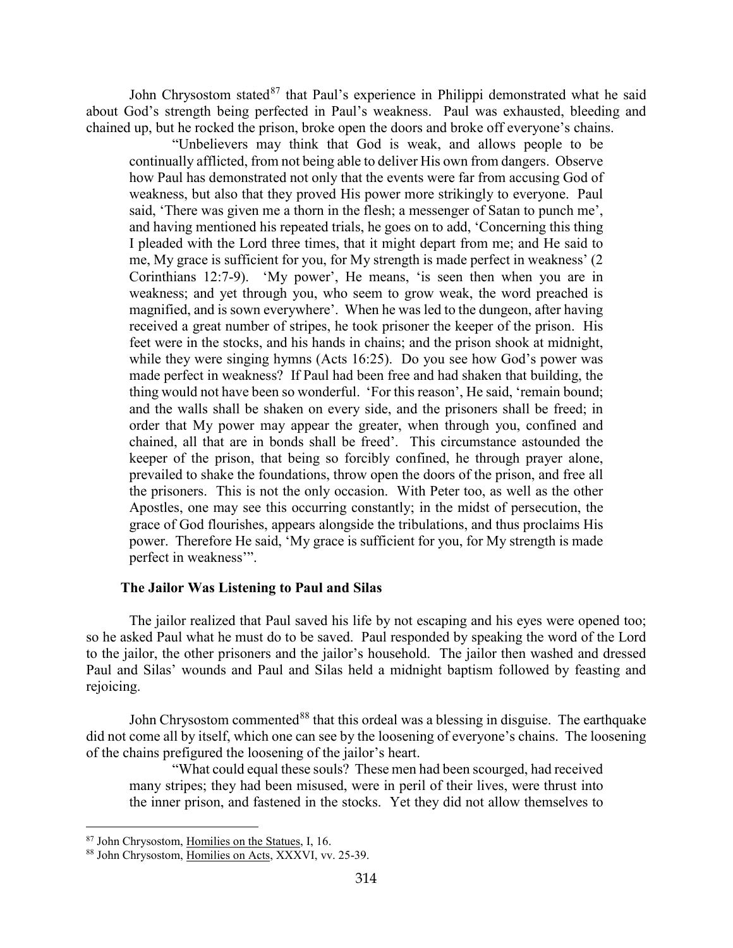John Chrysostom stated<sup>[87](#page-51-1)</sup> that Paul's experience in Philippi demonstrated what he said about God's strength being perfected in Paul's weakness. Paul was exhausted, bleeding and chained up, but he rocked the prison, broke open the doors and broke off everyone's chains.

"Unbelievers may think that God is weak, and allows people to be continually afflicted, from not being able to deliver His own from dangers. Observe how Paul has demonstrated not only that the events were far from accusing God of weakness, but also that they proved His power more strikingly to everyone. Paul said, 'There was given me a thorn in the flesh; a messenger of Satan to punch me', and having mentioned his repeated trials, he goes on to add, 'Concerning this thing I pleaded with the Lord three times, that it might depart from me; and He said to me, My grace is sufficient for you, for My strength is made perfect in weakness' (2 Corinthians 12:7-9). 'My power', He means, 'is seen then when you are in weakness; and yet through you, who seem to grow weak, the word preached is magnified, and is sown everywhere'. When he was led to the dungeon, after having received a great number of stripes, he took prisoner the keeper of the prison. His feet were in the stocks, and his hands in chains; and the prison shook at midnight, while they were singing hymns (Acts 16:25). Do you see how God's power was made perfect in weakness? If Paul had been free and had shaken that building, the thing would not have been so wonderful. 'For this reason', He said, 'remain bound; and the walls shall be shaken on every side, and the prisoners shall be freed; in order that My power may appear the greater, when through you, confined and chained, all that are in bonds shall be freed'. This circumstance astounded the keeper of the prison, that being so forcibly confined, he through prayer alone, prevailed to shake the foundations, throw open the doors of the prison, and free all the prisoners. This is not the only occasion. With Peter too, as well as the other Apostles, one may see this occurring constantly; in the midst of persecution, the grace of God flourishes, appears alongside the tribulations, and thus proclaims His power. Therefore He said, 'My grace is sufficient for you, for My strength is made perfect in weakness'".

#### **The Jailor Was Listening to Paul and Silas**

<span id="page-51-0"></span>The jailor realized that Paul saved his life by not escaping and his eyes were opened too; so he asked Paul what he must do to be saved. Paul responded by speaking the word of the Lord to the jailor, the other prisoners and the jailor's household. The jailor then washed and dressed Paul and Silas' wounds and Paul and Silas held a midnight baptism followed by feasting and rejoicing.

John Chrysostom commented<sup>[88](#page-51-2)</sup> that this ordeal was a blessing in disguise. The earthquake did not come all by itself, which one can see by the loosening of everyone's chains. The loosening of the chains prefigured the loosening of the jailor's heart.

"What could equal these souls? These men had been scourged, had received many stripes; they had been misused, were in peril of their lives, were thrust into the inner prison, and fastened in the stocks. Yet they did not allow themselves to

<span id="page-51-1"></span><sup>87</sup> John Chrysostom, Homilies on the Statues, I, 16.

<span id="page-51-2"></span><sup>88</sup> John Chrysostom, Homilies on Acts, XXXVI, vv. 25-39.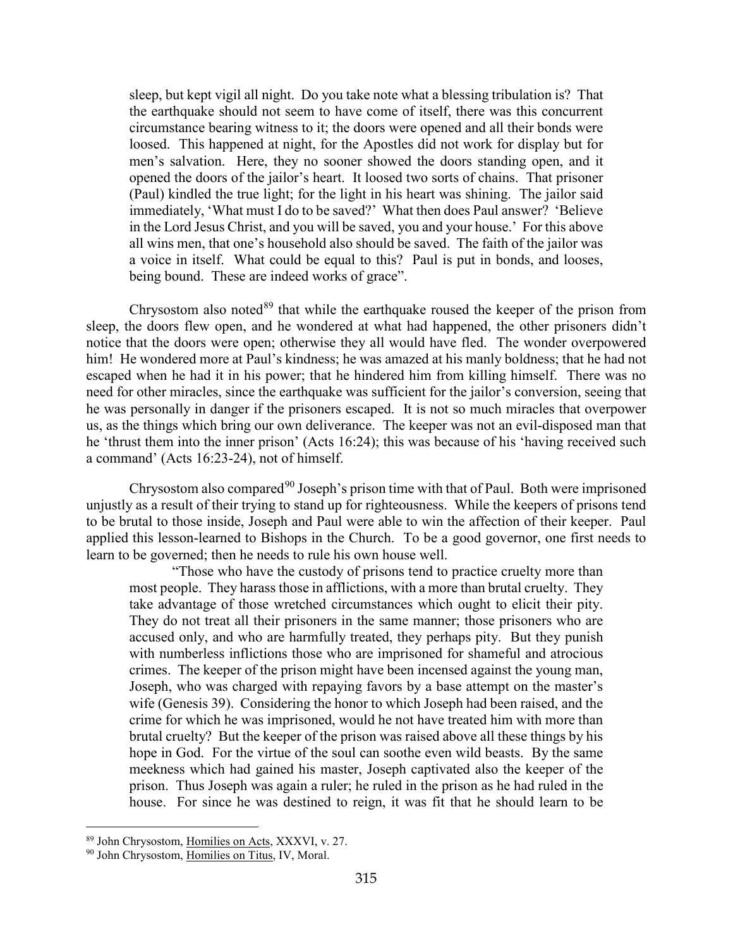sleep, but kept vigil all night. Do you take note what a blessing tribulation is? That the earthquake should not seem to have come of itself, there was this concurrent circumstance bearing witness to it; the doors were opened and all their bonds were loosed. This happened at night, for the Apostles did not work for display but for men's salvation. Here, they no sooner showed the doors standing open, and it opened the doors of the jailor's heart. It loosed two sorts of chains. That prisoner (Paul) kindled the true light; for the light in his heart was shining. The jailor said immediately, 'What must I do to be saved?' What then does Paul answer? 'Believe in the Lord Jesus Christ, and you will be saved, you and your house.' For this above all wins men, that one's household also should be saved. The faith of the jailor was a voice in itself. What could be equal to this? Paul is put in bonds, and looses, being bound. These are indeed works of grace".

Chrysostom also noted $89$  that while the earthquake roused the keeper of the prison from sleep, the doors flew open, and he wondered at what had happened, the other prisoners didn't notice that the doors were open; otherwise they all would have fled. The wonder overpowered him! He wondered more at Paul's kindness; he was amazed at his manly boldness; that he had not escaped when he had it in his power; that he hindered him from killing himself. There was no need for other miracles, since the earthquake was sufficient for the jailor's conversion, seeing that he was personally in danger if the prisoners escaped. It is not so much miracles that overpower us, as the things which bring our own deliverance. The keeper was not an evil-disposed man that he 'thrust them into the inner prison' (Acts 16:24); this was because of his 'having received such a command' (Acts 16:23-24), not of himself.

Chrysostom also compared<sup>[90](#page-52-1)</sup> Joseph's prison time with that of Paul. Both were imprisoned unjustly as a result of their trying to stand up for righteousness. While the keepers of prisons tend to be brutal to those inside, Joseph and Paul were able to win the affection of their keeper. Paul applied this lesson-learned to Bishops in the Church. To be a good governor, one first needs to learn to be governed; then he needs to rule his own house well.

"Those who have the custody of prisons tend to practice cruelty more than most people. They harass those in afflictions, with a more than brutal cruelty. They take advantage of those wretched circumstances which ought to elicit their pity. They do not treat all their prisoners in the same manner; those prisoners who are accused only, and who are harmfully treated, they perhaps pity. But they punish with numberless inflictions those who are imprisoned for shameful and atrocious crimes. The keeper of the prison might have been incensed against the young man, Joseph, who was charged with repaying favors by a base attempt on the master's wife (Genesis 39). Considering the honor to which Joseph had been raised, and the crime for which he was imprisoned, would he not have treated him with more than brutal cruelty? But the keeper of the prison was raised above all these things by his hope in God. For the virtue of the soul can soothe even wild beasts. By the same meekness which had gained his master, Joseph captivated also the keeper of the prison. Thus Joseph was again a ruler; he ruled in the prison as he had ruled in the house. For since he was destined to reign, it was fit that he should learn to be

<span id="page-52-0"></span><sup>89</sup> John Chrysostom, Homilies on Acts, XXXVI, v. 27.

<span id="page-52-1"></span><sup>90</sup> John Chrysostom, Homilies on Titus, IV, Moral.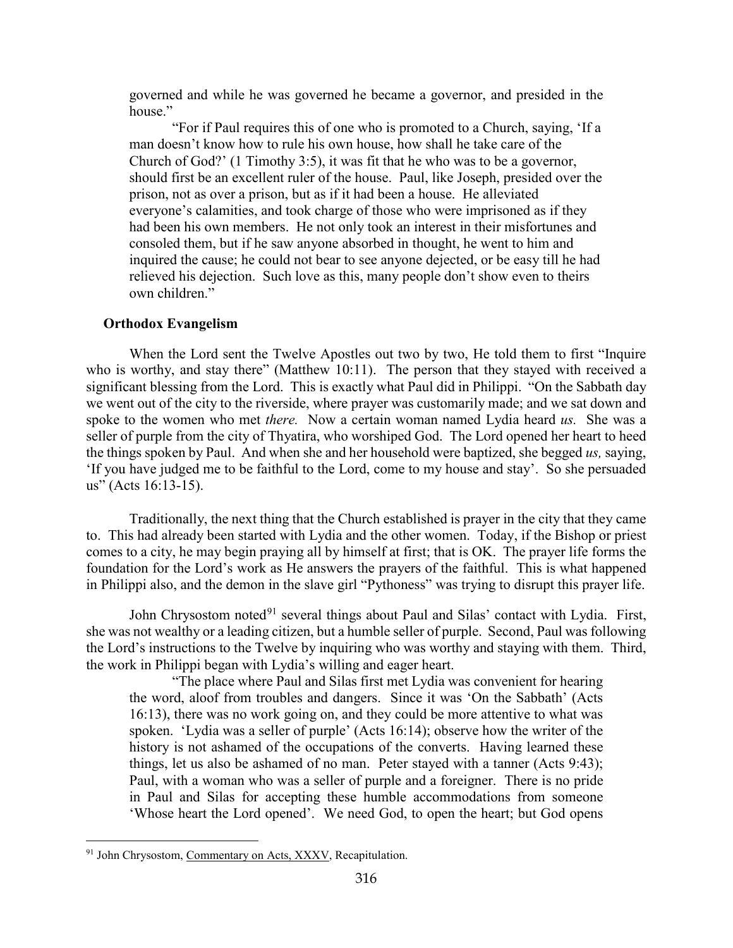governed and while he was governed he became a governor, and presided in the house."

"For if Paul requires this of one who is promoted to a Church, saying, 'If a man doesn't know how to rule his own house, how shall he take care of the Church of God?' (1 Timothy 3:5), it was fit that he who was to be a governor, should first be an excellent ruler of the house. Paul, like Joseph, presided over the prison, not as over a prison, but as if it had been a house. He alleviated everyone's calamities, and took charge of those who were imprisoned as if they had been his own members. He not only took an interest in their misfortunes and consoled them, but if he saw anyone absorbed in thought, he went to him and inquired the cause; he could not bear to see anyone dejected, or be easy till he had relieved his dejection. Such love as this, many people don't show even to theirs own children."

#### <span id="page-53-0"></span>**Orthodox Evangelism**

When the Lord sent the Twelve Apostles out two by two, He told them to first "Inquire who is worthy, and stay there" (Matthew 10:11). The person that they stayed with received a significant blessing from the Lord. This is exactly what Paul did in Philippi. "On the Sabbath day we went out of the city to the riverside, where prayer was customarily made; and we sat down and spoke to the women who met *there.* Now a certain woman named Lydia heard *us.* She was a seller of purple from the city of Thyatira, who worshiped God. The Lord opened her heart to heed the things spoken by Paul. And when she and her household were baptized, she begged *us,* saying, 'If you have judged me to be faithful to the Lord, come to my house and stay'. So she persuaded us" (Acts 16:13-15).

Traditionally, the next thing that the Church established is prayer in the city that they came to. This had already been started with Lydia and the other women. Today, if the Bishop or priest comes to a city, he may begin praying all by himself at first; that is OK. The prayer life forms the foundation for the Lord's work as He answers the prayers of the faithful. This is what happened in Philippi also, and the demon in the slave girl "Pythoness" was trying to disrupt this prayer life.

John Chrysostom noted<sup>[91](#page-53-1)</sup> several things about Paul and Silas' contact with Lydia. First, she was not wealthy or a leading citizen, but a humble seller of purple. Second, Paul was following the Lord's instructions to the Twelve by inquiring who was worthy and staying with them. Third, the work in Philippi began with Lydia's willing and eager heart.

"The place where Paul and Silas first met Lydia was convenient for hearing the word, aloof from troubles and dangers. Since it was 'On the Sabbath' (Acts 16:13), there was no work going on, and they could be more attentive to what was spoken. 'Lydia was a seller of purple' (Acts 16:14); observe how the writer of the history is not ashamed of the occupations of the converts. Having learned these things, let us also be ashamed of no man. Peter stayed with a tanner (Acts 9:43); Paul, with a woman who was a seller of purple and a foreigner. There is no pride in Paul and Silas for accepting these humble accommodations from someone 'Whose heart the Lord opened'. We need God, to open the heart; but God opens

<span id="page-53-1"></span><sup>&</sup>lt;sup>91</sup> John Chrysostom, Commentary on Acts, XXXV, Recapitulation.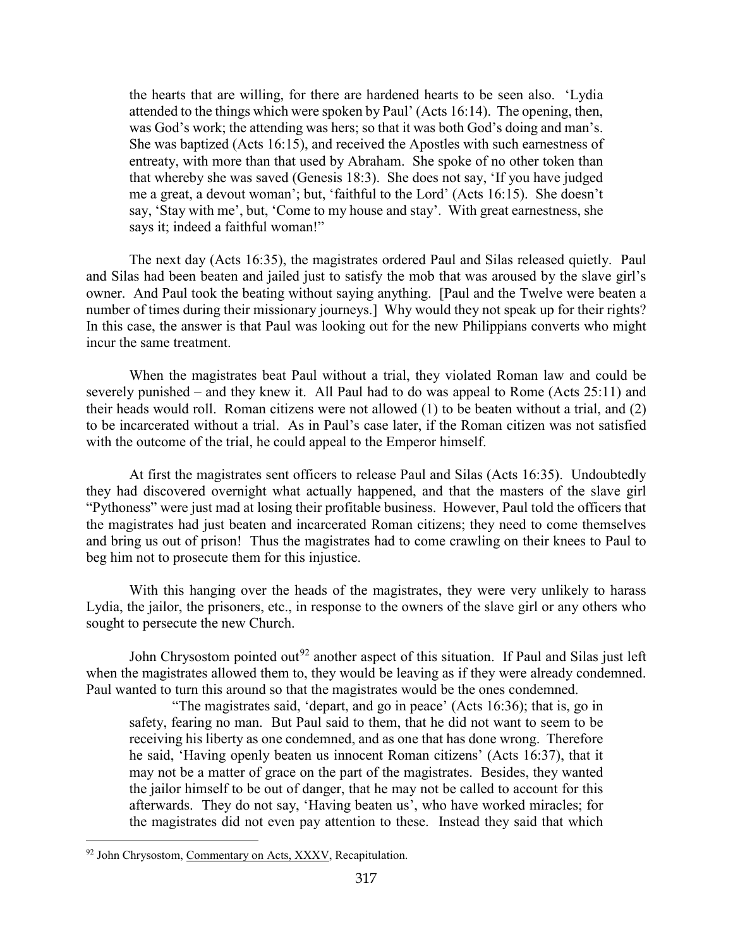the hearts that are willing, for there are hardened hearts to be seen also. 'Lydia attended to the things which were spoken by Paul' (Acts 16:14). The opening, then, was God's work; the attending was hers; so that it was both God's doing and man's. She was baptized (Acts 16:15), and received the Apostles with such earnestness of entreaty, with more than that used by Abraham. She spoke of no other token than that whereby she was saved (Genesis 18:3). She does not say, 'If you have judged me a great, a devout woman'; but, 'faithful to the Lord' (Acts 16:15). She doesn't say, 'Stay with me', but, 'Come to my house and stay'. With great earnestness, she says it; indeed a faithful woman!"

The next day (Acts 16:35), the magistrates ordered Paul and Silas released quietly. Paul and Silas had been beaten and jailed just to satisfy the mob that was aroused by the slave girl's owner. And Paul took the beating without saying anything. [Paul and the Twelve were beaten a number of times during their missionary journeys.] Why would they not speak up for their rights? In this case, the answer is that Paul was looking out for the new Philippians converts who might incur the same treatment.

When the magistrates beat Paul without a trial, they violated Roman law and could be severely punished – and they knew it. All Paul had to do was appeal to Rome (Acts 25:11) and their heads would roll. Roman citizens were not allowed (1) to be beaten without a trial, and (2) to be incarcerated without a trial. As in Paul's case later, if the Roman citizen was not satisfied with the outcome of the trial, he could appeal to the Emperor himself.

At first the magistrates sent officers to release Paul and Silas (Acts 16:35). Undoubtedly they had discovered overnight what actually happened, and that the masters of the slave girl "Pythoness" were just mad at losing their profitable business. However, Paul told the officers that the magistrates had just beaten and incarcerated Roman citizens; they need to come themselves and bring us out of prison! Thus the magistrates had to come crawling on their knees to Paul to beg him not to prosecute them for this injustice.

With this hanging over the heads of the magistrates, they were very unlikely to harass Lydia, the jailor, the prisoners, etc., in response to the owners of the slave girl or any others who sought to persecute the new Church.

John Chrysostom pointed out<sup>[92](#page-54-0)</sup> another aspect of this situation. If Paul and Silas just left when the magistrates allowed them to, they would be leaving as if they were already condemned. Paul wanted to turn this around so that the magistrates would be the ones condemned.

"The magistrates said, 'depart, and go in peace' (Acts 16:36); that is, go in safety, fearing no man. But Paul said to them, that he did not want to seem to be receiving his liberty as one condemned, and as one that has done wrong. Therefore he said, 'Having openly beaten us innocent Roman citizens' (Acts 16:37), that it may not be a matter of grace on the part of the magistrates. Besides, they wanted the jailor himself to be out of danger, that he may not be called to account for this afterwards. They do not say, 'Having beaten us', who have worked miracles; for the magistrates did not even pay attention to these. Instead they said that which

<span id="page-54-0"></span><sup>&</sup>lt;sup>92</sup> John Chrysostom, Commentary on Acts, XXXV, Recapitulation.